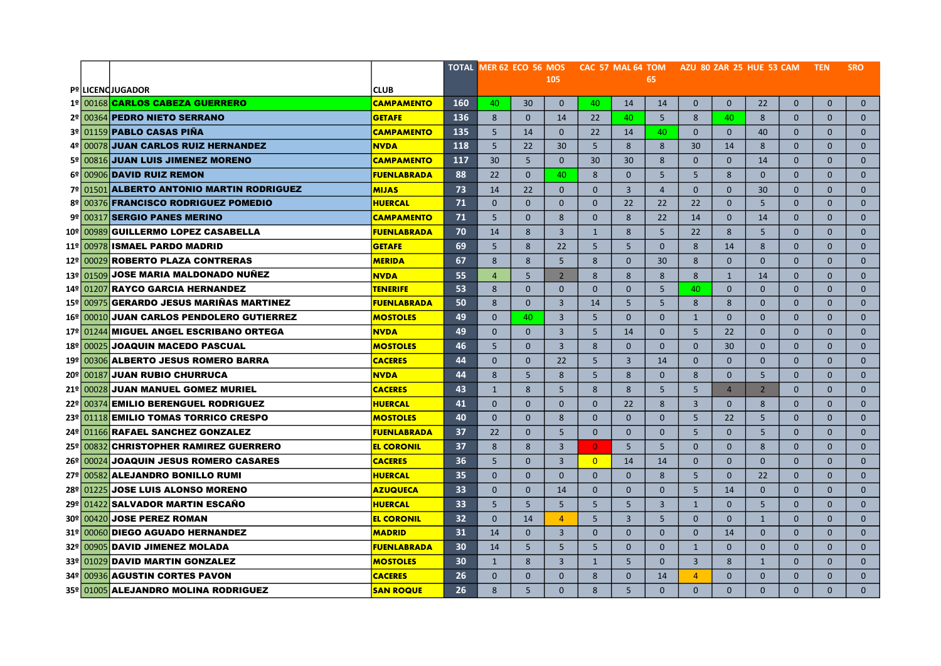|  |                                                            |                    |                   | TOTAL MER 62 ECO 56 MOS     CAC 57 MAL 64 TOM     AZU 80 ZAR 25 HUE 53 CAM     TEN |                |                |                |                |                      |                   |                |                |                              |                              | <b>SRO</b>                   |
|--|------------------------------------------------------------|--------------------|-------------------|------------------------------------------------------------------------------------|----------------|----------------|----------------|----------------|----------------------|-------------------|----------------|----------------|------------------------------|------------------------------|------------------------------|
|  |                                                            |                    |                   |                                                                                    |                | 105            |                |                | 65                   |                   |                |                |                              |                              |                              |
|  | <b>Pº LICENCJUGADOR</b><br>1º 00168 CARLOS CABEZA GUERRERO | <b>CLUB</b>        |                   |                                                                                    |                |                |                |                |                      |                   |                |                |                              |                              |                              |
|  |                                                            | <b>CAMPAMENTO</b>  | <b>160</b><br>136 | 40                                                                                 | 30<br>$\Omega$ | $\mathbf{0}$   | 40             | 14             | 14<br>5 <sup>5</sup> | $\mathbf{0}$<br>8 | $\mathbf{0}$   | 22<br>8        | $\mathbf{0}$<br>$\mathbf{0}$ | $\mathbf{0}$<br>$\mathbf{0}$ | $\mathbf{0}$<br>$\mathbf{0}$ |
|  | 2º 00364 PEDRO NIETO SERRANO                               | <b>GETAFE</b>      |                   | 8                                                                                  |                | 14             | 22             | 40             |                      |                   | 40             |                |                              |                              |                              |
|  | 3º 01159 PABLO CASAS PIÑA                                  | <b>CAMPAMENTO</b>  | 135               | 5                                                                                  | 14             | $\Omega$       | 22             | 14             | 40                   | $\mathbf{0}$      | $\mathbf{0}$   | 40             | $\mathbf{0}$                 | $\Omega$                     | $\mathbf{0}$                 |
|  | 4º 00078 JUAN CARLOS RUIZ HERNANDEZ                        | <b>NVDA</b>        | 118               | 5                                                                                  | 22             | 30             | 5              | 8              | 8                    | 30                | 14             | 8              | $\Omega$                     | $\Omega$                     | $\mathbf{0}$                 |
|  | 5º 00816 JUAN LUIS JIMENEZ MORENO                          | <b>CAMPAMENTO</b>  | 117               | 30                                                                                 | 5              | $\Omega$       | 30             | 30             | 8                    | $\Omega$          | $\Omega$       | 14             | $\Omega$                     | $\Omega$                     | $\Omega$                     |
|  | 6º 00906 DAVID RUIZ REMON                                  | <b>FUENLABRADA</b> | 88                | 22                                                                                 | $\mathbf{0}$   | 40             | 8              | $\Omega$       | 5                    | 5                 | 8              | $\mathbf{0}$   | $\mathbf{0}$                 | $\mathbf{0}$                 | $\mathbf{0}$                 |
|  | 7º 01501 ALBERTO ANTONIO MARTIN RODRIGUEZ                  | <b>MIJAS</b>       | 73                | 14                                                                                 | 22             | $\mathbf{0}$   | $\Omega$       | $\overline{3}$ | $\overline{4}$       | $\mathbf{0}$      | $\Omega$       | 30             | $\Omega$                     | $\Omega$                     | $\mathbf{0}$                 |
|  | 8º 00376 FRANCISCO RODRIGUEZ POMEDIO                       | <b>HUERCAL</b>     | 71                | $\mathbf{0}$                                                                       | $\Omega$       | $\Omega$       | $\mathbf{0}$   | 22             | 22                   | 22                | $\Omega$       | 5              | $\mathbf{0}$                 | $\mathbf{0}$                 | $\mathbf{0}$                 |
|  | 9º 00317 SERGIO PANES MERINO                               | <b>CAMPAMENTO</b>  | 71                | 5                                                                                  | $\Omega$       | 8              | $\Omega$       | 8              | 22                   | 14                | $\Omega$       | 14             | $\mathbf{0}$                 | $\Omega$                     | $\mathbf{0}$                 |
|  | 10º 00989 GUILLERMO LOPEZ CASABELLA                        | <b>FUENLABRADA</b> | 70                | 14                                                                                 | 8              | $\overline{3}$ | $\mathbf{1}$   | 8              | 5                    | 22                | 8              | 5 <sup>5</sup> | $\Omega$                     | $\Omega$                     | $\mathbf{0}$                 |
|  | 11º 00978 ISMAEL PARDO MADRID                              | <b>GETAFE</b>      | 69                | 5                                                                                  | 8              | 22             | 5              | 5              | $\Omega$             | 8                 | 14             | 8              | $\Omega$                     | $\Omega$                     | $\Omega$                     |
|  | 12º 00029 ROBERTO PLAZA CONTRERAS                          | <b>MERIDA</b>      | 67                | 8                                                                                  | 8              | 5              | 8              | $\Omega$       | 30                   | 8                 | $\mathbf{0}$   | $\mathbf{0}$   | $\mathbf{0}$                 | $\mathbf{0}$                 | $\mathbf{0}$                 |
|  | 13º 01509 JOSE MARIA MALDONADO NUÑEZ                       | <b>NVDA</b>        | 55                | $\overline{4}$                                                                     | 5              | $\overline{2}$ | 8              | 8              | 8                    | 8                 | $\mathbf{1}$   | 14             | $\mathbf{0}$                 | $\mathbf{0}$                 | $\mathbf{0}$                 |
|  | 14 <sup>°</sup> 01207 RAYCO GARCIA HERNANDEZ               | <b>TENERIFE</b>    | 53                | 8                                                                                  | $\mathbf{0}$   | $\Omega$       | $\mathbf{0}$   | $\Omega$       | 5                    | 40                | $\Omega$       | $\Omega$       | $\mathbf{0}$                 | $\mathbf{0}$                 | $\mathbf{0}$                 |
|  | 15º 00975 GERARDO JESUS MARIÑAS MARTINEZ                   | <b>FUENLABRADA</b> | 50                | 8                                                                                  | $\Omega$       | $\overline{3}$ | 14             | 5              | 5                    | 8                 | 8              | $\Omega$       | $\mathbf{0}$                 | $\Omega$                     | $\mathbf{0}$                 |
|  | 16º 00010 JUAN CARLOS PENDOLERO GUTIERREZ                  | <b>MOSTOLES</b>    | 49                | $\Omega$                                                                           | 40             | $\overline{3}$ | 5              | $\Omega$       | $\Omega$             | $\mathbf{1}$      | $\Omega$       | $\Omega$       | $\Omega$                     | $\Omega$                     | $\mathbf{0}$                 |
|  | 17º 01244 MIGUEL ANGEL ESCRIBANO ORTEGA                    | <b>NVDA</b>        | 49                | $\Omega$                                                                           | $\Omega$       | $\overline{3}$ | 5              | 14             | $\Omega$             | 5                 | 22             | $\Omega$       | $\Omega$                     | $\Omega$                     | $\mathbf 0$                  |
|  | 18º 00025 JOAQUIN MACEDO PASCUAL                           | <b>MOSTOLES</b>    | 46                | 5                                                                                  | $\mathbf{0}$   | $\overline{3}$ | 8              | $\mathbf{0}$   | $\mathbf{0}$         | $\mathbf{0}$      | 30             | $\mathbf{0}$   | $\mathbf{0}$                 | $\mathbf{0}$                 | $\mathbf{0}$                 |
|  | 19º 00306 ALBERTO JESUS ROMERO BARRA                       | <b>CACERES</b>     | 44                | $\mathbf{0}$                                                                       | $\mathbf{0}$   | 22             | 5              | $\overline{3}$ | 14                   | $\mathbf{0}$      | $\mathbf{0}$   | $\mathbf{0}$   | $\mathbf{0}$                 | $\mathbf{0}$                 | $\mathbf{0}$                 |
|  | 20º 00187 JUAN RUBIO CHURRUCA                              | <b>NVDA</b>        | 44                | 8                                                                                  | 5              | 8              | 5              | 8              | $\mathbf{0}$         | 8                 | $\Omega$       | 5 <sup>5</sup> | $\mathbf{0}$                 | $\mathbf{0}$                 | $\mathbf{0}$                 |
|  | 21º 00028 JUAN MANUEL GOMEZ MURIEL                         | <b>CACERES</b>     | 43                | $\mathbf{1}$                                                                       | 8              | 5              | 8              | 8              | 5                    | 5                 | $\overline{4}$ | $\overline{2}$ | $\Omega$                     | $\Omega$                     | $\mathbf{0}$                 |
|  | 22º 00374 EMILIO BERENGUEL RODRIGUEZ                       | <b>HUERCAL</b>     | 41                | $\Omega$                                                                           | $\Omega$       | $\Omega$       | $\Omega$       | 22             | 8                    | $\overline{3}$    | $\Omega$       | 8              | $\Omega$                     | $\Omega$                     | $\mathbf{0}$                 |
|  | 23º 01118 EMILIO TOMAS TORRICO CRESPO                      | <b>MOSTOLES</b>    | 40                | $\mathbf{0}$                                                                       | $\mathbf{0}$   | 8              | $\mathbf{0}$   | $\mathbf{0}$   | $\mathbf{0}$         | 5                 | 22             | 5 <sup>5</sup> | $\mathbf{0}$                 | $\mathbf{0}$                 | $\mathbf{0}$                 |
|  | 24º 01166 RAFAEL SANCHEZ GONZALEZ                          | <b>FUENLABRADA</b> | 37                | 22                                                                                 | $\mathbf{0}$   | 5              | $\mathbf{0}$   | $\Omega$       | $\mathbf{0}$         | 5                 | $\mathbf{0}$   | 5 <sup>5</sup> | $\mathbf{0}$                 | $\mathbf{0}$                 | $\mathbf{0}$                 |
|  | 25º 00832 CHRISTOPHER RAMIREZ GUERRERO                     | <b>EL CORONIL</b>  | 37                | 8                                                                                  | 8              | $\overline{3}$ | $\overline{0}$ | 5              | 5                    | $\overline{0}$    | $\Omega$       | 8              | $\mathbf{0}$                 | $\mathbf{0}$                 | $\mathbf{0}$                 |
|  | 26º 00024 JOAQUIN JESUS ROMERO CASARES                     | <b>CACERES</b>     | 36                | 5                                                                                  | $\Omega$       | $\overline{3}$ | $\overline{0}$ | 14             | 14                   | $\mathbf{0}$      | $\Omega$       | $\mathbf{0}$   | $\Omega$                     | $\Omega$                     | $\mathbf{0}$                 |
|  | 27º 00582 ALEJANDRO BONILLO RUMI                           | <b>HUERCAL</b>     | 35                | $\Omega$                                                                           | $\Omega$       | $\Omega$       | $\Omega$       | $\Omega$       | 8                    | 5 <sup>5</sup>    | $\Omega$       | 22             | $\Omega$                     | $\Omega$                     | $\mathbf{0}$                 |
|  | 28º 01225 JOSE LUIS ALONSO MORENO                          | <b>AZUQUECA</b>    | 33                | $\mathbf{0}$                                                                       | $\mathbf{0}$   | 14             | $\mathbf{0}$   | $\mathbf 0$    | $\mathbf{0}$         | 5                 | 14             | $\mathbf{0}$   | $\mathbf{0}$                 | $\mathbf{0}$                 | $\mathbf 0$                  |
|  | 29º 01422 SALVADOR MARTIN ESCAÑO                           | <b>HUERCAL</b>     | 33                | 5                                                                                  | 5              | 5              | 5              | 5              | $\overline{3}$       | $\mathbf{1}$      | $\mathbf{0}$   | 5 <sup>5</sup> | $\mathbf{0}$                 | $\mathbf{0}$                 | $\mathbf{0}$                 |
|  | 30º 00420 JOSE PEREZ ROMAN                                 | <b>EL CORONIL</b>  | 32                | $\mathbf{0}$                                                                       | 14             | $\overline{4}$ | 5              | $\overline{3}$ | 5                    | $\overline{0}$    | $\Omega$       | $\mathbf{1}$   | $\Omega$                     | $\Omega$                     | $\mathbf{0}$                 |
|  | 31º 00060 DIEGO AGUADO HERNANDEZ                           | <b>MADRID</b>      | 31                | 14                                                                                 | $\Omega$       | $\overline{3}$ | $\Omega$       | $\Omega$       | $\Omega$             | $\Omega$          | 14             | $\Omega$       | $\Omega$                     | $\Omega$                     | $\mathbf{0}$                 |
|  | 32º 00905 DAVID JIMENEZ MOLADA                             | <b>FUENLABRADA</b> | 30                | 14                                                                                 | 5              | 5              | 5              | $\Omega$       | $\Omega$             | $\mathbf{1}$      | $\Omega$       | $\Omega$       | $\Omega$                     | $\Omega$                     | $\mathbf{0}$                 |
|  | 33º 01029 DAVID MARTIN GONZALEZ                            | <b>MOSTOLES</b>    | 30                | 1                                                                                  | 8              | 3              | $\mathbf{1}$   | 5              | $\mathbf{0}$         | 3                 | 8              | $\mathbf{1}$   | $\mathbf{0}$                 | $\mathbf{0}$                 | $\mathbf{0}$                 |
|  | 34º 00936 AGUSTIN CORTES PAVON                             | <b>CACERES</b>     | 26                | $\mathbf{0}$                                                                       | $\mathbf{0}$   | $\Omega$       | 8              | $\Omega$       | 14                   | $\overline{4}$    | $\mathbf{0}$   | $\mathbf{0}$   | $\mathbf{0}$                 | $\mathbf{0}$                 | $\mathbf{0}$                 |
|  | 35º 01005 ALEJANDRO MOLINA RODRIGUEZ                       | <b>SAN ROQUE</b>   | 26                | 8                                                                                  | 5              | $\Omega$       | 8              | 5              | $\Omega$             | $\mathbf{0}$      | $\Omega$       | $\Omega$       | $\Omega$                     | $\Omega$                     | $\Omega$                     |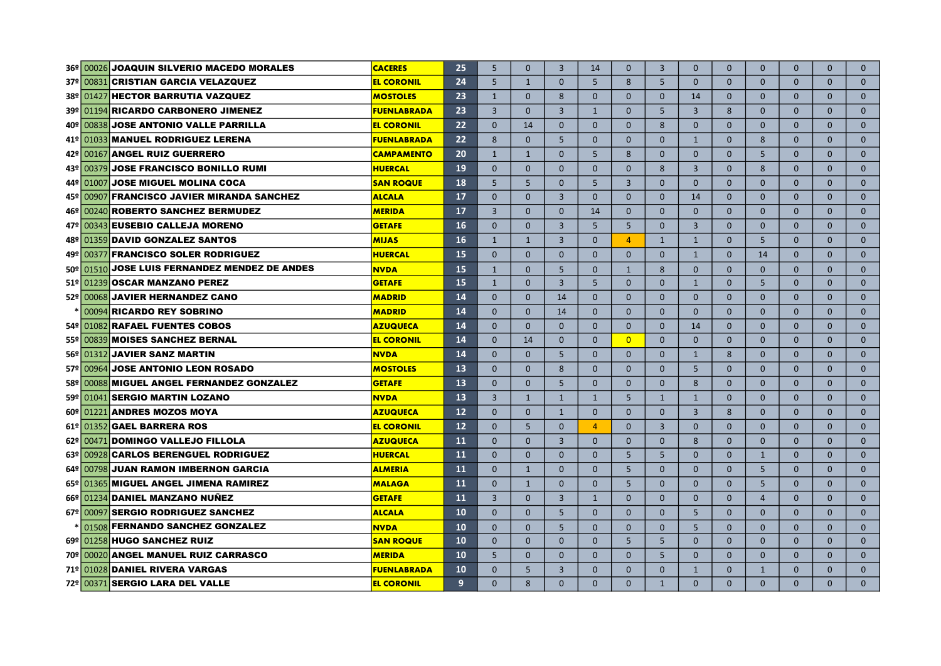|                 |           | 36º 00026 JOAQUIN SILVERIO MACEDO MORALES   | <b>CACERES</b>     | 25 | 5              | $\Omega$       | $\overline{3}$ | 14             | $\Omega$       | $\overline{3}$ | $\Omega$       | $\Omega$     | $\mathbf{0}$   | $\Omega$     | $\Omega$     | $\Omega$     |
|-----------------|-----------|---------------------------------------------|--------------------|----|----------------|----------------|----------------|----------------|----------------|----------------|----------------|--------------|----------------|--------------|--------------|--------------|
|                 |           | 37º 00831 CRISTIAN GARCIA VELAZQUEZ         | <b>EL CORONIL</b>  | 24 | 5              | $\mathbf{1}$   | $\Omega$       | 5              | 8              | 5              | $\Omega$       | $\mathbf{0}$ | $\mathbf{0}$   | $\mathbf{0}$ | $\Omega$     | $\mathbf{0}$ |
| $38^{\circ}$    |           | 01427 HECTOR BARRUTIA VAZQUEZ               | <b>MOSTOLES</b>    | 23 | $\mathbf{1}$   | $\mathbf{0}$   | 8              | $\mathbf{0}$   | $\mathbf{0}$   | $\mathbf{0}$   | 14             | $\mathbf{0}$ | $\mathbf{0}$   | $\mathbf{0}$ | $\mathbf{0}$ | $\mathbf{0}$ |
|                 |           | 39º 01194 RICARDO CARBONERO JIMENEZ         | <b>FUENLABRADA</b> | 23 | $\overline{3}$ | $\Omega$       | 3              | $\mathbf{1}$   | $\Omega$       | 5              | $\overline{3}$ | 8            | $\Omega$       | $\Omega$     | $\Omega$     | $\Omega$     |
| 40º l           |           | 00838 JOSE ANTONIO VALLE PARRILLA           | <b>EL CORONIL</b>  | 22 | $\Omega$       | 14             | $\Omega$       | $\Omega$       | $\Omega$       | 8              | $\Omega$       | $\Omega$     | $\Omega$       | $\Omega$     | $\Omega$     | $\Omega$     |
| 41ºI            |           | 01033 MANUEL RODRIGUEZ LERENA               | <b>FUENLABRADA</b> | 22 | 8              | $\Omega$       | 5              | $\Omega$       | $\Omega$       | $\Omega$       | $\mathbf{1}$   | $\Omega$     | 8              | $\Omega$     | $\Omega$     | $\mathbf{0}$ |
| ا ≅42           | 00167     | <b>ANGEL RUIZ GUERRERO</b>                  | <b>CAMPAMENTO</b>  | 20 | $\mathbf{1}$   | $\overline{1}$ | $\Omega$       | 5              | 8              | $\overline{0}$ | $\Omega$       | $\Omega$     | 5              | $\mathbf{0}$ | $\Omega$     | $\mathbf{0}$ |
| 43º∣            |           | 00379 JOSE FRANCISCO BONILLO RUMI           | <b>HUERCAL</b>     | 19 | $\Omega$       | $\Omega$       | $\Omega$       | $\Omega$       | $\mathbf{0}$   | 8              | $\overline{3}$ | $\mathbf{0}$ | 8              | $\mathbf{0}$ | $\mathbf{0}$ | $\mathbf{0}$ |
| 44º I           | 01007     | <b>JOSE MIGUEL MOLINA COCA</b>              | <b>SAN ROQUE</b>   | 18 | 5              | 5              | $\Omega$       | 5              | $\overline{3}$ | $\Omega$       | $\Omega$       | $\Omega$     | $\Omega$       | $\Omega$     | $\Omega$     | $\Omega$     |
| 45º             | 00907     | <b>FRANCISCO JAVIER MIRANDA SANCHEZ</b>     | <b>ALCALA</b>      | 17 | $\Omega$       | $\Omega$       | $\overline{3}$ | $\Omega$       | $\Omega$       | $\Omega$       | 14             | $\Omega$     | $\Omega$       | $\Omega$     | $\Omega$     | $\mathbf{0}$ |
| ا ≅46           |           | 00240 ROBERTO SANCHEZ BERMUDEZ              | <b>MERIDA</b>      | 17 | $\overline{3}$ | $\Omega$       | $\Omega$       | 14             | $\Omega$       | $\Omega$       | $\Omega$       | $\Omega$     | $\Omega$       | $\Omega$     | $\Omega$     | $\mathbf{0}$ |
| 47º             |           | 00343 EUSEBIO CALLEJA MORENO                | <b>GETAFE</b>      | 16 | $\Omega$       | $\Omega$       | $\overline{3}$ | 5              | $\overline{5}$ | $\Omega$       | $\overline{3}$ | $\mathbf{0}$ | $\Omega$       | $\mathbf{0}$ | $\mathbf{0}$ | $\mathbf{0}$ |
| 48º             |           | 01359 DAVID GONZALEZ SANTOS                 | <b>MIJAS</b>       | 16 | $\mathbf{1}$   | $\mathbf{1}$   | $\overline{3}$ | $\Omega$       | 4              | $\mathbf{1}$   | $\mathbf{1}$   | $\mathbf{0}$ | 5              | $\mathbf{0}$ | $\mathbf{0}$ | $\mathbf{0}$ |
| ا ≅49           | 00377     | <b>FRANCISCO SOLER RODRIGUEZ</b>            | <b>HUERCAL</b>     | 15 | $\mathbf 0$    | $\Omega$       | $\mathbf{0}$   | $\Omega$       | $\mathbf{0}$   | $\mathbf{0}$   | $\mathbf{1}$   | $\mathbf{0}$ | 14             | $\mathbf{0}$ | $\mathbf{0}$ | $\mathbf{0}$ |
|                 | 50º 01510 | <b>JOSE LUIS FERNANDEZ MENDEZ DE ANDES</b>  | <b>NVDA</b>        | 15 | $\mathbf{1}$   | $\Omega$       | 5              | $\Omega$       | $\mathbf{1}$   | 8              | $\Omega$       | $\Omega$     | $\Omega$       | $\Omega$     | $\Omega$     | $\Omega$     |
|                 |           | 51º 01239 OSCAR MANZANO PEREZ               | <b>GETAFE</b>      | 15 | $\mathbf{1}$   | $\Omega$       | $\overline{3}$ | 5              | $\Omega$       | $\Omega$       | $\mathbf{1}$   | $\mathbf{0}$ | 5              | $\mathbf{0}$ | $\mathbf{0}$ | $\mathbf{0}$ |
|                 |           | 52º 00068 JAVIER HERNANDEZ CANO             | <b>MADRID</b>      | 14 | $\Omega$       | $\Omega$       | 14             | $\Omega$       | $\Omega$       | $\Omega$       | $\Omega$       | $\mathbf{0}$ | $\mathbf{0}$   | $\mathbf{0}$ | $\mathbf{0}$ | $\mathbf{0}$ |
|                 | 00094     | <b>RICARDO REY SOBRINO</b>                  | <b>MADRID</b>      | 14 | $\Omega$       | $\Omega$       | 14             | $\Omega$       | $\Omega$       | $\Omega$       | $\Omega$       | $\mathbf{0}$ | $\Omega$       | $\mathbf{0}$ | $\mathbf{0}$ | $\mathbf{0}$ |
| 54 <sup>°</sup> |           | 01082 RAFAEL FUENTES COBOS                  | <b>AZUQUECA</b>    | 14 | $\Omega$       | $\Omega$       | $\Omega$       | $\Omega$       | $\mathbf{0}$   | $\mathbf{0}$   | 14             | $\mathbf{0}$ | $\mathbf{0}$   | $\mathbf{0}$ | $\mathbf{0}$ | $\mathbf{0}$ |
|                 |           | 55º 00839 MOISES SANCHEZ BERNAL             | <b>EL CORONIL</b>  | 14 | $\Omega$       | 14             | $\Omega$       | $\Omega$       | $\overline{0}$ | $\Omega$       | $\Omega$       | $\Omega$     | $\Omega$       | $\Omega$     | $\Omega$     | $\mathbf{0}$ |
|                 | 56º 01312 | <b>JAVIER SANZ MARTIN</b>                   | <b>NVDA</b>        | 14 | $\Omega$       | $\mathbf{0}$   | 5              | $\Omega$       | $\Omega$       | $\Omega$       | $\mathbf{1}$   | 8            | $\Omega$       | $\Omega$     | $\Omega$     | $\mathbf{0}$ |
|                 | 57º 00964 | <b>JOSE ANTONIO LEON ROSADO</b>             | <b>MOSTOLES</b>    | 13 | $\Omega$       | $\mathbf{0}$   | 8              | $\Omega$       | $\Omega$       | $\Omega$       | 5              | $\Omega$     | $\mathbf{0}$   | $\Omega$     | $\mathbf{0}$ | $\mathbf{0}$ |
|                 |           | 58º 00088 MIGUEL ANGEL FERNANDEZ GONZALEZ   | <b>GETAFE</b>      | 13 | $\mathbf 0$    | $\Omega$       | 5              | $\mathbf{0}$   | $\mathbf{0}$   | $\overline{0}$ | 8              | $\mathbf{0}$ | $\mathbf{0}$   | $\mathbf{0}$ | $\mathbf{0}$ | $\mathbf{0}$ |
|                 |           | 59º 01041 SERGIO MARTIN LOZANO              | <b>NVDA</b>        | 13 | $\overline{3}$ | $\mathbf{1}$   | $\mathbf{1}$   | $\mathbf{1}$   | 5              | $\mathbf{1}$   | $\mathbf{1}$   | $\mathbf{0}$ | $\mathbf{0}$   | $\mathbf{0}$ | $\mathbf{0}$ | $\mathbf{0}$ |
|                 |           | 60º 01221 ANDRES MOZOS MOYA                 | <b>AZUQUECA</b>    | 12 | $\Omega$       | $\Omega$       | $\mathbf{1}$   | $\Omega$       | $\mathbf{0}$   | $\Omega$       | $\overline{3}$ | 8            | $\Omega$       | $\Omega$     | $\Omega$     | $\Omega$     |
|                 |           | 61º 01352 GAEL BARRERA ROS                  | <b>EL CORONIL</b>  | 12 | $\Omega$       | 5              | $\Omega$       | $\overline{4}$ | $\mathbf{0}$   | $\overline{3}$ | $\Omega$       | $\Omega$     | $\mathbf{0}$   | $\Omega$     | $\mathbf{0}$ | $\mathbf 0$  |
|                 |           | 62º 00471 DOMINGO VALLEJO FILLOLA           | <b>AZUQUECA</b>    | 11 | $\Omega$       | $\Omega$       | $\overline{3}$ | $\Omega$       | $\Omega$       | $\Omega$       | 8              | $\Omega$     | $\Omega$       | $\Omega$     | $\Omega$     | $\mathbf 0$  |
|                 |           | 63º 00928 CARLOS BERENGUEL RODRIGUEZ        | <b>HUERCAL</b>     | 11 | $\Omega$       | $\Omega$       | $\Omega$       | $\Omega$       | 5              | 5              | $\mathbf{0}$   | $\Omega$     | $\mathbf{1}$   | $\Omega$     | $\Omega$     | $\mathbf 0$  |
|                 |           | 64º 00798 JUAN RAMON IMBERNON GARCIA        | <b>ALMERIA</b>     | 11 | $\mathbf{0}$   | $\mathbf{1}$   | $\mathbf{0}$   | $\Omega$       | 5              | $\overline{0}$ | $\mathbf{0}$   | $\mathbf 0$  | 5              | $\mathbf{0}$ | $\mathbf{0}$ | $\mathbf 0$  |
|                 |           | 65º 01365 MIGUEL ANGEL JIMENA RAMIREZ       | <b>MALAGA</b>      | 11 | $\Omega$       | $\mathbf{1}$   | $\Omega$       | $\Omega$       | $\overline{5}$ | $\Omega$       | $\Omega$       | $\Omega$     | 5              | $\Omega$     | $\Omega$     | $\Omega$     |
|                 |           | 66º 01234 DANIEL MANZANO NUÑEZ              | <b>GETAFE</b>      | 11 | $\overline{3}$ | $\Omega$       | $\overline{3}$ | $\mathbf{1}$   | $\Omega$       | $\Omega$       | $\Omega$       | $\Omega$     | $\overline{4}$ | $\Omega$     | $\Omega$     | $\mathbf{0}$ |
|                 |           | 67º 00097 SERGIO RODRIGUEZ SANCHEZ          | <b>ALCALA</b>      | 10 | $\Omega$       | $\Omega$       | 5              | $\Omega$       | $\Omega$       | $\Omega$       | 5              | $\Omega$     | $\Omega$       | $\Omega$     | $\Omega$     | $\Omega$     |
|                 |           | 01508 FERNANDO SANCHEZ GONZALEZ             | <b>NVDA</b>        | 10 | $\mathbf{0}$   | $\Omega$       | 5              | $\Omega$       | $\Omega$       | $\Omega$       | 5              | $\Omega$     | $\Omega$       | $\Omega$     | $\Omega$     | $\mathbf{0}$ |
|                 |           | 69º 01258 HUGO SANCHEZ RUIZ                 | <b>SAN ROQUE</b>   | 10 | $\Omega$       | $\mathbf{0}$   | $\mathbf{0}$   | $\Omega$       | 5              | 5              | $\overline{0}$ | $\mathbf{0}$ | $\mathbf{0}$   | $\mathbf{0}$ | $\mathbf{0}$ | $\mathbf{0}$ |
|                 |           | 70º 00020 ANGEL MANUEL RUIZ CARRASCO        | <b>MERIDA</b>      | 10 | 5              | $\Omega$       | $\Omega$       | $\Omega$       | $\Omega$       | 5              | $\Omega$       | $\Omega$     | $\Omega$       | $\Omega$     | $\Omega$     | $\Omega$     |
|                 |           | 71º 01028 DANIEL RIVERA VARGAS              | <b>FUENLABRADA</b> | 10 | $\Omega$       | 5              | $\overline{3}$ | $\Omega$       | $\Omega$       | $\Omega$       | $\mathbf{1}$   | $\Omega$     | $\mathbf{1}$   | $\Omega$     | $\Omega$     | $\mathbf{0}$ |
|                 |           | 72 <sup>°</sup> 00371 SERGIO LARA DEL VALLE | <b>EL CORONIL</b>  | 9  | $\Omega$       | 8              | $\Omega$       | $\Omega$       | $\Omega$       | $\mathbf{1}$   | $\Omega$       | $\Omega$     | $\Omega$       | $\Omega$     | $\Omega$     | $\Omega$     |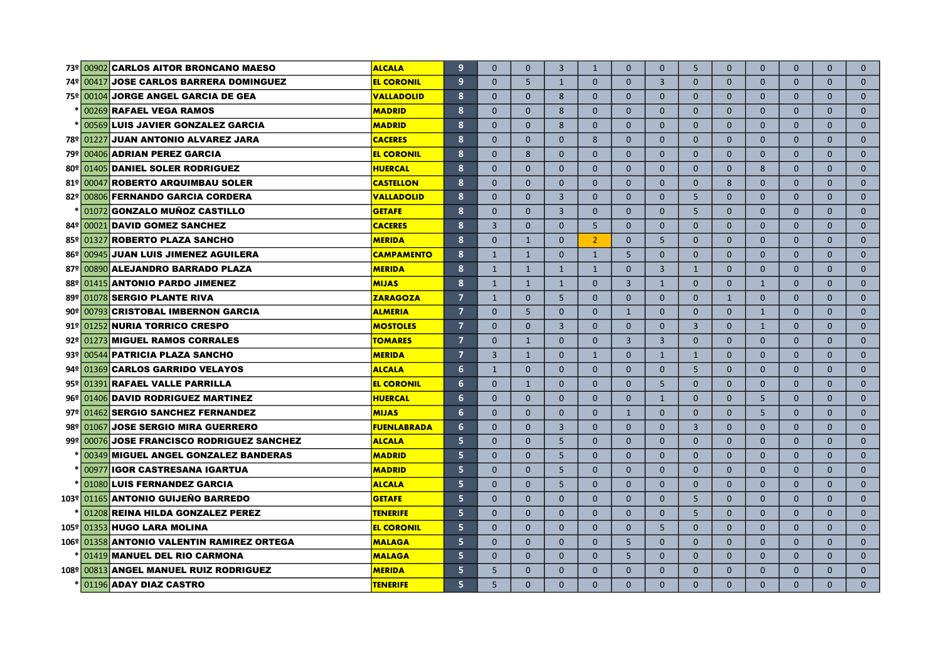|       | 73º 00902 CARLOS AITOR BRONCANO MAESO       | <b>ALCALA</b>      | $\overline{9}$ | $\Omega$       | $\Omega$     | $\overline{3}$ | $\mathbf{1}$   | $\Omega$       | $\overline{0}$ | 5              | $\Omega$     | $\mathbf{0}$ | $\mathbf{0}$ | $\Omega$     | $\mathbf{0}$ |
|-------|---------------------------------------------|--------------------|----------------|----------------|--------------|----------------|----------------|----------------|----------------|----------------|--------------|--------------|--------------|--------------|--------------|
|       | 74º 00417 JOSE CARLOS BARRERA DOMINGUEZ     | <b>EL CORONIL</b>  | 9              | $\mathbf{0}$   | 5            | $\mathbf{1}$   | $\Omega$       | $\mathbf{0}$   | $\overline{3}$ | $\overline{0}$ | $\mathbf{0}$ | $\mathbf{0}$ | $\mathbf{0}$ | $\Omega$     | $\mathbf{0}$ |
|       | 75º 00104 JORGE ANGEL GARCIA DE GEA         | <b>VALLADOLID</b>  | 8              | $\Omega$       | $\mathbf{0}$ | 8              | $\Omega$       | $\mathbf{0}$   | $\overline{0}$ | $\overline{0}$ | $\mathbf{0}$ | $\mathbf{0}$ | $\mathbf{0}$ | $\mathbf{0}$ | $\mathbf{0}$ |
|       | 00269 <b>RAFAEL VEGA RAMOS</b>              | <b>MADRID</b>      | 8              | $\Omega$       | $\Omega$     | 8              | $\Omega$       | $\mathbf{0}$   | $\overline{0}$ | $\mathbf{0}$   | $\Omega$     | $\mathbf{0}$ | $\mathbf{0}$ | $\mathbf{0}$ | $\mathbf{0}$ |
|       | 00569 LUIS JAVIER GONZALEZ GARCIA           | <b>MADRID</b>      | 8              | $\Omega$       | $\Omega$     | 8              | $\Omega$       | $\mathbf{0}$   | $\mathbf{0}$   | $\mathbf{0}$   | $\Omega$     | $\mathbf{0}$ | $\mathbf{0}$ | $\mathbf{0}$ | $\mathbf{0}$ |
|       | 78º 01227 JUAN ANTONIO ALVAREZ JARA         | <b>CACERES</b>     | 8              | $\Omega$       | $\mathbf{0}$ | $\Omega$       | 8              | $\mathbf{0}$   | $\overline{0}$ | $\overline{0}$ | $\mathbf{0}$ | $\mathbf{0}$ | $\mathbf{0}$ | $\mathbf{0}$ | $\mathbf{0}$ |
|       | 79º 00406 ADRIAN PEREZ GARCIA               | <b>EL CORONIL</b>  | 8              | $\Omega$       | 8            | $\Omega$       | $\Omega$       | $\Omega$       | $\Omega$       | $\Omega$       | $\Omega$     | $\Omega$     | $\Omega$     | $\Omega$     | $\mathbf 0$  |
| 80º l | 01405 DANIEL SOLER RODRIGUEZ                | <b>HUERCAL</b>     | 8              | $\Omega$       | $\Omega$     | $\Omega$       | $\Omega$       | $\Omega$       | $\Omega$       | $\Omega$       | $\Omega$     | 8            | $\Omega$     | $\Omega$     | $\mathbf{0}$ |
| 81의   | 00047<br><b>ROBERTO ARQUIMBAU SOLER</b>     | <b>CASTELLON</b>   | 8              | $\Omega$       | $\Omega$     | $\Omega$       | $\Omega$       | $\Omega$       | $\Omega$       | $\Omega$       | 8            | $\Omega$     | $\Omega$     | $\Omega$     | $\mathbf{0}$ |
| 82º   | 00806 FERNANDO GARCIA CORDERA               | <b>VALLADOLID</b>  | 8              | $\Omega$       | $\Omega$     | $\overline{3}$ | $\Omega$       | $\Omega$       | $\Omega$       | 5              | $\Omega$     | $\Omega$     | $\Omega$     | $\Omega$     | $\mathbf{0}$ |
|       | GONZALO MUÑOZ CASTILLO<br>01072             | <b>GETAFE</b>      | 8              | $\Omega$       | $\Omega$     | $\overline{3}$ | $\Omega$       | $\Omega$       | $\Omega$       | 5              | $\Omega$     | $\Omega$     | $\mathbf{0}$ | $\Omega$     | $\mathbf{0}$ |
| 84º   | DAVID GOMEZ SANCHEZ<br>00021                | <b>CACERES</b>     | 8              | $\overline{3}$ | $\mathbf{0}$ | $\Omega$       | 5              | $\Omega$       | $\overline{0}$ | $\Omega$       | $\mathbf{0}$ | $\Omega$     | $\mathbf{0}$ | $\mathbf{0}$ | $\mathbf{0}$ |
| 85의   | <b>ROBERTO PLAZA SANCHO</b><br> 01327       | <b>MERIDA</b>      | 8              | $\Omega$       | $\mathbf{1}$ | $\Omega$       | $\overline{2}$ | $\Omega$       | 5              | $\Omega$       | $\mathbf{0}$ | $\Omega$     | $\mathbf{0}$ | $\mathbf{0}$ | $\mathbf{0}$ |
|       | 86º 00945 JUAN LUIS JIMENEZ AGUILERA        | <b>CAMPAMENTO</b>  | 8              | $\mathbf{1}$   | $\mathbf{1}$ | $\Omega$       | $\mathbf{1}$   | 5              | $\overline{0}$ | $\Omega$       | $\mathbf{0}$ | $\mathbf{0}$ | $\mathbf{0}$ | $\mathbf{0}$ | $\mathbf{0}$ |
|       | 87º 00890 ALEJANDRO BARRADO PLAZA           | <b>MERIDA</b>      | 8              | $\mathbf{1}$   | $\mathbf{1}$ | $\mathbf{1}$   | $\mathbf{1}$   | $\mathbf{0}$   | $\overline{3}$ | $\mathbf{1}$   | $\mathbf{0}$ | $\mathbf{0}$ | $\mathbf{0}$ | $\mathbf{0}$ | $\mathbf{0}$ |
| 88의   | 01415 ANTONIO PARDO JIMENEZ                 | <b>MIJAS</b>       | 8              | $\mathbf{1}$   | $\mathbf{1}$ | $\mathbf{1}$   | $\Omega$       | $\overline{3}$ | $\mathbf{1}$   | $\Omega$       | $\Omega$     | 1            | $\Omega$     | $\Omega$     | $\Omega$     |
| ا 99≗ | 01078 SERGIO PLANTE RIVA                    | <b>ZARAGOZA</b>    | $\overline{7}$ | $\mathbf{1}$   | $\Omega$     | 5              | $\Omega$       | $\Omega$       | $\Omega$       | $\Omega$       | 1            | $\Omega$     | $\Omega$     | $\Omega$     | $\mathbf{0}$ |
|       | 90º 00793 CRISTOBAL IMBERNON GARCIA         | <b>ALMERIA</b>     | $\overline{7}$ | $\Omega$       | 5            | $\Omega$       | $\Omega$       | $\mathbf{1}$   | $\Omega$       | $\Omega$       | $\Omega$     | $\mathbf{1}$ | $\mathbf{0}$ | $\Omega$     | $\mathbf{0}$ |
|       | 91º 01252 NURIA TORRICO CRESPO              | <b>MOSTOLES</b>    | $\overline{7}$ | $\Omega$       | $\Omega$     | $\overline{3}$ | $\Omega$       | $\mathbf{0}$   | $\Omega$       | $\overline{3}$ | $\Omega$     | $\mathbf{1}$ | $\Omega$     | $\Omega$     | $\mathbf{0}$ |
|       | 92º 01273 MIGUEL RAMOS CORRALES             | <b>TOMARES</b>     | $\overline{7}$ | $\Omega$       | $\mathbf{1}$ | $\mathbf{0}$   | $\Omega$       | $\overline{3}$ | $\overline{3}$ | $\mathbf{0}$   | $\Omega$     | $\mathbf{0}$ | $\mathbf{0}$ | $\mathbf{0}$ | $\mathbf{0}$ |
|       | 93º 00544 PATRICIA PLAZA SANCHO             | <b>MERIDA</b>      | $\overline{7}$ | $\overline{3}$ | $\mathbf{1}$ | $\Omega$       | $\mathbf{1}$   | $\mathbf{0}$   | $\mathbf{1}$   | $\mathbf{1}$   | $\Omega$     | $\mathbf{0}$ | $\mathbf{0}$ | $\mathbf{0}$ | $\mathbf{0}$ |
|       | 94º 01369 CARLOS GARRIDO VELAYOS            | <b>ALCALA</b>      | $6\phantom{1}$ | $\mathbf{1}$   | $\mathbf{0}$ | $\mathbf{0}$   | $\mathbf{0}$   | $\mathbf{0}$   | $\overline{0}$ | 5              | $\mathbf{0}$ | $\mathbf{0}$ | $\mathbf{0}$ | $\mathbf{0}$ | $\mathbf{0}$ |
|       | 95 <sup>°</sup> 01391 RAFAEL VALLE PARRILLA | <b>EL CORONIL</b>  | 6              | $\mathbf{0}$   | $\mathbf{1}$ | $\mathbf{0}$   | $\mathbf{0}$   | $\mathbf{0}$   | 5              | $\overline{0}$ | $\mathbf{0}$ | $\mathbf{0}$ | $\mathbf{0}$ | $\mathbf{0}$ | $\mathbf{0}$ |
|       | 96º 01406 DAVID RODRIGUEZ MARTINEZ          | <b>HUERCAL</b>     | 6              | $\mathbf{0}$   | $\mathbf{0}$ | $\mathbf{0}$   | $\mathbf{0}$   | $\mathbf{0}$   | $\mathbf{1}$   | $\mathbf{0}$   | $\mathbf{0}$ | 5            | $\mathbf{0}$ | $\mathbf{0}$ | $\mathbf 0$  |
|       | 97º 01462 SERGIO SANCHEZ FERNANDEZ          | <b>MIJAS</b>       | 6              | $\Omega$       | $\Omega$     | $\Omega$       | $\Omega$       | $\mathbf{1}$   | $\Omega$       | $\Omega$       | $\Omega$     | 5            | $\Omega$     | $\Omega$     | $\Omega$     |
|       | 98º 01067 JOSE SERGIO MIRA GUERRERO         | <b>FUENLABRADA</b> | 6              | $\Omega$       | $\Omega$     | 3              | $\Omega$       | $\Omega$       | $\Omega$       | $\overline{3}$ | $\Omega$     | $\Omega$     | $\Omega$     | $\Omega$     | $\Omega$     |
|       | 99º 00076 JOSE FRANCISCO RODRIGUEZ SANCHEZ  | <b>ALCALA</b>      | 5              | $\Omega$       | $\Omega$     | 5              | $\Omega$       | $\Omega$       | $\Omega$       | $\Omega$       | $\Omega$     | $\Omega$     | $\Omega$     | $\Omega$     | $\mathbf{0}$ |
|       | 00349 MIGUEL ANGEL GONZALEZ BANDERAS        | <b>MADRID</b>      | 5              | $\Omega$       | $\Omega$     | 5              | $\Omega$       | $\Omega$       | $\Omega$       | $\Omega$       | $\Omega$     | $\Omega$     | $\Omega$     | $\Omega$     | $\mathbf{0}$ |
|       | 00977 IGOR CASTRESANA IGARTUA               | <b>MADRID</b>      | 5              | $\Omega$       | $\Omega$     | 5              | $\Omega$       | $\mathbf{0}$   | $\overline{0}$ | $\mathbf{0}$   | $\Omega$     | $\mathbf{0}$ | $\Omega$     | $\Omega$     | $\mathbf{0}$ |
|       | 01080 LUIS FERNANDEZ GARCIA                 | <b>ALCALA</b>      | 5              | $\Omega$       | $\Omega$     | 5              | $\Omega$       | $\overline{0}$ | $\overline{0}$ | $\mathbf{0}$   | $\mathbf{0}$ | $\mathbf{0}$ | $\Omega$     | $\mathbf{0}$ | $\mathbf{0}$ |
|       | 103º 01165 ANTONIO GUIJEÑO BARREDO          | <b>GETAFE</b>      | 5              | $\mathbf{0}$   | $\mathbf{0}$ | $\Omega$       | $\Omega$       | $\overline{0}$ | $\overline{0}$ | 5              | $\mathbf{0}$ | $\mathbf{0}$ | $\mathbf{0}$ | $\mathbf{0}$ | $\mathbf{0}$ |
|       | 01208 REINA HILDA GONZALEZ PEREZ            | <b>TENERIFE</b>    | 5              | $\Omega$       | $\mathbf{0}$ | $\Omega$       | $\Omega$       | $\overline{0}$ | $\overline{0}$ | 5              | $\mathbf{0}$ | $\mathbf{0}$ | $\mathbf{0}$ | $\mathbf{0}$ | $\mathbf{0}$ |
|       | 105º   01353 HUGO LARA MOLINA               | <b>EL CORONIL</b>  | 5              | $\Omega$       | $\mathbf{0}$ | $\Omega$       | $\Omega$       | $\mathbf{0}$   | 5              | $\overline{0}$ | $\mathbf{0}$ | $\mathbf{0}$ | $\mathbf{0}$ | $\mathbf{0}$ | $\mathbf{0}$ |
|       | 106º 01358 ANTONIO VALENTIN RAMIREZ ORTEGA  | <b>MALAGA</b>      | 5              | $\Omega$       | $\Omega$     | $\Omega$       | $\Omega$       | 5              | $\Omega$       | $\Omega$       | $\Omega$     | $\Omega$     | $\Omega$     | $\Omega$     | $\Omega$     |
|       | 01419 MANUEL DEL RIO CARMONA                | <b>MALAGA</b>      | 5              | $\Omega$       | $\Omega$     | $\Omega$       | $\Omega$       | 5              | $\overline{0}$ | $\Omega$       | $\Omega$     | $\mathbf{0}$ | $\Omega$     | $\Omega$     | $\mathbf{0}$ |
|       | 108º 00813 ANGEL MANUEL RUIZ RODRIGUEZ      | <b>MERIDA</b>      | 5              | 5              | $\Omega$     | $\Omega$       | $\Omega$       | $\Omega$       | $\overline{0}$ | $\Omega$       | $\Omega$     | $\mathbf{0}$ | $\Omega$     | $\Omega$     | $\mathbf{0}$ |
|       | 01196 ADAY DIAZ CASTRO                      | <b>TENERIFE</b>    | 5              | 5              | $\Omega$     | $\Omega$       | $\Omega$       | $\Omega$       | $\Omega$       | $\Omega$       | $\Omega$     | $\Omega$     | $\Omega$     | $\Omega$     | $\Omega$     |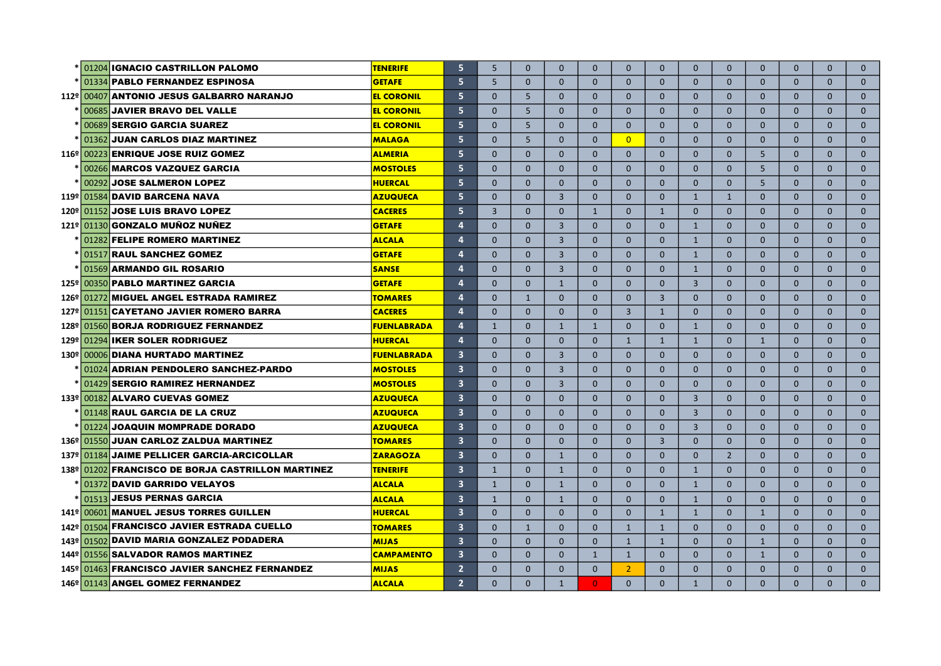|               |       | 01204 IGNACIO CASTRILLON PALOMO                   | <b>TENERIFE</b>    | $\overline{5}$          | 5              | $\Omega$     | $\Omega$       | $\Omega$       | $\Omega$       | $\Omega$       | $\Omega$       | $\mathbf{0}$   | $\mathbf{0}$   | $\Omega$     | $\Omega$     | $\Omega$     |
|---------------|-------|---------------------------------------------------|--------------------|-------------------------|----------------|--------------|----------------|----------------|----------------|----------------|----------------|----------------|----------------|--------------|--------------|--------------|
|               |       | 01334 PABLO FERNANDEZ ESPINOSA                    | <b>GETAFE</b>      | 5                       | 5              | $\Omega$     | $\mathbf{0}$   | $\mathbf{0}$   | $\Omega$       | $\mathbf{0}$   | $\Omega$       | $\mathbf{0}$   | $\mathbf{0}$   | $\mathbf{0}$ | $\Omega$     | $\mathbf{0}$ |
|               |       | 112º 00407 ANTONIO JESUS GALBARRO NARANJO         | <b>EL CORONIL</b>  | 5                       | $\mathbf{0}$   | 5            | $\mathbf{0}$   | $\mathbf{0}$   | $\mathbf{0}$   | $\mathbf{0}$   | $\mathbf{0}$   | $\mathbf{0}$   | $\mathbf{0}$   | $\mathbf{0}$ | $\mathbf{0}$ | $\mathbf 0$  |
|               |       | 00685 JAVIER BRAVO DEL VALLE                      | <b>EL CORONIL</b>  | 5                       | $\Omega$       | 5            | $\mathbf{0}$   | $\mathbf{0}$   | $\mathbf{0}$   | $\mathbf{0}$   | $\mathbf{0}$   | $\mathbf{0}$   | $\mathbf{0}$   | $\mathbf{0}$ | $\mathbf{0}$ | $\mathbf 0$  |
|               |       | 00689 SERGIO GARCIA SUAREZ                        | <b>EL CORONIL</b>  | 5                       | $\Omega$       | 5            | $\Omega$       | $\Omega$       | $\Omega$       | $\Omega$       | $\Omega$       | $\Omega$       | $\Omega$       | $\Omega$     | $\Omega$     | $\Omega$     |
|               | 01362 | <b>JUAN CARLOS DIAZ MARTINEZ</b>                  | <b>MALAGA</b>      | $\overline{5}$          | $\Omega$       | 5            | $\Omega$       | $\Omega$       | $\overline{0}$ | $\Omega$       | $\Omega$       | $\Omega$       | $\Omega$       | $\Omega$     | $\Omega$     | $\mathbf{0}$ |
|               |       | 116º 00223 ENRIQUE JOSE RUIZ GOMEZ                | <b>ALMERIA</b>     | 5                       | $\Omega$       | $\Omega$     | $\Omega$       | $\Omega$       | $\Omega$       | $\Omega$       | $\Omega$       | $\Omega$       | 5              | $\Omega$     | $\Omega$     | $\mathbf{0}$ |
|               |       | 00266 MARCOS VAZQUEZ GARCIA                       | <b>MOSTOLES</b>    | 5                       | $\Omega$       | $\Omega$     | $\Omega$       | $\Omega$       | $\Omega$       | $\Omega$       | $\Omega$       | $\Omega$       | 5              | $\mathbf{0}$ | $\mathbf{0}$ | $\mathbf{0}$ |
|               | 00292 | <b>JOSE SALMERON LOPEZ</b>                        | <b>HUERCAL</b>     | 5                       | $\Omega$       | $\mathbf{0}$ | $\mathbf{0}$   | $\Omega$       | $\mathbf{0}$   | $\mathbf{0}$   | $\mathbf{0}$   | $\mathbf{0}$   | 5 <sup>5</sup> | $\mathbf{0}$ | $\mathbf{0}$ | $\mathbf{0}$ |
|               |       | 119º 01584 DAVID BARCENA NAVA                     | <b>AZUQUECA</b>    | 5                       | $\Omega$       | $\mathbf{0}$ | $\overline{3}$ | $\mathbf{0}$   | $\mathbf{0}$   | $\mathbf{0}$   | $\mathbf{1}$   | $\mathbf{1}$   | $\mathbf{0}$   | $\mathbf{0}$ | $\mathbf{0}$ | $\mathbf{0}$ |
| 120º          |       | 01152 JOSE LUIS BRAVO LOPEZ                       | <b>CACERES</b>     | 5                       | $\overline{3}$ | $\mathbf{0}$ | $\mathbf{0}$   | 1              | $\mathbf{0}$   | $\mathbf{1}$   | $\mathbf{0}$   | $\mathbf{0}$   | $\mathbf{0}$   | $\mathbf{0}$ | $\mathbf{0}$ | $\mathbf{0}$ |
|               |       | 121º 01130 GONZALO MUÑOZ NUÑEZ                    | <b>GETAFE</b>      | $\overline{4}$          | $\Omega$       | $\Omega$     | $\overline{3}$ | $\Omega$       | $\Omega$       | $\Omega$       | $\mathbf{1}$   | $\Omega$       | $\Omega$       | $\Omega$     | $\Omega$     | $\Omega$     |
|               |       | 01282 FELIPE ROMERO MARTINEZ                      | <b>ALCALA</b>      | $\overline{4}$          | $\Omega$       | $\Omega$     | $\overline{3}$ | $\Omega$       | $\Omega$       | $\Omega$       | $\mathbf{1}$   | $\Omega$       | $\Omega$       | $\Omega$     | $\Omega$     | $\mathbf{0}$ |
|               |       | 01517 RAUL SANCHEZ GOMEZ                          | <b>GETAFE</b>      | $\overline{4}$          | $\mathbf{0}$   | $\Omega$     | $\overline{3}$ | $\Omega$       | $\overline{0}$ | $\Omega$       | $\mathbf{1}$   | $\Omega$       | $\mathbf{0}$   | $\mathbf{0}$ | $\mathbf{0}$ | $\mathbf{0}$ |
|               |       | 01569 ARMANDO GIL ROSARIO                         | <b>SANSE</b>       | $\overline{4}$          | $\mathbf{0}$   | $\mathbf{0}$ | $\overline{3}$ | $\overline{0}$ | $\mathbf{0}$   | $\mathbf{0}$   | $\mathbf{1}$   | $\mathbf{0}$   | $\mathbf{0}$   | $\mathbf{0}$ | $\mathbf{0}$ | $\mathbf{0}$ |
|               |       | 125º   00350 PABLO MARTINEZ GARCIA                | <b>GETAFE</b>      | $\overline{4}$          | $\mathbf{0}$   | $\mathbf{0}$ | $\mathbf{1}$   | $\mathbf{0}$   | $\mathbf{0}$   | $\mathbf{0}$   | $\overline{3}$ | $\mathbf{0}$   | $\mathbf{0}$   | $\mathbf{0}$ | $\mathbf{0}$ | $\mathbf{0}$ |
| $126^{\circ}$ |       | 01272 MIGUEL ANGEL ESTRADA RAMIREZ                | <b>TOMARES</b>     | $\overline{a}$          | $\Omega$       | 1            | $\Omega$       | $\Omega$       | $\Omega$       | $\overline{3}$ | $\Omega$       | $\Omega$       | $\Omega$       | $\Omega$     | $\Omega$     | $\Omega$     |
|               |       | 127º 01151 CAYETANO JAVIER ROMERO BARRA           | <b>CACERES</b>     | $\overline{4}$          | $\Omega$       | $\Omega$     | $\Omega$       | $\Omega$       | $\mathbf{3}$   | $\mathbf{1}$   | $\Omega$       | $\Omega$       | $\Omega$       | $\Omega$     | $\Omega$     | $\Omega$     |
|               |       | 128º 01560 BORJA RODRIGUEZ FERNANDEZ              | <b>FUENLABRADA</b> | $\overline{4}$          | $\mathbf{1}$   | $\Omega$     | $\mathbf{1}$   | $\mathbf{1}$   | $\mathbf{0}$   | $\mathbf{0}$   | $\mathbf{1}$   | $\mathbf{0}$   | $\mathbf{0}$   | $\mathbf{0}$ | $\mathbf{0}$ | $\mathbf 0$  |
|               |       | 129º 01294 IKER SOLER RODRIGUEZ                   | <b>HUERCAL</b>     | $\overline{a}$          | $\mathbf{0}$   | $\Omega$     | $\mathbf{0}$   | $\mathbf{0}$   | $\mathbf{1}$   | $\mathbf{1}$   | $\mathbf{1}$   | $\mathbf{0}$   | $\mathbf{1}$   | $\mathbf{0}$ | $\mathbf{0}$ | $\mathbf 0$  |
| 130º          |       | 00006 DIANA HURTADO MARTINEZ                      | <b>FUENLABRADA</b> | $\overline{\mathbf{3}}$ | $\mathbf{0}$   | $\Omega$     | $\overline{3}$ | $\mathbf{0}$   | $\overline{0}$ | $\mathbf{0}$   | $\mathbf{0}$   | $\mathbf{0}$   | $\mathbf{0}$   | $\mathbf{0}$ | $\mathbf{0}$ | $\mathbf{0}$ |
|               |       | 01024 ADRIAN PENDOLERO SANCHEZ-PARDO              | <b>MOSTOLES</b>    | $\overline{\mathbf{3}}$ | $\mathbf{0}$   | $\Omega$     | $\overline{3}$ | $\mathbf{0}$   | $\mathbf{0}$   | $\mathbf{0}$   | $\mathbf{0}$   | $\mathbf{0}$   | $\mathbf{0}$   | $\mathbf{0}$ | $\Omega$     | $\mathbf 0$  |
|               |       | 01429 SERGIO RAMIREZ HERNANDEZ                    | <b>MOSTOLES</b>    | $\overline{\mathbf{3}}$ | $\mathbf{0}$   | $\mathbf{0}$ | $\overline{3}$ | $\mathbf{0}$   | $\mathbf{0}$   | $\mathbf{0}$   | $\mathbf{0}$   | $\mathbf{0}$   | $\mathbf{0}$   | $\mathbf{0}$ | $\mathbf{0}$ | $\mathbf 0$  |
|               |       | 133º 00182 ALVARO CUEVAS GOMEZ                    | <b>AZUQUECA</b>    | $\overline{\mathbf{3}}$ | $\Omega$       | $\Omega$     | $\Omega$       | $\Omega$       | $\Omega$       | $\Omega$       | $\overline{3}$ | $\Omega$       | $\Omega$       | $\Omega$     | $\Omega$     | $\mathbf 0$  |
|               |       | 01148 RAUL GARCIA DE LA CRUZ                      | <b>AZUQUECA</b>    | $\overline{\mathbf{3}}$ | $\Omega$       | $\Omega$     | $\Omega$       | $\Omega$       | $\Omega$       | $\Omega$       | $\overline{3}$ | $\Omega$       | $\Omega$       | $\Omega$     | $\Omega$     | $\mathbf{0}$ |
|               |       | 01224 JOAQUIN MOMPRADE DORADO                     | <b>AZUQUECA</b>    | $\overline{\mathbf{3}}$ | $\Omega$       | $\Omega$     | $\mathbf{0}$   | $\Omega$       | $\mathbf{0}$   | $\Omega$       | $\overline{3}$ | $\Omega$       | $\mathbf{0}$   | $\Omega$     | $\Omega$     | $\mathbf{0}$ |
|               |       | 136º 01550 JUAN CARLOZ ZALDUA MARTINEZ            | <b>TOMARES</b>     | $\overline{\mathbf{3}}$ | $\Omega$       | $\Omega$     | $\mathbf{0}$   | $\Omega$       | $\mathbf{0}$   | $\overline{3}$ | $\mathbf{0}$   | $\mathbf{0}$   | $\mathbf{0}$   | $\Omega$     | $\Omega$     | $\mathbf{0}$ |
|               |       | 137º 01184 JAIME PELLICER GARCIA-ARCICOLLAR       | <b>ZARAGOZA</b>    | $\overline{\mathbf{3}}$ | $\Omega$       | $\mathbf{0}$ | $\mathbf{1}$   | $\mathbf{0}$   | $\mathbf{0}$   | $\mathbf{0}$   | $\mathbf{0}$   | $\overline{2}$ | $\mathbf{0}$   | $\mathbf{0}$ | $\mathbf{0}$ | $\mathbf{0}$ |
|               |       | 138º 01202 FRANCISCO DE BORJA CASTRILLON MARTINEZ | <b>TENERIFE</b>    | $\overline{\mathbf{3}}$ | $\mathbf{1}$   | $\mathbf{0}$ | $\mathbf{1}$   | $\mathbf{0}$   | $\mathbf{0}$   | $\mathbf{0}$   | $\mathbf{1}$   | $\mathbf{0}$   | $\mathbf{0}$   | $\mathbf{0}$ | $\mathbf{0}$ | $\mathbf{0}$ |
|               |       | 01372 DAVID GARRIDO VELAYOS                       | <b>ALCALA</b>      | $\overline{\mathbf{3}}$ | $\mathbf{1}$   | $\Omega$     | $\mathbf{1}$   | $\Omega$       | $\Omega$       | $\Omega$       | $\mathbf{1}$   | $\Omega$       | $\Omega$       | $\Omega$     | $\Omega$     | $\Omega$     |
|               |       | 01513 JESUS PERNAS GARCIA                         | <b>ALCALA</b>      | $\overline{\mathbf{3}}$ | $\mathbf{1}$   | $\Omega$     | 1              | $\Omega$       | $\Omega$       | $\Omega$       | $\mathbf{1}$   | $\Omega$       | $\Omega$       | $\Omega$     | $\Omega$     | $\Omega$     |
|               |       | 141º 00601 MANUEL JESUS TORRES GUILLEN            | <b>HUERCAL</b>     | $\overline{\mathbf{3}}$ | $\Omega$       | $\Omega$     | $\Omega$       | $\Omega$       | $\mathbf{0}$   | $\mathbf{1}$   | $\mathbf{1}$   | $\mathbf{0}$   | $\mathbf{1}$   | $\Omega$     | $\Omega$     | $\mathbf{0}$ |
|               |       | 142º 01504 FRANCISCO JAVIER ESTRADA CUELLO        | <b>TOMARES</b>     | $\overline{\mathbf{3}}$ | $\Omega$       | $\mathbf{1}$ | $\Omega$       | $\Omega$       | $\mathbf{1}$   | $\mathbf{1}$   | $\Omega$       | $\Omega$       | $\Omega$       | $\Omega$     | $\Omega$     | $\Omega$     |
|               |       | 143º 01502 DAVID MARIA GONZALEZ PODADERA          | <b>MIJAS</b>       | $\overline{\mathbf{3}}$ | $\Omega$       | $\mathbf{0}$ | $\mathbf{0}$   | $\mathbf{0}$   | $\mathbf{1}$   | $\mathbf{1}$   | $\mathbf{0}$   | $\mathbf{0}$   | $\mathbf{1}$   | $\Omega$     | $\Omega$     | $\mathbf{0}$ |
|               |       | 144º   01556 SALVADOR RAMOS MARTINEZ              | <b>CAMPAMENTO</b>  | $\overline{\mathbf{3}}$ | $\Omega$       | $\Omega$     | $\Omega$       | 1              | $\mathbf{1}$   | $\Omega$       | $\Omega$       | $\Omega$       | 1              | $\Omega$     | $\Omega$     | $\Omega$     |
|               |       | 145º 01463 FRANCISCO JAVIER SANCHEZ FERNANDEZ     | <b>MIJAS</b>       | $\overline{2}$          | $\Omega$       | $\Omega$     | $\Omega$       | $\Omega$       | $\overline{2}$ | $\Omega$       | $\mathbf{0}$   | $\Omega$       | $\mathbf{0}$   | $\Omega$     | $\Omega$     | $\Omega$     |
|               |       | 146º 01143 ANGEL GOMEZ FERNANDEZ                  | <b>ALCALA</b>      | $\overline{2}$          | $\Omega$       | $\Omega$     | $\mathbf{1}$   | $\overline{0}$ | $\Omega$       | $\Omega$       | $\mathbf{1}$   | $\Omega$       | $\Omega$       | $\Omega$     | $\Omega$     | $\Omega$     |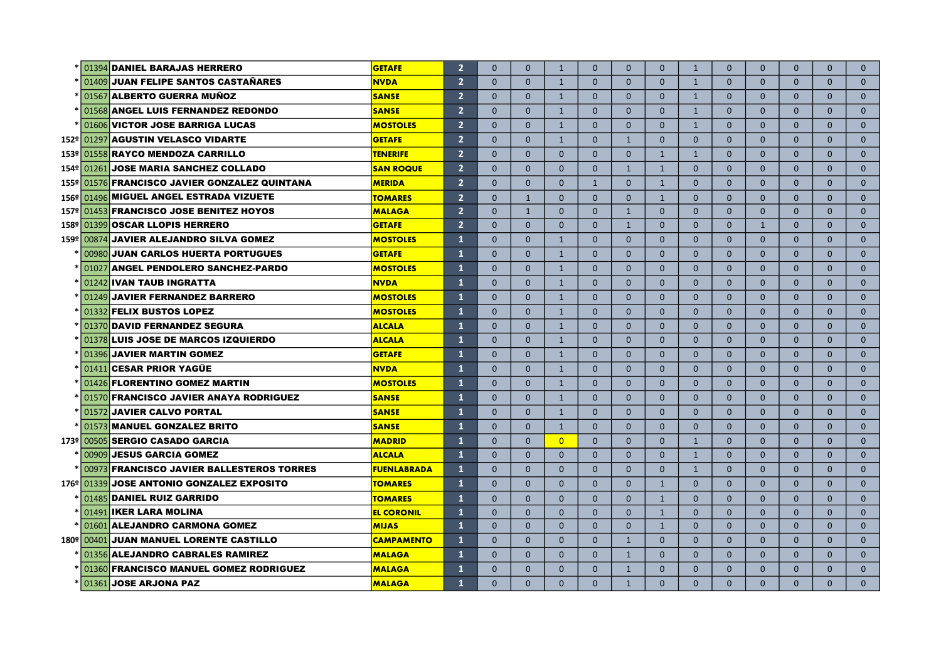|  | * 01394 DANIEL BARAJAS HERRERO                    | <b>GETAFE</b>      | $\overline{2}$ | $\Omega$     | $\Omega$     | $\mathbf{1}$   | $\Omega$     | $\Omega$     | $\Omega$       | $\mathbf{1}$ | $\Omega$       | $\mathbf{0}$ | $\Omega$     | $\Omega$     | $\Omega$     |
|--|---------------------------------------------------|--------------------|----------------|--------------|--------------|----------------|--------------|--------------|----------------|--------------|----------------|--------------|--------------|--------------|--------------|
|  | * 01409 JUAN FELIPE SANTOS CASTAÑARES             | <b>NVDA</b>        | $\overline{2}$ | $\Omega$     | $\mathbf{0}$ | $\mathbf{1}$   | $\mathbf{0}$ | $\Omega$     | $\mathbf{0}$   | $\mathbf{1}$ | $\mathbf{0}$   | $\mathbf{0}$ | $\mathbf{0}$ | $\Omega$     | $\mathbf{0}$ |
|  | *  01567  <b>ALBERTO GUERRA MUÑOZ</b>             | <b>SANSE</b>       | $\overline{2}$ | $\Omega$     | $\Omega$     | $\mathbf{1}$   | $\Omega$     | $\Omega$     | $\Omega$       | $\mathbf{1}$ | $\Omega$       | $\Omega$     | $\Omega$     | $\Omega$     | $\Omega$     |
|  | 01568 ANGEL LUIS FERNANDEZ REDONDO                | <b>SANSE</b>       | $\overline{2}$ | $\Omega$     | $\Omega$     | $\mathbf{1}$   | $\Omega$     | $\Omega$     | $\Omega$       | $\mathbf{1}$ | $\Omega$       | $\Omega$     | $\Omega$     | $\Omega$     | $\Omega$     |
|  | 01606 VICTOR JOSE BARRIGA LUCAS                   | <b>MOSTOLES</b>    | $\overline{2}$ | $\Omega$     | $\Omega$     | $\mathbf{1}$   | $\Omega$     | $\Omega$     | $\mathbf{0}$   | $\mathbf{1}$ | $\Omega$       | $\Omega$     | $\Omega$     | $\Omega$     | $\mathbf{0}$ |
|  | 152º 01297 AGUSTIN VELASCO VIDARTE                | <b>GETAFE</b>      | $\overline{2}$ | $\Omega$     | $\Omega$     | $\mathbf{1}$   | $\Omega$     | $\mathbf{1}$ | $\mathbf{0}$   | $\mathbf{0}$ | $\mathbf{0}$   | $\mathbf{0}$ | $\mathbf{0}$ | $\mathbf{0}$ | $\mathbf{0}$ |
|  | 153º 01558 RAYCO MENDOZA CARRILLO                 | <b>TENERIFE</b>    | $\overline{2}$ | $\Omega$     | $\Omega$     | $\Omega$       | $\Omega$     | $\Omega$     | $\mathbf{1}$   | $\mathbf{1}$ | $\Omega$       | $\Omega$     | $\Omega$     | $\Omega$     | $\mathbf 0$  |
|  | 154º 01261 JOSE MARIA SANCHEZ COLLADO             | <b>SAN ROQUE</b>   | $\overline{2}$ | $\Omega$     | $\Omega$     | $\Omega$       | $\Omega$     | $\mathbf{1}$ | $\mathbf{1}$   | $\Omega$     | $\Omega$       | $\Omega$     | $\Omega$     | $\Omega$     | $\mathbf 0$  |
|  | 155º 01576 FRANCISCO JAVIER GONZALEZ QUINTANA     | <b>MERIDA</b>      | $\overline{2}$ | $\Omega$     | $\Omega$     | $\Omega$       | $\mathbf{1}$ | $\Omega$     | $\mathbf{1}$   | $\Omega$     | $\Omega$       | $\Omega$     | $\Omega$     | $\Omega$     | $\mathbf 0$  |
|  | 156º 01496 MIGUEL ANGEL ESTRADA VIZUETE           | <b>TOMARES</b>     | $\overline{2}$ | $\Omega$     | $\mathbf{1}$ | $\Omega$       | $\Omega$     | $\mathbf{0}$ | $\mathbf{1}$   | $\Omega$     | $\mathbf{0}$   | $\mathbf{0}$ | $\mathbf{0}$ | $\mathbf{0}$ | $\mathbf{0}$ |
|  | 157º 01453 FRANCISCO JOSE BENITEZ HOYOS           | <b>MALAGA</b>      | $\overline{2}$ | $\Omega$     | $\mathbf{1}$ | $\Omega$       | $\Omega$     | $\mathbf{1}$ | $\Omega$       | $\Omega$     | $\Omega$       | $\Omega$     | $\Omega$     | $\Omega$     | $\Omega$     |
|  | 158º 01399 OSCAR LLOPIS HERRERO                   | <b>GETAFE</b>      | $\overline{2}$ | $\Omega$     | $\Omega$     | $\Omega$       | $\Omega$     | $\mathbf{1}$ | $\Omega$       | $\Omega$     | $\Omega$       | $\mathbf{1}$ | $\Omega$     | $\Omega$     | $\mathbf 0$  |
|  | 159º 00874 JAVIER ALEJANDRO SILVA GOMEZ           | <b>MOSTOLES</b>    | $\mathbf{1}$   | $\Omega$     | $\Omega$     | $\mathbf{1}$   | $\Omega$     | $\mathbf{0}$ | $\mathbf{0}$   | $\Omega$     | $\mathbf{0}$   | $\mathbf{0}$ | $\mathbf{0}$ | $\mathbf{0}$ | $\mathbf 0$  |
|  | 00980 JUAN CARLOS HUERTA PORTUGUES                | <b>GETAFE</b>      | $\mathbf{1}$   | $\Omega$     | $\Omega$     | $\mathbf{1}$   | $\Omega$     | $\Omega$     | $\Omega$       | $\Omega$     | $\Omega$       | $\Omega$     | $\Omega$     | $\Omega$     | $\Omega$     |
|  | 01027 ANGEL PENDOLERO SANCHEZ-PARDO               | <b>MOSTOLES</b>    | $\mathbf{1}$   | $\Omega$     | $\Omega$     | $\mathbf{1}$   | $\Omega$     | $\Omega$     | $\Omega$       | $\Omega$     | $\Omega$       | $\Omega$     | $\Omega$     | $\Omega$     | $\Omega$     |
|  | 01242 IVAN TAUB INGRATTA                          | <b>NVDA</b>        | $\mathbf{1}$   | $\Omega$     | $\Omega$     | $\mathbf{1}$   | $\Omega$     | $\Omega$     | $\Omega$       | $\Omega$     | $\Omega$       | $\Omega$     | $\Omega$     | $\Omega$     | $\mathbf{0}$ |
|  | 01249 JAVIER FERNANDEZ BARRERO                    | <b>MOSTOLES</b>    | $\mathbf{1}$   | $\mathbf{0}$ | $\mathbf{0}$ | $\mathbf{1}$   | $\mathbf{0}$ | $\mathbf{0}$ | $\mathbf{0}$   | $\mathbf{0}$ | $\overline{0}$ | $\mathbf{0}$ | $\mathbf{0}$ | $\mathbf{0}$ | $\mathbf{0}$ |
|  | 01332 FELIX BUSTOS LOPEZ                          | <b>MOSTOLES</b>    | $\mathbf{1}$   | $\Omega$     | $\Omega$     | $\mathbf{1}$   | $\Omega$     | $\Omega$     | $\Omega$       | $\Omega$     | $\Omega$       | $\Omega$     | $\Omega$     | $\Omega$     | $\Omega$     |
|  | 01370 DAVID FERNANDEZ SEGURA                      | <b>ALCALA</b>      | $\mathbf{1}$   | $\Omega$     | $\Omega$     | $\mathbf{1}$   | $\Omega$     | $\mathbf{0}$ | $\overline{0}$ | $\Omega$     | $\Omega$       | $\Omega$     | $\Omega$     | $\Omega$     | $\mathbf{0}$ |
|  | 01378 LUIS JOSE DE MARCOS IZQUIERDO               | <b>ALCALA</b>      | $\mathbf{1}$   | $\mathbf 0$  | $\mathbf{0}$ | $\mathbf{1}$   | $\mathbf{0}$ | $\mathbf{0}$ | $\mathbf{0}$   | $\mathbf{0}$ | $\mathbf{0}$   | $\mathbf{0}$ | $\mathbf{0}$ | $\mathbf{0}$ | $\mathbf{0}$ |
|  | 01396 JAVIER MARTIN GOMEZ                         | <b>GETAFE</b>      | $\mathbf{1}$   | $\mathbf 0$  | $\mathbf{0}$ | $\mathbf{1}$   | $\mathbf{0}$ | $\mathbf{0}$ | $\mathbf{0}$   | $\mathbf{0}$ | $\mathbf{0}$   | $\mathbf{0}$ | $\mathbf{0}$ | $\mathbf{0}$ | $\mathbf{0}$ |
|  | 01411 CESAR PRIOR YAGÜE                           | <b>NVDA</b>        | $\mathbf{1}$   | $\Omega$     | $\Omega$     | $\mathbf{1}$   | $\Omega$     | $\Omega$     | $\mathbf{0}$   | $\Omega$     | $\Omega$       | $\mathbf{0}$ | $\Omega$     | $\mathbf{0}$ | $\Omega$     |
|  | 01426 FLORENTINO GOMEZ MARTIN                     | <b>MOSTOLES</b>    | $\mathbf{1}$   | $\Omega$     | $\Omega$     | $\mathbf{1}$   | $\Omega$     | $\Omega$     | $\Omega$       | $\Omega$     | $\Omega$       | $\Omega$     | $\Omega$     | $\Omega$     | $\Omega$     |
|  | 01570 FRANCISCO JAVIER ANAYA RODRIGUEZ            | <b>SANSE</b>       | $\mathbf{1}$   | $\Omega$     | $\mathbf{0}$ | $\mathbf{1}$   | $\Omega$     | $\mathbf{0}$ | $\mathbf{0}$   | $\mathbf{0}$ | $\Omega$       | $\mathbf{0}$ | $\mathbf{0}$ | $\mathbf{0}$ | $\mathbf 0$  |
|  | 01572 JAVIER CALVO PORTAL                         | <b>SANSE</b>       | $\mathbf{1}$   | $\Omega$     | $\Omega$     | $\mathbf{1}$   | $\Omega$     | $\Omega$     | $\Omega$       | $\Omega$     | $\Omega$       | $\Omega$     | $\Omega$     | $\Omega$     | $\Omega$     |
|  | 01573 MANUEL GONZALEZ BRITO                       | <b>SANSE</b>       | $\mathbf{1}$   | $\Omega$     | $\Omega$     | $\mathbf{1}$   | $\Omega$     | $\Omega$     | $\Omega$       | $\Omega$     | $\Omega$       | $\Omega$     | $\Omega$     | $\Omega$     | $\mathbf{0}$ |
|  | 173º 00505 SERGIO CASADO GARCIA                   | <b>MADRID</b>      | $\mathbf{1}$   | $\Omega$     | $\Omega$     | $\overline{0}$ | $\Omega$     | $\Omega$     | $\Omega$       | $\mathbf{1}$ | $\Omega$       | $\mathbf{0}$ | $\Omega$     | $\Omega$     | $\mathbf 0$  |
|  | 00909 JESUS GARCIA GOMEZ                          | <b>ALCALA</b>      | $\mathbf{1}$   | $\Omega$     | $\Omega$     | $\mathbf{0}$   | $\mathbf{0}$ | $\mathbf{0}$ | $\mathbf{0}$   | $\mathbf{1}$ | $\mathbf{0}$   | $\mathbf{0}$ | $\mathbf{0}$ | $\mathbf{0}$ | $\mathbf 0$  |
|  | <b>100973 FRANCISCO JAVIER BALLESTEROS TORRES</b> | <b>FUENLABRADA</b> | $\mathbf{1}$   | $\Omega$     | $\Omega$     | $\Omega$       | $\Omega$     | $\Omega$     | $\Omega$       | $\mathbf{1}$ | $\Omega$       | $\Omega$     | $\Omega$     | $\Omega$     | $\Omega$     |
|  | 176º 01339 JOSE ANTONIO GONZALEZ EXPOSITO         | <b>TOMARES</b>     | $\mathbf{1}$   | $\Omega$     | $\Omega$     | $\Omega$       | $\Omega$     | $\Omega$     | $\mathbf{1}$   | $\Omega$     | $\Omega$       | $\Omega$     | $\Omega$     | $\Omega$     | $\mathbf{0}$ |
|  | 01485 DANIEL RUIZ GARRIDO                         | <b>TOMARES</b>     | $\mathbf{1}$   | $\Omega$     | $\Omega$     | $\Omega$       | $\Omega$     | $\Omega$     | $\mathbf{1}$   | $\Omega$     | $\Omega$       | $\Omega$     | $\Omega$     | $\Omega$     | $\Omega$     |
|  | 01491 IKER LARA MOLINA                            | <b>EL CORONIL</b>  | $\mathbf{1}$   | $\Omega$     | $\Omega$     | $\Omega$       | $\Omega$     | $\Omega$     | $\mathbf{1}$   | $\Omega$     | $\Omega$       | $\Omega$     | $\Omega$     | $\Omega$     | $\mathbf{0}$ |
|  | 01601 ALEJANDRO CARMONA GOMEZ                     | <b>MIJAS</b>       | $\mathbf{1}$   | $\Omega$     | $\Omega$     | $\Omega$       | $\Omega$     | $\Omega$     | $\mathbf{1}$   | $\Omega$     | $\Omega$       | $\Omega$     | $\Omega$     | $\Omega$     | $\Omega$     |
|  | 180º 00401 JUAN MANUEL LORENTE CASTILLO           | <b>CAMPAMENTO</b>  | $\mathbf{1}$   | $\Omega$     | $\Omega$     | $\Omega$       | $\Omega$     | $\mathbf{1}$ | $\mathbf{0}$   | $\Omega$     | $\mathbf{0}$   | $\mathbf{0}$ | $\Omega$     | $\Omega$     | $\mathbf{0}$ |
|  | 01356 ALEJANDRO CABRALES RAMIREZ                  | <b>MALAGA</b>      | $\mathbf{1}$   | $\Omega$     | $\mathbf{0}$ | $\mathbf{0}$   | $\mathbf{0}$ | $\mathbf{1}$ | $\mathbf{0}$   | $\mathbf{0}$ | $\mathbf{0}$   | $\mathbf{0}$ | $\mathbf{0}$ | $\mathbf{0}$ | $\mathbf{0}$ |
|  | 01360 FRANCISCO MANUEL GOMEZ RODRIGUEZ            | <b>MALAGA</b>      | 1              | $\Omega$     | $\Omega$     | $\Omega$       | $\Omega$     | $\mathbf{1}$ | $\Omega$       | $\Omega$     | $\Omega$       | $\Omega$     | $\Omega$     | $\Omega$     | $\Omega$     |
|  | $*$ 01361 JOSE ARJONA PAZ                         | <b>MALAGA</b>      | $\mathbf{1}$   | $\Omega$     | $\Omega$     | $\Omega$       | $\Omega$     | $\mathbf{1}$ | $\Omega$       | $\Omega$     | $\Omega$       | $\Omega$     | $\Omega$     | $\Omega$     | $\Omega$     |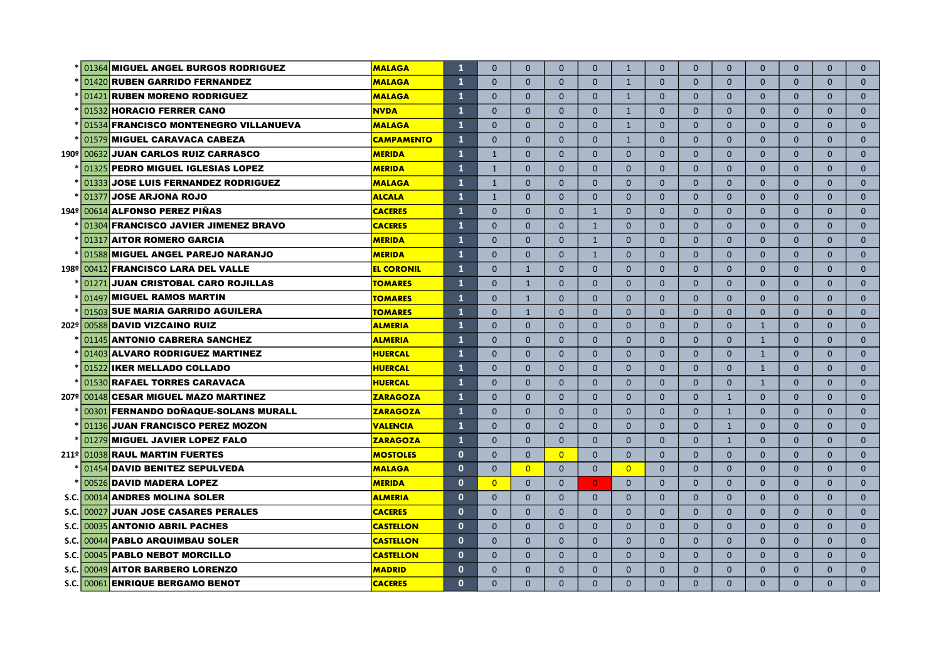| * 01364 MIGUEL ANGEL BURGOS RODRIGUEZ   | <b>MALAGA</b>     | $\mathbf{1}$ | $\Omega$       | $\Omega$       | $\Omega$       | $\Omega$       | 1              | $\Omega$       | $\Omega$     | $\Omega$     | $\mathbf{0}$ | $\Omega$     | $\Omega$     | $\Omega$     |
|-----------------------------------------|-------------------|--------------|----------------|----------------|----------------|----------------|----------------|----------------|--------------|--------------|--------------|--------------|--------------|--------------|
| * 01420 RUBEN GARRIDO FERNANDEZ         | <b>MALAGA</b>     | 1            | $\Omega$       | $\mathbf{0}$   | $\mathbf{0}$   | $\mathbf{0}$   | $\mathbf{1}$   | $\mathbf{0}$   | $\Omega$     | $\mathbf{0}$ | $\mathbf{0}$ | $\mathbf{0}$ | $\Omega$     | $\mathbf{0}$ |
| * 01421 RUBEN MORENO RODRIGUEZ          | <b>MALAGA</b>     | 1            | $\mathbf 0$    | $\mathbf{0}$   | $\mathbf{0}$   | $\mathbf{0}$   | $\mathbf{1}$   | $\mathbf{0}$   | $\mathbf{0}$ | $\mathbf{0}$ | $\mathbf{0}$ | $\mathbf{0}$ | $\mathbf{0}$ | $\mathbf{0}$ |
| * 01532 HORACIO FERRER CANO             | <b>NVDA</b>       | 1            | $\Omega$       | $\Omega$       | $\Omega$       | $\Omega$       | $\mathbf{1}$   | $\Omega$       | $\Omega$     | $\Omega$     | $\Omega$     | $\Omega$     | $\Omega$     | $\Omega$     |
| * 01534 FRANCISCO MONTENEGRO VILLANUEVA | <b>MALAGA</b>     | $\mathbf{1}$ | $\Omega$       | $\Omega$       | $\Omega$       | $\Omega$       | $\mathbf{1}$   | $\Omega$       | $\Omega$     | $\Omega$     | $\Omega$     | $\Omega$     | $\Omega$     | $\Omega$     |
| 01579 MIGUEL CARAVACA CABEZA            | <b>CAMPAMENTO</b> | 1            | $\Omega$       | $\Omega$       | $\Omega$       | $\Omega$       | $\mathbf{1}$   | $\Omega$       | $\Omega$     | $\Omega$     | $\Omega$     | $\Omega$     | $\Omega$     | $\mathbf 0$  |
| 190º 00632 JUAN CARLOS RUIZ CARRASCO    | <b>MERIDA</b>     | 1            | $\mathbf{1}$   | $\Omega$       | $\Omega$       | $\Omega$       | $\Omega$       | $\overline{0}$ | $\Omega$     | $\Omega$     | $\Omega$     | $\mathbf{0}$ | $\Omega$     | $\mathbf 0$  |
| 01325 PEDRO MIGUEL IGLESIAS LOPEZ       | <b>MERIDA</b>     | 1            | $\mathbf{1}$   | $\Omega$       | $\mathbf{0}$   | $\Omega$       | $\overline{0}$ | $\mathbf{0}$   | $\mathbf{0}$ | $\mathbf{0}$ | $\mathbf{0}$ | $\mathbf{0}$ | $\mathbf{0}$ | $\mathbf{0}$ |
| 01333 JOSE LUIS FERNANDEZ RODRIGUEZ     | <b>MALAGA</b>     | $\mathbf{1}$ | $\mathbf{1}$   | $\Omega$       | $\Omega$       | $\Omega$       | $\Omega$       | $\Omega$       | $\Omega$     | $\Omega$     | $\Omega$     | $\Omega$     | $\Omega$     | $\mathbf{0}$ |
| 01377 JOSE ARJONA ROJO                  | <b>ALCALA</b>     | $\mathbf{1}$ | $\mathbf{1}$   | $\Omega$       | $\Omega$       | $\Omega$       | $\Omega$       | $\Omega$       | $\Omega$     | $\Omega$     | $\Omega$     | $\Omega$     | $\Omega$     | $\mathbf{0}$ |
| 194º 00614 ALFONSO PEREZ PIÑAS          | <b>CACERES</b>    | $\mathbf{1}$ | $\Omega$       | $\Omega$       | $\Omega$       | $\mathbf{1}$   | $\Omega$       | $\Omega$       | $\Omega$     | $\Omega$     | $\Omega$     | $\Omega$     | $\Omega$     | $\mathbf{0}$ |
| 01304 FRANCISCO JAVIER JIMENEZ BRAVO    | <b>CACERES</b>    | 1            | $\Omega$       | $\Omega$       | $\Omega$       | $\mathbf{1}$   | $\Omega$       | $\Omega$       | $\Omega$     | $\mathbf{0}$ | $\Omega$     | $\mathbf{0}$ | $\mathbf{0}$ | $\mathbf{0}$ |
| 01317 AITOR ROMERO GARCIA               | <b>MERIDA</b>     | 1            | $\Omega$       | $\Omega$       | $\Omega$       | $\mathbf{1}$   | $\overline{0}$ | $\mathbf{0}$   | $\Omega$     | $\mathbf{0}$ | $\mathbf{0}$ | $\mathbf{0}$ | $\mathbf{0}$ | $\mathbf{0}$ |
| 01588 MIGUEL ANGEL PAREJO NARANJO       | <b>MERIDA</b>     | $\mathbf{1}$ | $\Omega$       | $\mathbf{0}$   | $\mathbf{0}$   | $\mathbf{1}$   | $\mathbf{0}$   | $\mathbf{0}$   | $\mathbf{0}$ | $\mathbf{0}$ | $\mathbf{0}$ | $\mathbf{0}$ | $\mathbf{0}$ | $\mathbf{0}$ |
| 198º 00412 FRANCISCO LARA DEL VALLE     | <b>EL CORONIL</b> | $\mathbf{1}$ | $\Omega$       | $\mathbf{1}$   | $\Omega$       | $\Omega$       | $\Omega$       | $\mathbf{0}$   | $\Omega$     | $\Omega$     | $\Omega$     | $\Omega$     | $\Omega$     | $\mathbf{0}$ |
| 01271 JUAN CRISTOBAL CARO ROJILLAS      | <b>TOMARES</b>    | $\mathbf{1}$ | $\Omega$       | $\mathbf{1}$   | $\Omega$       | $\Omega$       | $\Omega$       | $\Omega$       | $\Omega$     | $\Omega$     | $\Omega$     | $\Omega$     | $\Omega$     | $\mathbf{0}$ |
| 01497 MIGUEL RAMOS MARTIN               | <b>TOMARES</b>    | $\mathbf{1}$ | $\Omega$       | $\mathbf{1}$   | $\Omega$       | $\Omega$       | $\mathbf{0}$   | $\Omega$       | $\Omega$     | $\Omega$     | $\Omega$     | $\mathbf{0}$ | $\Omega$     | $\mathbf{0}$ |
| 01503 SUE MARIA GARRIDO AGUILERA        | <b>TOMARES</b>    | $\mathbf{1}$ | $\Omega$       | $\mathbf{1}$   | $\mathbf{0}$   | $\Omega$       | $\mathbf{0}$   | $\mathbf{0}$   | $\mathbf{0}$ | $\mathbf{0}$ | $\mathbf{0}$ | $\mathbf{0}$ | $\mathbf{0}$ | $\mathbf{0}$ |
| 202º 00588 DAVID VIZCAINO RUIZ          | <b>ALMERIA</b>    | $\mathbf{1}$ | $\Omega$       | $\Omega$       | $\Omega$       | $\Omega$       | $\Omega$       | $\Omega$       | $\Omega$     | $\Omega$     | $\mathbf{1}$ | $\Omega$     | $\Omega$     | $\Omega$     |
| 01145 ANTONIO CABRERA SANCHEZ           | <b>ALMERIA</b>    | $\mathbf{1}$ | $\Omega$       | $\Omega$       | $\Omega$       | $\Omega$       | $\Omega$       | $\mathbf{0}$   | $\Omega$     | $\Omega$     | $\mathbf{1}$ | $\Omega$     | $\Omega$     | $\mathbf{0}$ |
| 01403 ALVARO RODRIGUEZ MARTINEZ         | <b>HUERCAL</b>    | $\mathbf{1}$ | $\Omega$       | $\Omega$       | $\Omega$       | $\Omega$       | $\Omega$       | $\Omega$       | $\Omega$     | $\Omega$     | $\mathbf{1}$ | $\Omega$     | $\Omega$     | $\mathbf{0}$ |
| 01522 IKER MELLADO COLLADO              | <b>HUERCAL</b>    | $\mathbf{1}$ | $\Omega$       | $\Omega$       | $\Omega$       | $\Omega$       | $\Omega$       | $\Omega$       | $\Omega$     | $\Omega$     | $\mathbf{1}$ | $\Omega$     | $\Omega$     | $\mathbf{0}$ |
| 01530 RAFAEL TORRES CARAVACA            | <b>HUERCAL</b>    | $\mathbf{1}$ | $\Omega$       | $\Omega$       | $\mathbf{0}$   | $\Omega$       | $\mathbf{0}$   | $\mathbf{0}$   | $\mathbf{0}$ | $\mathbf{0}$ | $\mathbf{1}$ | $\mathbf{0}$ | $\mathbf{0}$ | $\mathbf{0}$ |
| 207º 00148 CESAR MIGUEL MAZO MARTINEZ   | <b>ZARAGOZA</b>   | $\mathbf{1}$ | $\mathbf{0}$   | $\mathbf{0}$   | $\mathbf{0}$   | $\mathbf{0}$   | $\mathbf{0}$   | $\mathbf{0}$   | $\mathbf{0}$ | $\mathbf{1}$ | $\mathbf{0}$ | $\mathbf{0}$ | $\mathbf{0}$ | $\mathbf{0}$ |
| 00301 FERNANDO DOÑAQUE-SOLANS MURALL    | <b>ZARAGOZA</b>   | $\mathbf{1}$ | $\Omega$       | $\Omega$       | $\Omega$       | $\Omega$       | $\Omega$       | $\mathbf{0}$   | $\Omega$     | $\mathbf{1}$ | $\Omega$     | $\mathbf{0}$ | $\Omega$     | $\mathbf{0}$ |
| 01136 JUAN FRANCISCO PEREZ MOZON        | <b>VALENCIA</b>   | $\mathbf{1}$ | $\Omega$       | $\Omega$       | $\mathbf{0}$   | $\Omega$       | $\mathbf{0}$   | $\mathbf{0}$   | $\Omega$     | $\mathbf{1}$ | $\mathbf{0}$ | $\mathbf{0}$ | $\mathbf{0}$ | $\mathbf{0}$ |
| 01279 MIGUEL JAVIER LOPEZ FALO          | <b>ZARAGOZA</b>   | $\mathbf{1}$ | $\mathbf{0}$   | $\mathbf{0}$   | $\mathbf{0}$   | $\mathbf{0}$   | $\mathbf{0}$   | $\mathbf{0}$   | $\mathbf{0}$ | $\mathbf{1}$ | $\mathbf{0}$ | $\mathbf{0}$ | $\mathbf{0}$ | $\mathbf{0}$ |
| 211º 01038 RAUL MARTIN FUERTES          | <b>MOSTOLES</b>   | $\mathbf{0}$ | $\mathbf{0}$   | $\mathbf{0}$   | $\overline{0}$ | $\mathbf{0}$   | $\mathbf{0}$   | $\mathbf{0}$   | $\mathbf{0}$ | $\mathbf{0}$ | $\mathbf{0}$ | $\mathbf{0}$ | $\mathbf{0}$ | $\mathbf{0}$ |
| 01454 DAVID BENITEZ SEPULVEDA           | <b>MALAGA</b>     | $\mathbf{0}$ | $\mathbf{0}$   | $\overline{0}$ | $\mathbf{0}$   | $\mathbf{0}$   | $\overline{0}$ | $\overline{0}$ | $\mathbf{0}$ | $\mathbf{0}$ | $\mathbf{0}$ | $\mathbf{0}$ | $\mathbf{0}$ | $\mathbf{0}$ |
| 00526 DAVID MADERA LOPEZ                | <b>MERIDA</b>     | $\mathbf{0}$ | $\overline{0}$ | $\Omega$       | $\Omega$       | $\overline{0}$ | $\Omega$       | $\Omega$       | $\Omega$     | $\Omega$     | $\Omega$     | $\Omega$     | $\Omega$     | $\Omega$     |
| S.C. 00014 ANDRES MOLINA SOLER          | <b>ALMERIA</b>    | $\mathbf{0}$ | $\Omega$       | $\Omega$       | $\Omega$       | $\Omega$       | $\Omega$       | $\Omega$       | $\Omega$     | $\Omega$     | $\Omega$     | $\Omega$     | $\Omega$     | $\mathbf{0}$ |
| S.C. 00027 JUAN JOSE CASARES PERALES    | <b>CACERES</b>    | $\mathbf{0}$ | $\Omega$       | $\Omega$       | $\Omega$       | $\Omega$       | $\overline{0}$ | $\overline{0}$ | $\mathbf{0}$ | $\Omega$     | $\mathbf{0}$ | $\Omega$     | $\Omega$     | $\mathbf{0}$ |
| S.C. 00035 ANTONIO ABRIL PACHES         | <b>CASTELLON</b>  | $\mathbf{0}$ | $\Omega$       | $\Omega$       | $\Omega$       | $\Omega$       | $\mathbf{0}$   | $\overline{0}$ | $\mathbf{0}$ | $\mathbf{0}$ | $\mathbf{0}$ | $\Omega$     | $\mathbf{0}$ | $\mathbf{0}$ |
| S.C. 00044 PABLO ARQUIMBAU SOLER        | <b>CASTELLON</b>  | $\mathbf{0}$ | $\mathbf{0}$   | $\Omega$       | $\mathbf{0}$   | $\mathbf{0}$   | $\mathbf{0}$   | $\overline{0}$ | $\mathbf{0}$ | $\mathbf{0}$ | $\mathbf{0}$ | $\mathbf{0}$ | $\mathbf{0}$ | $\mathbf{0}$ |
| S.C. 00045 PABLO NEBOT MORCILLO         | <b>CASTELLON</b>  | $\mathbf{0}$ | $\Omega$       | $\Omega$       | $\Omega$       | $\Omega$       | $\Omega$       | $\Omega$       | $\Omega$     | $\Omega$     | $\Omega$     | $\Omega$     | $\Omega$     | $\Omega$     |
| S.C. 00049 AITOR BARBERO LORENZO        | <b>MADRID</b>     | $\mathbf{0}$ | $\Omega$       | $\Omega$       | $\Omega$       | $\Omega$       | $\Omega$       | $\Omega$       | $\Omega$     | $\Omega$     | $\mathbf{0}$ | $\Omega$     | $\Omega$     | $\mathbf{0}$ |
| S.C. 00061 ENRIQUE BERGAMO BENOT        | <b>CACERES</b>    | $\mathbf{0}$ | $\Omega$       | $\Omega$       | $\Omega$       | $\Omega$       | $\Omega$       | $\Omega$       | $\Omega$     | $\Omega$     | $\mathbf{0}$ | $\Omega$     | $\Omega$     | $\Omega$     |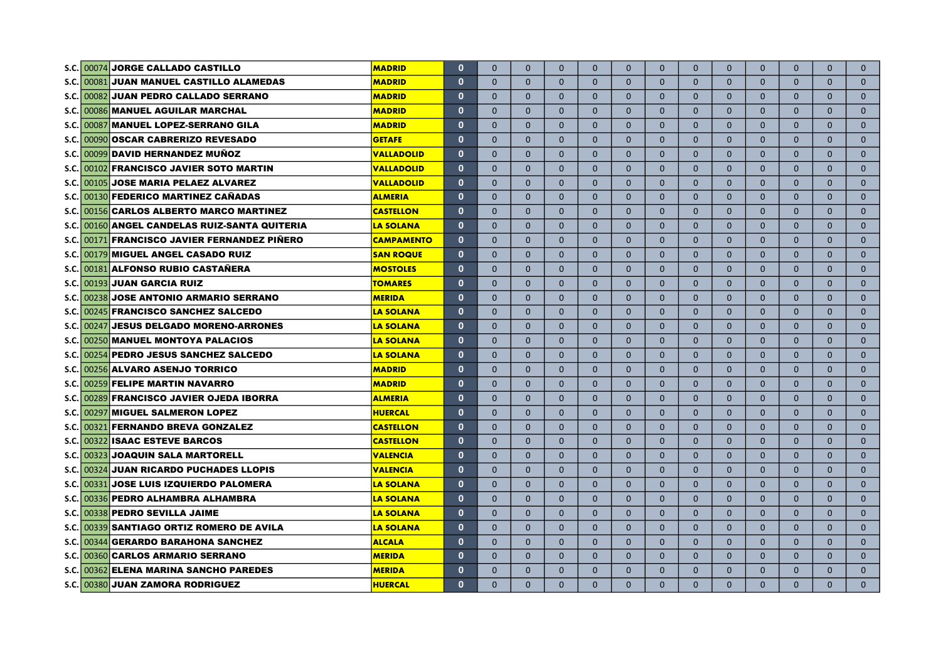|             | S.C. 00074 JORGE CALLADO CASTILLO             | <b>MADRID</b>     | $\mathbf 0$  | $\Omega$     | $\Omega$     | $\Omega$     | $\Omega$     | $\Omega$       | $\Omega$       | $\mathbf{0}$   | $\Omega$     | $\mathbf{0}$ | $\mathbf{0}$ | $\Omega$     | $\mathbf{0}$ |
|-------------|-----------------------------------------------|-------------------|--------------|--------------|--------------|--------------|--------------|----------------|----------------|----------------|--------------|--------------|--------------|--------------|--------------|
| S.C.I       | 00081 JUAN MANUEL CASTILLO ALAMEDAS           | <b>MADRID</b>     | $\mathbf{0}$ | $\Omega$     | $\mathbf{0}$ | $\Omega$     | $\mathbf{0}$ | 0              | $\overline{0}$ | $\Omega$       | $\mathbf{0}$ | $\mathbf{0}$ | $\mathbf{0}$ | $\Omega$     | $\mathbf{0}$ |
| S.C.        | 00082 JUAN PEDRO CALLADO SERRANO              | <b>MADRID</b>     | $\mathbf{0}$ | $\Omega$     | $\mathbf{0}$ | $\mathbf{0}$ | $\mathbf{0}$ | 0              | $\overline{0}$ | $\mathbf{0}$   | $\mathbf{0}$ | $\mathbf{0}$ | $\mathbf{0}$ | $\mathbf{0}$ | $\mathbf{0}$ |
| S.C.        | 00086 MANUEL AGUILAR MARCHAL                  | <b>MADRID</b>     | $\mathbf 0$  | $\Omega$     | $\mathbf{0}$ | $\Omega$     | $\Omega$     | 0              | $\mathbf{0}$   | $\mathbf{0}$   | $\mathbf{0}$ | $\mathbf{0}$ | $\mathbf{0}$ | $\mathbf{0}$ | $\mathbf{0}$ |
| S.C.        | 00087 MANUEL LOPEZ-SERRANO GILA               | <b>MADRID</b>     | $\mathbf 0$  | $\Omega$     | $\mathbf{0}$ | $\Omega$     | $\mathbf{0}$ | 0              | $\mathbf{0}$   | $\mathbf{0}$   | $\mathbf{0}$ | $\mathbf{0}$ | $\mathbf{0}$ | $\mathbf{0}$ | $\mathbf{0}$ |
| <b>S.C.</b> | 00090 OSCAR CABRERIZO REVESADO                | <b>GETAFE</b>     | $\mathbf 0$  | $\Omega$     | $\mathbf{0}$ | $\Omega$     | $\mathbf{0}$ | 0              | $\overline{0}$ | $\mathbf{0}$   | $\mathbf{0}$ | $\mathbf{0}$ | $\mathbf{0}$ | $\mathbf{0}$ | $\mathbf{0}$ |
| S.C.        | 00099 DAVID HERNANDEZ MUÑOZ                   | <b>VALLADOLID</b> | $\mathbf{0}$ | $\Omega$     | $\Omega$     | $\Omega$     | $\Omega$     | $\Omega$       | $\Omega$       | $\Omega$       | $\Omega$     | $\Omega$     | $\Omega$     | $\Omega$     | $\mathbf 0$  |
| S.C.        | 00102 FRANCISCO JAVIER SOTO MARTIN            | <b>VALLADOLID</b> | $\mathbf{0}$ | $\Omega$     | $\Omega$     | $\Omega$     | $\Omega$     | $\Omega$       | $\Omega$       | $\Omega$       | $\Omega$     | $\Omega$     | $\Omega$     | $\Omega$     | $\mathbf{0}$ |
| S.C.        | 00105 JOSE MARIA PELAEZ ALVAREZ               | <b>VALLADOLID</b> | $\mathbf{0}$ | $\Omega$     | $\Omega$     | $\Omega$     | $\Omega$     | $\Omega$       | $\Omega$       | $\Omega$       | $\Omega$     | $\Omega$     | $\Omega$     | $\Omega$     | $\mathbf{0}$ |
| S.C.        | 00130 FEDERICO MARTINEZ CAÑADAS               | <b>ALMERIA</b>    | $\mathbf{0}$ | $\Omega$     | $\Omega$     | $\Omega$     | $\Omega$     | $\overline{0}$ | $\Omega$       | $\Omega$       | $\Omega$     | $\Omega$     | $\Omega$     | $\Omega$     | $\mathbf{0}$ |
| S.C.        | 00156 CARLOS ALBERTO MARCO MARTINEZ           | <b>CASTELLON</b>  | $\mathbf{0}$ | $\Omega$     | $\Omega$     | $\Omega$     | $\Omega$     | $\overline{0}$ | $\Omega$       | $\Omega$       | $\Omega$     | $\Omega$     | $\mathbf{0}$ | $\Omega$     | $\mathbf{0}$ |
|             | S.C. 00160 ANGEL CANDELAS RUIZ-SANTA QUITERIA | <b>LA SOLANA</b>  | $\mathbf 0$  | $\Omega$     | $\Omega$     | $\Omega$     | $\Omega$     | $\overline{0}$ | $\Omega$       | $\Omega$       | $\mathbf{0}$ | $\Omega$     | $\mathbf{0}$ | $\mathbf{0}$ | $\mathbf{0}$ |
|             | S.C. 00171 FRANCISCO JAVIER FERNANDEZ PIÑERO  | <b>CAMPAMENTO</b> | $\mathbf 0$  | $\Omega$     | $\Omega$     | $\Omega$     | $\Omega$     | $\Omega$       | $\overline{0}$ | $\mathbf{0}$   | $\mathbf{0}$ | $\Omega$     | $\mathbf{0}$ | $\mathbf{0}$ | $\mathbf{0}$ |
|             | S.C. 00179 MIGUEL ANGEL CASADO RUIZ           | <b>SAN ROQUE</b>  | $\mathbf 0$  | $\Omega$     | $\Omega$     | $\Omega$     | $\Omega$     | $\mathbf{0}$   | $\mathbf{0}$   | $\mathbf{0}$   | $\mathbf{0}$ | $\mathbf{0}$ | $\mathbf{0}$ | $\mathbf{0}$ | $\mathbf{0}$ |
|             | S.C. 00181 ALFONSO RUBIO CASTAÑERA            | <b>MOSTOLES</b>   | $\mathbf 0$  | $\Omega$     | $\mathbf{0}$ | $\mathbf{0}$ | $\mathbf{0}$ | $\mathbf{0}$   | $\mathbf{0}$   | $\mathbf{0}$   | $\mathbf{0}$ | $\mathbf{0}$ | $\mathbf{0}$ | $\mathbf{0}$ | $\mathbf{0}$ |
|             | S.C. 00193 JUAN GARCIA RUIZ                   | <b>TOMARES</b>    | $\mathbf{0}$ | $\Omega$     | $\Omega$     | $\Omega$     | $\Omega$     | $\Omega$       | $\Omega$       | $\Omega$       | $\Omega$     | $\Omega$     | $\Omega$     | $\Omega$     | $\Omega$     |
|             | S.C. 00238 JOSE ANTONIO ARMARIO SERRANO       | <b>MERIDA</b>     | $\mathbf{0}$ | $\Omega$     | $\Omega$     | $\Omega$     | $\Omega$     | $\Omega$       | $\Omega$       | $\Omega$       | $\mathbf{0}$ | $\Omega$     | $\Omega$     | $\Omega$     | $\Omega$     |
|             | S.C. 00245 FRANCISCO SANCHEZ SALCEDO          | <b>LA SOLANA</b>  | $\mathbf{0}$ | $\Omega$     | $\mathbf{0}$ | $\Omega$     | $\Omega$     | $\Omega$       | $\Omega$       | $\Omega$       | $\mathbf{0}$ | $\mathbf{0}$ | $\mathbf{0}$ | $\Omega$     | $\mathbf{0}$ |
|             | S.C. 00247 JESUS DELGADO MORENO-ARRONES       | <b>LA SOLANA</b>  | $\mathbf{0}$ | $\Omega$     | $\Omega$     | $\Omega$     | $\Omega$     | $\overline{0}$ | $\Omega$       | $\Omega$       | $\Omega$     | $\mathbf{0}$ | $\Omega$     | $\Omega$     | $\mathbf{0}$ |
|             | S.C. 00250 MANUEL MONTOYA PALACIOS            | <b>LA SOLANA</b>  | $\mathbf{0}$ | $\Omega$     | $\Omega$     | $\Omega$     | $\Omega$     | $\overline{0}$ | $\Omega$       | $\Omega$       | $\Omega$     | $\mathbf{0}$ | $\Omega$     | $\mathbf{0}$ | $\mathbf{0}$ |
|             | S.C. 00254 PEDRO JESUS SANCHEZ SALCEDO        | <b>LA SOLANA</b>  | $\mathbf{0}$ | $\Omega$     | $\Omega$     | $\mathbf{0}$ | $\Omega$     | $\overline{0}$ | $\Omega$       | $\overline{0}$ | $\Omega$     | $\mathbf{0}$ | $\mathbf{0}$ | $\mathbf{0}$ | $\mathbf{0}$ |
|             | S.C. 00256 ALVARO ASENJO TORRICO              | <b>MADRID</b>     | $\mathbf{0}$ | $\mathbf 0$  | $\mathbf{0}$ | $\mathbf{0}$ | $\mathbf{0}$ | $\mathbf{0}$   | $\overline{0}$ | $\mathbf{0}$   | $\mathbf{0}$ | $\mathbf{0}$ | $\mathbf{0}$ | $\mathbf{0}$ | $\mathbf{0}$ |
|             | S.C. 00259 FELIPE MARTIN NAVARRO              | <b>MADRID</b>     | $\mathbf{0}$ | $\mathbf{0}$ | $\mathbf{0}$ | $\mathbf{0}$ | $\mathbf{0}$ | $\mathbf{0}$   | $\overline{0}$ | $\mathbf{0}$   | $\mathbf{0}$ | $\mathbf{0}$ | $\mathbf{0}$ | $\mathbf{0}$ | $\mathbf{0}$ |
|             | S.C. 00289 FRANCISCO JAVIER OJEDA IBORRA      | <b>ALMERIA</b>    | $\mathbf 0$  | $\mathbf{0}$ | $\mathbf{0}$ | $\mathbf{0}$ | $\mathbf{0}$ | $\mathbf{0}$   | $\overline{0}$ | $\mathbf{0}$   | $\mathbf{0}$ | $\mathbf{0}$ | $\mathbf{0}$ | $\mathbf{0}$ | $\mathbf{0}$ |
|             | S.C. 00297 MIGUEL SALMERON LOPEZ              | <b>HUERCAL</b>    | $\mathbf{0}$ | $\Omega$     | $\Omega$     | $\Omega$     | $\Omega$     | $\mathbf{0}$   | $\Omega$       | $\Omega$       | $\Omega$     | $\Omega$     | $\Omega$     | $\Omega$     | $\Omega$     |
|             | S.C. 00321 FERNANDO BREVA GONZALEZ            | <b>CASTELLON</b>  | $\mathbf{0}$ | $\Omega$     | $\Omega$     | $\Omega$     | $\Omega$     | $\Omega$       | $\Omega$       | $\Omega$       | $\Omega$     | $\Omega$     | $\Omega$     | $\Omega$     | $\Omega$     |
|             | S.C. 00322 ISAAC ESTEVE BARCOS                | <b>CASTELLON</b>  | $\mathbf{0}$ | $\Omega$     | $\Omega$     | $\Omega$     | $\Omega$     | $\Omega$       | $\Omega$       | $\Omega$       | $\Omega$     | $\Omega$     | $\Omega$     | $\Omega$     | $\Omega$     |
|             | S.C. 00323 JOAQUIN SALA MARTORELL             | <b>VALENCIA</b>   | $\mathbf{0}$ | $\Omega$     | $\Omega$     | $\Omega$     | $\Omega$     | $\Omega$       | $\Omega$       | $\Omega$       | $\Omega$     | $\Omega$     | $\Omega$     | $\Omega$     | $\mathbf{0}$ |
|             | S.C. 00324 JUAN RICARDO PUCHADES LLOPIS       | <b>VALENCIA</b>   | $\mathbf{0}$ | $\Omega$     | $\Omega$     | $\Omega$     | $\mathbf{0}$ | $\overline{0}$ | $\overline{0}$ | $\mathbf{0}$   | $\Omega$     | $\mathbf{0}$ | $\mathbf{0}$ | $\Omega$     | $\mathbf{0}$ |
|             | S.C. 00331 JOSE LUIS IZQUIERDO PALOMERA       | <b>LA SOLANA</b>  | $\mathbf 0$  | $\Omega$     | $\Omega$     | $\Omega$     | $\mathbf{0}$ | $\overline{0}$ | $\mathbf{0}$   | $\mathbf{0}$   | $\Omega$     | $\mathbf{0}$ | $\Omega$     | $\Omega$     | $\mathbf{0}$ |
|             | S.C. 00336 PEDRO ALHAMBRA ALHAMBRA            | <b>LA SOLANA</b>  | $\mathbf{0}$ | $\Omega$     | $\Omega$     | $\Omega$     | $\mathbf{0}$ | $\mathbf{0}$   | $\mathbf{0}$   | $\mathbf{0}$   | $\mathbf{0}$ | $\mathbf{0}$ | $\mathbf{0}$ | $\mathbf{0}$ | $\mathbf{0}$ |
|             | S.C. 00338 PEDRO SEVILLA JAIME                | <b>LA SOLANA</b>  | $\mathbf{0}$ | $\Omega$     | $\Omega$     | $\Omega$     | $\mathbf{0}$ | $\mathbf{0}$   | $\mathbf{0}$   | $\mathbf{0}$   | $\mathbf{0}$ | $\mathbf{0}$ | $\mathbf{0}$ | $\mathbf{0}$ | $\mathbf{0}$ |
|             | S.C. 00339 SANTIAGO ORTIZ ROMERO DE AVILA     | <b>LA SOLANA</b>  | $\mathbf{0}$ | $\mathbf{0}$ | $\mathbf{0}$ | $\Omega$     | $\mathbf{0}$ | $\mathbf{0}$   | $\mathbf{0}$   | $\mathbf{0}$   | $\mathbf{0}$ | $\mathbf{0}$ | $\mathbf{0}$ | $\mathbf{0}$ | $\mathbf{0}$ |
|             | S.C. 00344 GERARDO BARAHONA SANCHEZ           | <b>ALCALA</b>     | $\mathbf{0}$ | $\Omega$     | $\Omega$     | $\Omega$     | $\Omega$     | $\Omega$       | $\Omega$       | $\Omega$       | $\Omega$     | $\Omega$     | $\Omega$     | $\Omega$     | $\Omega$     |
|             | S.C. 00360 CARLOS ARMARIO SERRANO             | <b>MERIDA</b>     | $\mathbf{0}$ | $\Omega$     | $\Omega$     | $\Omega$     | $\Omega$     | $\Omega$       | $\overline{0}$ | $\Omega$       | $\Omega$     | $\Omega$     | $\Omega$     | $\Omega$     | $\mathbf{0}$ |
|             | S.C. 00362 ELENA MARINA SANCHO PAREDES        | <b>MERIDA</b>     | $\mathbf{0}$ | $\Omega$     | $\Omega$     | $\Omega$     | $\Omega$     | $\Omega$       | $\Omega$       | $\Omega$       | $\Omega$     | $\mathbf{0}$ | $\Omega$     | $\Omega$     | $\mathbf{0}$ |
|             | S.C. 00380 JUAN ZAMORA RODRIGUEZ              | <b>HUERCAL</b>    | $\mathbf{0}$ | $\Omega$     | $\Omega$     | $\Omega$     | $\Omega$     | $\overline{0}$ | $\Omega$       | $\Omega$       | $\Omega$     | $\Omega$     | $\Omega$     | $\Omega$     | $\Omega$     |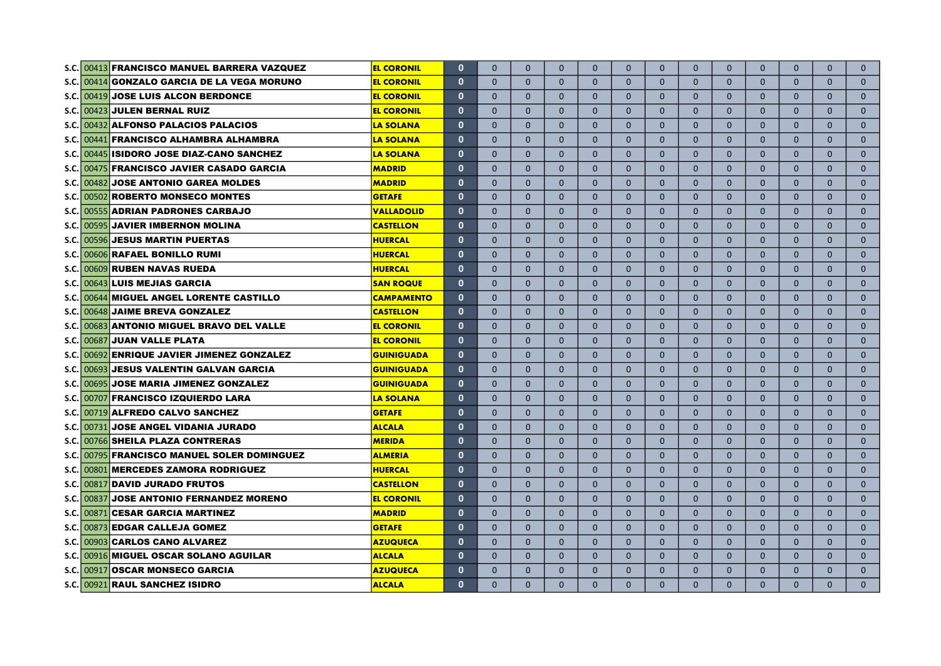|             | S.C. 00413 FRANCISCO MANUEL BARRERA VAZQUEZ                 | <b>EL CORONIL</b> | $\mathbf{0}$ | $\Omega$     | $\Omega$     | $\Omega$     | $\Omega$       | $\mathbf{0}$   | $\mathbf{0}$ | $\mathbf{0}$   | $\mathbf{0}$ | $\mathbf{0}$ | $\mathbf{0}$ | $\Omega$     | $\Omega$     |
|-------------|-------------------------------------------------------------|-------------------|--------------|--------------|--------------|--------------|----------------|----------------|--------------|----------------|--------------|--------------|--------------|--------------|--------------|
|             | S.C. 00414 GONZALO GARCIA DE LA VEGA MORUNO                 | <b>EL CORONIL</b> | $\mathbf{0}$ | $\Omega$     | $\mathbf{0}$ | $\Omega$     | $\mathbf{0}$   | $\mathbf{0}$   | $\mathbf{0}$ | $\mathbf{0}$   | $\mathbf{0}$ | $\mathbf{0}$ | $\mathbf{0}$ | $\Omega$     | $\mathbf{0}$ |
| S.C.        | 00419 JOSE LUIS ALCON BERDONCE                              | <b>EL CORONIL</b> | $\mathbf{0}$ | $\Omega$     | $\mathbf{0}$ | $\Omega$     | $\mathbf{0}$   | $\mathbf{0}$   | $\mathbf{0}$ | $\mathbf{0}$   | $\mathbf{0}$ | $\mathbf{0}$ | $\mathbf{0}$ | $\Omega$     | $\mathbf{0}$ |
| S.C.        | 00423 JULEN BERNAL RUIZ                                     | <b>EL CORONIL</b> | $\mathbf{0}$ | $\Omega$     | $\mathbf{0}$ | $\Omega$     | $\mathbf{0}$   | $\mathbf{0}$   | $\mathbf{0}$ | $\Omega$       | $\mathbf{0}$ | $\mathbf{0}$ | $\mathbf{0}$ | $\Omega$     | $\mathbf{0}$ |
| S.C.        | 00432 ALFONSO PALACIOS PALACIOS                             | <b>LA SOLANA</b>  | $\mathbf{0}$ | $\Omega$     | $\mathbf{0}$ | $\Omega$     | $\mathbf{0}$   | $\mathbf{0}$   | $\mathbf{0}$ | $\mathbf{0}$   | $\mathbf{0}$ | $\mathbf{0}$ | $\mathbf{0}$ | $\Omega$     | $\mathbf{0}$ |
| S.C.        | <b>FRANCISCO ALHAMBRA ALHAMBRA</b><br>00441                 | <b>LA SOLANA</b>  | $\mathbf{0}$ | $\mathbf{0}$ | $\mathbf{0}$ | $\Omega$     | $\mathbf{0}$   | $\mathbf{0}$   | $\mathbf{0}$ | $\mathbf{0}$   | $\mathbf{0}$ | $\mathbf{0}$ | $\mathbf{0}$ | $\mathbf{0}$ | $\mathbf{0}$ |
| S.C.        | 00445 ISIDORO JOSE DIAZ-CANO SANCHEZ                        | <b>LA SOLANA</b>  | $\mathbf{0}$ | $\Omega$     | $\Omega$     | $\Omega$     | $\Omega$       | $\Omega$       | $\Omega$     | $\Omega$       | $\Omega$     | $\Omega$     | $\Omega$     | $\Omega$     | $\mathbf{0}$ |
| S.C.        | 00475 FRANCISCO JAVIER CASADO GARCIA                        | <b>MADRID</b>     | $\mathbf{0}$ | $\Omega$     | $\Omega$     | $\Omega$     | $\Omega$       | $\Omega$       | $\Omega$     | $\Omega$       | $\Omega$     | $\Omega$     | $\Omega$     | $\Omega$     | $\mathbf{0}$ |
| S.C.        | <b>JOSE ANTONIO GAREA MOLDES</b><br>00482                   | <b>MADRID</b>     | $\mathbf{0}$ | $\Omega$     | $\Omega$     | $\Omega$     | $\Omega$       | $\Omega$       | $\Omega$     | $\Omega$       | $\Omega$     | $\Omega$     | $\Omega$     | $\Omega$     | $\mathbf{0}$ |
| S.C.        | <b>ROBERTO MONSECO MONTES</b><br>00502                      | <b>GETAFE</b>     | $\mathbf{0}$ | $\Omega$     | $\Omega$     | $\Omega$     | $\Omega$       | $\Omega$       | $\Omega$     | $\Omega$       | $\Omega$     | $\Omega$     | $\Omega$     | $\Omega$     | $\mathbf{0}$ |
| S.C.        | 00555 ADRIAN PADRONES CARBAJO                               | <b>VALLADOLID</b> | $\mathbf{0}$ | $\Omega$     | $\Omega$     | $\Omega$     | $\Omega$       | $\mathbf{0}$   | $\Omega$     | $\Omega$       | $\Omega$     | $\Omega$     | $\mathbf{0}$ | $\Omega$     | $\mathbf{0}$ |
| S.C.        | 00595 JAVIER IMBERNON MOLINA                                | <b>CASTELLON</b>  | $\mathbf{0}$ | $\mathbf{0}$ | $\Omega$     | $\mathbf{0}$ | $\mathbf{0}$   | $\mathbf{0}$   | $\mathbf{0}$ | $\mathbf{0}$   | $\mathbf{0}$ | $\mathbf{0}$ | $\mathbf{0}$ | $\mathbf{0}$ | $\mathbf{0}$ |
| S.C.        | 00596 JESUS MARTIN PUERTAS                                  | <b>HUERCAL</b>    | $\mathbf{0}$ | $\mathbf{0}$ | $\mathbf{0}$ | $\mathbf{0}$ | $\mathbf{0}$   | $\mathbf{0}$   | $\mathbf{0}$ | $\mathbf{0}$   | $\mathbf{0}$ | $\mathbf{0}$ | $\mathbf{0}$ | $\mathbf{0}$ | $\mathbf{0}$ |
| S.C.        | 00606 RAFAEL BONILLO RUMI                                   | <b>HUERCAL</b>    | $\mathbf{0}$ | $\Omega$     | $\mathbf{0}$ | $\mathbf{0}$ | $\mathbf{0}$   | $\mathbf{0}$   | $\mathbf{0}$ | $\mathbf{0}$   | $\mathbf{0}$ | $\mathbf{0}$ | $\mathbf{0}$ | $\mathbf{0}$ | $\mathbf{0}$ |
|             | <b>RUBEN NAVAS RUEDA</b><br>$S.C.$ 00609                    | <b>HUERCAL</b>    | $\mathbf{0}$ | $\mathbf{0}$ | $\mathbf{0}$ | $\mathbf{0}$ | $\mathbf{0}$   | $\mathbf{0}$   | $\mathbf{0}$ | $\mathbf{0}$   | $\mathbf{0}$ | $\mathbf{0}$ | $\mathbf{0}$ | $\mathbf{0}$ | $\mathbf{0}$ |
|             | <b>LUIS MEJIAS GARCIA</b><br><b>S.C.</b> 00643              | <b>SAN ROQUE</b>  | $\mathbf{0}$ | $\Omega$     | $\Omega$     | $\Omega$     | $\Omega$       | $\Omega$       | $\Omega$     | $\Omega$       | $\Omega$     | $\Omega$     | $\Omega$     | $\Omega$     | $\Omega$     |
|             | <b>IMIGUEL ANGEL LORENTE CASTILLO</b><br><b>S.C.I</b> 00644 | <b>CAMPAMENTO</b> | $\mathbf{0}$ | $\Omega$     | $\Omega$     | $\Omega$     | $\Omega$       | $\Omega$       | $\Omega$     | $\Omega$       | $\Omega$     | $\Omega$     | $\Omega$     | $\Omega$     | $\mathbf{0}$ |
|             | S.C. 00648 JAIME BREVA GONZALEZ                             | <b>CASTELLON</b>  | $\mathbf{0}$ | $\Omega$     | $\Omega$     | $\Omega$     | $\Omega$       | $\Omega$       | $\Omega$     | $\overline{0}$ | $\Omega$     | $\Omega$     | $\Omega$     | $\Omega$     | $\mathbf{0}$ |
|             | S.C. 00683 ANTONIO MIGUEL BRAVO DEL VALLE                   | <b>EL CORONIL</b> | $\mathbf{0}$ | $\Omega$     | $\mathbf{0}$ | $\mathbf{0}$ | $\Omega$       | $\overline{0}$ | $\Omega$     | $\mathbf{0}$   | $\Omega$     | $\Omega$     | $\mathbf{0}$ | $\mathbf{0}$ | $\mathbf{0}$ |
|             | <b>JUAN VALLE PLATA</b><br>S.C. 00687                       | <b>EL CORONIL</b> | $\mathbf{0}$ | $\mathbf{0}$ | $\mathbf{0}$ | $\mathbf{0}$ | $\overline{0}$ | $\overline{0}$ | $\Omega$     | $\mathbf{0}$   | $\mathbf{0}$ | $\mathbf{0}$ | $\mathbf{0}$ | $\mathbf{0}$ | $\mathbf{0}$ |
|             | <b>ENRIQUE JAVIER JIMENEZ GONZALEZ</b><br>$S.C.$ 00692      | <b>GUINIGUADA</b> | $\mathbf{0}$ | $\mathbf{0}$ | $\mathbf{0}$ | $\mathbf{0}$ | $\mathbf{0}$   | $\overline{0}$ | $\mathbf{0}$ | $\mathbf{0}$   | $\mathbf{0}$ | $\mathbf{0}$ | $\mathbf{0}$ | $\mathbf{0}$ | $\mathbf{0}$ |
|             | S.C. 00693 JESUS VALENTIN GALVAN GARCIA                     | <b>GUINIGUADA</b> | $\mathbf{0}$ | $\mathbf{0}$ | $\mathbf{0}$ | $\mathbf{0}$ | $\mathbf{0}$   | $\mathbf{0}$   | $\mathbf{0}$ | $\mathbf{0}$   | $\mathbf{0}$ | $\mathbf{0}$ | $\mathbf{0}$ | $\mathbf{0}$ | $\mathbf{0}$ |
| <b>S.C.</b> | 00695 JOSE MARIA JIMENEZ GONZALEZ                           | <b>GUINIGUADA</b> | $\mathbf{0}$ | $\mathbf{0}$ | $\mathbf{0}$ | $\mathbf{0}$ | $\mathbf{0}$   | $\mathbf 0$    | $\mathbf{0}$ | $\mathbf{0}$   | $\mathbf{0}$ | $\mathbf{0}$ | $\mathbf{0}$ | $\mathbf{0}$ | $\mathbf{0}$ |
| <b>S.C.</b> | 00707 FRANCISCO IZQUIERDO LARA                              | <b>LA SOLANA</b>  | $\mathbf{0}$ | $\mathbf{0}$ | $\mathbf{0}$ | $\mathbf{0}$ | $\mathbf{0}$   | $\mathbf{0}$   | $\mathbf{0}$ | $\mathbf{0}$   | $\mathbf{0}$ | $\mathbf{0}$ | $\mathbf{0}$ | $\mathbf{0}$ | $\mathbf 0$  |
| S.C.I       | 00719 ALFREDO CALVO SANCHEZ                                 | <b>GETAFE</b>     | $\mathbf{0}$ | $\Omega$     | $\Omega$     | $\Omega$     | $\mathbf{0}$   | $\mathbf{0}$   | $\Omega$     | $\Omega$       | $\Omega$     | $\mathbf{0}$ | $\Omega$     | $\Omega$     | $\mathbf{0}$ |
|             | <b>JOSE ANGEL VIDANIA JURADO</b><br><b>S.C.</b> 00731       | <b>ALCALA</b>     | $\mathbf{0}$ | $\Omega$     | $\Omega$     | $\Omega$     | $\Omega$       | $\Omega$       | $\Omega$     | $\Omega$       | $\Omega$     | $\Omega$     | $\Omega$     | $\Omega$     | $\mathbf{0}$ |
| s.c.l       | 00766 SHEILA PLAZA CONTRERAS                                | <b>MERIDA</b>     | $\mathbf{0}$ | $\Omega$     | $\Omega$     | $\Omega$     | $\Omega$       | $\Omega$       | $\Omega$     | $\Omega$       | $\Omega$     | $\Omega$     | $\Omega$     | $\Omega$     | $\mathbf{0}$ |
|             | S.C. 00795 FRANCISCO MANUEL SOLER DOMINGUEZ                 | <b>ALMERIA</b>    | $\mathbf{0}$ | $\mathbf{0}$ | $\Omega$     | $\Omega$     | $\mathbf{0}$   | $\mathbf{0}$   | $\Omega$     | $\Omega$       | $\Omega$     | $\Omega$     | $\Omega$     | $\Omega$     | $\mathbf{0}$ |
|             | S.C. 00801<br>MERCEDES ZAMORA RODRIGUEZ                     | <b>HUERCAL</b>    | $\mathbf{0}$ | $\mathbf{0}$ | $\Omega$     | $\Omega$     | $\mathbf{0}$   | $\mathbf{0}$   | $\mathbf{0}$ | $\mathbf{0}$   | $\mathbf{0}$ | $\mathbf{0}$ | $\Omega$     | $\Omega$     | $\mathbf{0}$ |
|             | S.C. 00817<br><b>DAVID JURADO FRUTOS</b>                    | <b>CASTELLON</b>  | $\mathbf{0}$ | $\mathbf{0}$ | $\mathbf{0}$ | $\mathbf{0}$ | $\mathbf{0}$   | $\mathbf{0}$   | $\mathbf{0}$ | $\mathbf{0}$   | $\mathbf{0}$ | $\mathbf{0}$ | $\mathbf{0}$ | $\mathbf{0}$ | $\mathbf{0}$ |
|             | <b>JOSE ANTONIO FERNANDEZ MORENO</b><br><b>S.C.</b> 00837   | <b>EL CORONIL</b> | $\mathbf{0}$ | $\mathbf{0}$ | $\mathbf{0}$ | $\mathbf{0}$ | $\mathbf{0}$   | $\mathbf{0}$   | $\mathbf{0}$ | $\mathbf{0}$   | $\mathbf{0}$ | $\mathbf{0}$ | $\mathbf{0}$ | $\mathbf{0}$ | $\mathbf{0}$ |
|             | <b>CESAR GARCIA MARTINEZ</b><br>S.C. 00871                  | <b>MADRID</b>     | $\mathbf{0}$ | $\mathbf{0}$ | $\mathbf{0}$ | $\mathbf{0}$ | $\mathbf{0}$   | $\mathbf{0}$   | $\mathbf{0}$ | $\mathbf{0}$   | $\mathbf{0}$ | $\mathbf{0}$ | $\mathbf{0}$ | $\mathbf{0}$ | $\mathbf{0}$ |
|             | S.C. 00873 EDGAR CALLEJA GOMEZ                              | <b>GETAFE</b>     | $\mathbf{0}$ | $\mathbf{0}$ | $\mathbf{0}$ | $\mathbf{0}$ | $\mathbf{0}$   | $\mathbf{0}$   | $\mathbf{0}$ | $\mathbf{0}$   | $\mathbf{0}$ | $\mathbf{0}$ | $\mathbf{0}$ | $\mathbf{0}$ | $\mathbf{0}$ |
|             | S.C. 00903 CARLOS CANO ALVAREZ                              | <b>AZUQUECA</b>   | $\mathbf{0}$ | $\Omega$     | $\Omega$     | $\Omega$     | $\Omega$       | $\Omega$       | $\Omega$     | $\Omega$       | $\Omega$     | $\Omega$     | $\Omega$     | $\Omega$     | $\mathbf{0}$ |
|             | S.C. 00916 MIGUEL OSCAR SOLANO AGUILAR                      | <b>ALCALA</b>     | $\mathbf{0}$ | $\Omega$     | $\Omega$     | $\Omega$     | $\mathbf{0}$   | $\mathbf{0}$   | $\Omega$     | $\mathbf{0}$   | $\mathbf{0}$ | $\mathbf{0}$ | $\Omega$     | $\Omega$     | $\mathbf{0}$ |
|             | S.C. 00917 OSCAR MONSECO GARCIA                             | <b>AZUQUECA</b>   | $\mathbf{0}$ | $\Omega$     | $\Omega$     | $\Omega$     | $\Omega$       | $\mathbf{0}$   | $\Omega$     | $\mathbf{0}$   | $\mathbf{0}$ | $\mathbf{0}$ | $\Omega$     | $\Omega$     | $\mathbf{0}$ |
|             | S.C. 00921 RAUL SANCHEZ ISIDRO                              | <b>ALCALA</b>     | $\mathbf{0}$ | $\Omega$     | $\Omega$     | $\Omega$     | $\Omega$       | $\mathbf{0}$   | $\Omega$     | $\Omega$       | $\Omega$     | $\Omega$     | $\Omega$     | $\Omega$     | $\Omega$     |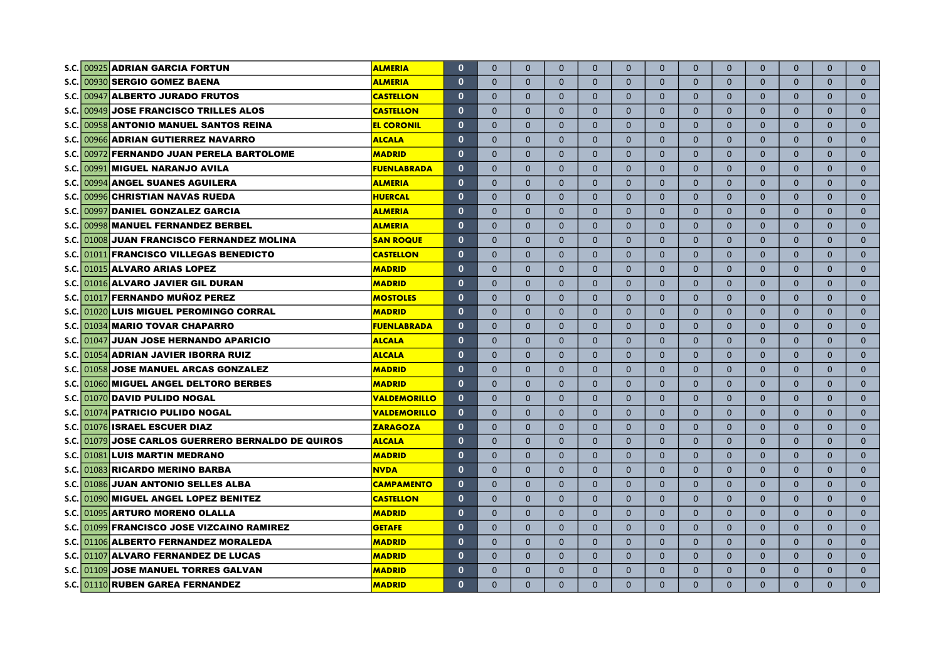| <b>S.C.</b> | 00925 ADRIAN GARCIA FORTUN                         | <b>ALMERIA</b>      | $\mathbf 0$  | $\Omega$     | $\mathbf{0}$ | $\mathbf{0}$ | $\Omega$     | $\overline{0}$ | $\overline{0}$ | $\mathbf{0}$   | $\Omega$       | $\mathbf{0}$ | $\mathbf{0}$ | $\mathbf{0}$ | $\mathbf{0}$ |
|-------------|----------------------------------------------------|---------------------|--------------|--------------|--------------|--------------|--------------|----------------|----------------|----------------|----------------|--------------|--------------|--------------|--------------|
| S.C.        | 00930 SERGIO GOMEZ BAENA                           | <b>ALMERIA</b>      | $\mathbf{0}$ | $\mathbf{0}$ | $\mathbf{0}$ | $\mathbf{0}$ | $\mathbf{0}$ | 0              | $\mathbf{0}$   | $\mathbf{0}$   | $\mathbf{0}$   | $\mathbf{0}$ | $\mathbf{0}$ | $\mathbf{0}$ | $\mathbf{0}$ |
| S.C.        | 00947 ALBERTO JURADO FRUTOS                        | <b>CASTELLON</b>    | $\mathbf{0}$ | $\Omega$     | $\mathbf{0}$ | $\mathbf{0}$ | $\mathbf{0}$ | 0              | $\mathbf{0}$   | $\mathbf{0}$   | $\mathbf{0}$   | $\mathbf{0}$ | $\mathbf{0}$ | $\mathbf{0}$ | $\mathbf{0}$ |
| S.C.        | 00949 JOSE FRANCISCO TRILLES ALOS                  | <b>CASTELLON</b>    | $\mathbf 0$  | $\Omega$     | $\mathbf{0}$ | $\mathbf{0}$ | $\mathbf{0}$ | 0              | $\mathbf{0}$   | $\mathbf{0}$   | $\mathbf{0}$   | $\mathbf{0}$ | $\mathbf{0}$ | $\mathbf{0}$ | $\mathbf{0}$ |
| S.C.        | 00958 ANTONIO MANUEL SANTOS REINA                  | <b>EL CORONIL</b>   | $\mathbf 0$  | $\Omega$     | $\mathbf{0}$ | $\Omega$     | $\mathbf{0}$ | 0              | $\mathbf{0}$   | $\mathbf{0}$   | $\mathbf{0}$   | $\mathbf{0}$ | $\mathbf{0}$ | $\mathbf{0}$ | $\mathbf{0}$ |
| S.C.        | 00966 ADRIAN GUTIERREZ NAVARRO                     | <b>ALCALA</b>       | $\mathbf 0$  | $\mathbf{0}$ | $\mathbf{0}$ | $\Omega$     | $\mathbf{0}$ | 0              | $\mathbf{0}$   | $\mathbf{0}$   | $\mathbf{0}$   | $\mathbf{0}$ | $\mathbf{0}$ | $\mathbf{0}$ | $\mathbf{0}$ |
| S.C.        | 00972 FERNANDO JUAN PERELA BARTOLOME               | <b>MADRID</b>       | $\mathbf{0}$ | $\Omega$     | $\Omega$     | $\Omega$     | $\Omega$     | $\Omega$       | $\Omega$       | $\Omega$       | $\Omega$       | $\Omega$     | $\Omega$     | $\Omega$     | $\mathbf 0$  |
| S.C.        | 00991 MIGUEL NARANJO AVILA                         | <b>FUENLABRADA</b>  | $\mathbf{0}$ | $\Omega$     | $\Omega$     | $\Omega$     | $\Omega$     | $\Omega$       | $\Omega$       | $\Omega$       | $\Omega$       | $\Omega$     | $\Omega$     | $\Omega$     | $\mathbf{0}$ |
| S.C.        | 00994 ANGEL SUANES AGUILERA                        | <b>ALMERIA</b>      | $\mathbf{0}$ | $\Omega$     | $\Omega$     | $\Omega$     | $\Omega$     | $\Omega$       | $\Omega$       | $\Omega$       | $\Omega$       | $\Omega$     | $\Omega$     | $\Omega$     | $\mathbf{0}$ |
| S.C.        | 00996 CHRISTIAN NAVAS RUEDA                        | <b>HUERCAL</b>      | $\mathbf{0}$ | $\Omega$     | $\Omega$     | $\Omega$     | $\Omega$     | $\overline{0}$ | $\Omega$       | $\Omega$       | $\Omega$       | $\Omega$     | $\Omega$     | $\Omega$     | $\mathbf{0}$ |
| S.C.        | 00997 DANIEL GONZALEZ GARCIA                       | <b>ALMERIA</b>      | $\mathbf{0}$ | $\Omega$     | $\Omega$     | $\Omega$     | $\Omega$     | $\overline{0}$ | $\Omega$       | $\Omega$       | $\Omega$       | $\Omega$     | $\mathbf{0}$ | $\Omega$     | $\mathbf{0}$ |
| S.C.        | 00998 MANUEL FERNANDEZ BERBEL                      | <b>ALMERIA</b>      | $\mathbf 0$  | $\Omega$     | $\Omega$     | $\Omega$     | $\Omega$     | $\overline{0}$ | $\mathbf{0}$   | $\mathbf{0}$   | $\mathbf{0}$   | $\Omega$     | $\mathbf{0}$ | $\mathbf{0}$ | $\mathbf{0}$ |
| S.C.        | 01008 JUAN FRANCISCO FERNANDEZ MOLINA              | <b>SAN ROQUE</b>    | $\mathbf 0$  | $\Omega$     | $\mathbf{0}$ | $\mathbf{0}$ | $\mathbf{0}$ | $\mathbf{0}$   | $\overline{0}$ | $\mathbf{0}$   | $\mathbf{0}$   | $\mathbf{0}$ | $\mathbf{0}$ | $\mathbf{0}$ | $\mathbf{0}$ |
|             | S.C. 01011 FRANCISCO VILLEGAS BENEDICTO            | <b>CASTELLON</b>    | $\mathbf 0$  | $\Omega$     | $\mathbf{0}$ | $\mathbf{0}$ | $\mathbf{0}$ | $\mathbf{0}$   | $\mathbf{0}$   | $\mathbf{0}$   | $\mathbf{0}$   | $\mathbf{0}$ | $\mathbf{0}$ | $\mathbf{0}$ | $\mathbf{0}$ |
|             | S.C. 01015 ALVARO ARIAS LOPEZ                      | <b>MADRID</b>       | $\mathbf 0$  | $\Omega$     | $\mathbf{0}$ | $\mathbf{0}$ | $\mathbf{0}$ | $\mathbf{0}$   | $\mathbf{0}$   | $\mathbf{0}$   | $\mathbf{0}$   | $\mathbf{0}$ | $\mathbf{0}$ | $\mathbf{0}$ | $\mathbf{0}$ |
|             | S.C. 01016 ALVARO JAVIER GIL DURAN                 | <b>MADRID</b>       | $\mathbf{0}$ | $\Omega$     | $\Omega$     | $\Omega$     | $\Omega$     | $\Omega$       | $\Omega$       | $\Omega$       | $\Omega$       | $\Omega$     | $\Omega$     | $\Omega$     | $\Omega$     |
|             | S.C. 01017 FERNANDO MUÑOZ PEREZ                    | <b>MOSTOLES</b>     | $\mathbf{0}$ | $\Omega$     | $\Omega$     | $\Omega$     | $\Omega$     | $\Omega$       | $\Omega$       | $\Omega$       | $\overline{0}$ | $\Omega$     | $\Omega$     | $\Omega$     | $\Omega$     |
|             | S.C. 01020 LUIS MIGUEL PEROMINGO CORRAL            | <b>MADRID</b>       | $\mathbf{0}$ | $\Omega$     | $\Omega$     | $\Omega$     | $\Omega$     | $\overline{0}$ | $\Omega$       | $\Omega$       | $\overline{0}$ | $\mathbf{0}$ | $\mathbf{0}$ | $\Omega$     | $\mathbf{0}$ |
|             | S.C. 01034 MARIO TOVAR CHAPARRO                    | <b>FUENLABRADA</b>  | $\mathbf{0}$ | $\Omega$     | $\Omega$     | $\Omega$     | $\Omega$     | $\overline{0}$ | $\Omega$       | $\Omega$       | $\Omega$       | $\mathbf{0}$ | $\Omega$     | $\mathbf{0}$ | $\mathbf{0}$ |
|             | <b>JUAN JOSE HERNANDO APARICIO</b><br>$S.C.$ 01047 | <b>ALCALA</b>       | $\mathbf{0}$ | $\Omega$     | $\Omega$     | $\mathbf{0}$ | $\Omega$     | $\overline{0}$ | $\Omega$       | $\overline{0}$ | $\Omega$       | $\mathbf{0}$ | $\Omega$     | $\mathbf{0}$ | $\mathbf{0}$ |
|             | S.C. 01054 ADRIAN JAVIER IBORRA RUIZ               | <b>ALCALA</b>       | $\mathbf{0}$ | $\mathbf{0}$ | $\Omega$     | $\mathbf{0}$ | $\Omega$     | $\overline{0}$ | $\Omega$       | $\overline{0}$ | $\Omega$       | $\mathbf{0}$ | $\mathbf{0}$ | $\mathbf{0}$ | $\mathbf{0}$ |
| S.C.        | 01058 JOSE MANUEL ARCAS GONZALEZ                   | <b>MADRID</b>       | $\mathbf{0}$ | $\mathbf 0$  | $\mathbf{0}$ | $\mathbf{0}$ | $\mathbf{0}$ | $\mathbf{0}$   | $\overline{0}$ | $\mathbf{0}$   | $\mathbf{0}$   | $\mathbf{0}$ | $\mathbf{0}$ | $\mathbf{0}$ | $\mathbf{0}$ |
| S.C.        | 01060 MIGUEL ANGEL DELTORO BERBES                  | <b>MADRID</b>       | $\mathbf{0}$ | $\mathbf{0}$ | $\mathbf{0}$ | $\mathbf{0}$ | $\mathbf{0}$ | $\mathbf{0}$   | $\overline{0}$ | $\mathbf{0}$   | $\mathbf{0}$   | $\mathbf{0}$ | $\mathbf{0}$ | $\mathbf{0}$ | $\mathbf{0}$ |
| S.C.        | 01070  DAVID PULIDO NOGAL                          | <b>VALDEMORILLO</b> | $\mathbf 0$  | $\mathbf{0}$ | $\mathbf{0}$ | $\mathbf{0}$ | $\mathbf{0}$ | $\mathbf{0}$   | $\overline{0}$ | $\mathbf{0}$   | $\mathbf{0}$   | $\mathbf{0}$ | $\mathbf{0}$ | $\mathbf{0}$ | $\mathbf{0}$ |
|             | S.C. 01074 PATRICIO PULIDO NOGAL                   | <b>VALDEMORILLO</b> | $\mathbf{0}$ | $\Omega$     | $\Omega$     | $\Omega$     | $\Omega$     | $\mathbf{0}$   | $\Omega$       | $\mathbf{0}$   | $\Omega$       | $\mathbf{0}$ | $\Omega$     | $\mathbf{0}$ | $\mathbf{0}$ |
|             | S.C. 01076 ISRAEL ESCUER DIAZ                      | <b>ZARAGOZA</b>     | $\mathbf{0}$ | $\Omega$     | $\Omega$     | $\Omega$     | $\Omega$     | $\Omega$       | $\Omega$       | $\Omega$       | $\Omega$       | $\Omega$     | $\Omega$     | $\Omega$     | $\Omega$     |
|             | S.C. 01079 JOSE CARLOS GUERRERO BERNALDO DE QUIROS | <b>ALCALA</b>       | $\mathbf{0}$ | $\Omega$     | $\Omega$     | $\Omega$     | $\Omega$     | $\Omega$       | $\Omega$       | $\Omega$       | $\Omega$       | $\Omega$     | $\Omega$     | $\Omega$     | $\Omega$     |
|             | S.C. 01081 LUIS MARTIN MEDRANO                     | <b>MADRID</b>       | $\mathbf{0}$ | $\Omega$     | $\Omega$     | $\Omega$     | $\Omega$     | $\overline{0}$ | $\Omega$       | $\Omega$       | $\Omega$       | $\mathbf{0}$ | $\Omega$     | $\Omega$     | $\mathbf 0$  |
|             | S.C. 01083 RICARDO MERINO BARBA                    | <b>NVDA</b>         | $\mathbf 0$  | $\mathbf{0}$ | $\Omega$     | $\Omega$     | $\mathbf{0}$ | $\overline{0}$ | $\overline{0}$ | $\mathbf{0}$   | $\Omega$       | $\mathbf{0}$ | $\mathbf{0}$ | $\mathbf{0}$ | $\mathbf 0$  |
|             | S.C. 01086 JUAN ANTONIO SELLES ALBA                | <b>CAMPAMENTO</b>   | $\mathbf{0}$ | $\Omega$     | $\Omega$     | $\Omega$     | $\mathbf{0}$ | $\overline{0}$ | $\mathbf{0}$   | $\mathbf{0}$   | $\mathbf{0}$   | $\mathbf{0}$ | $\Omega$     | $\mathbf{0}$ | $\mathbf 0$  |
|             | S.C. 01090 MIGUEL ANGEL LOPEZ BENITEZ              | <b>CASTELLON</b>    | $\mathbf{0}$ | $\mathbf{0}$ | $\Omega$     | $\Omega$     | $\mathbf{0}$ | $\overline{0}$ | $\mathbf{0}$   | $\mathbf{0}$   | $\mathbf{0}$   | $\mathbf{0}$ | $\mathbf{0}$ | $\mathbf 0$  | $\mathbf 0$  |
|             | S.C. 01095 ARTURO MORENO OLALLA                    | <b>MADRID</b>       | $\mathbf{0}$ | $\mathbf{0}$ | $\mathbf{0}$ | $\Omega$     | $\mathbf{0}$ | $\mathbf{0}$   | $\mathbf{0}$   | $\mathbf{0}$   | $\mathbf{0}$   | $\mathbf{0}$ | $\mathbf{0}$ | $\mathbf{0}$ | $\mathbf{0}$ |
|             | S.C. 01099 FRANCISCO JOSE VIZCAINO RAMIREZ         | <b>GETAFE</b>       | $\mathbf{0}$ | $\mathbf{0}$ | $\mathbf{0}$ | $\Omega$     | $\mathbf{0}$ | $\mathbf{0}$   | $\mathbf{0}$   | $\mathbf{0}$   | $\mathbf{0}$   | $\mathbf{0}$ | $\mathbf{0}$ | $\mathbf{0}$ | $\mathbf{0}$ |
|             | S.C. 01106 ALBERTO FERNANDEZ MORALEDA              | <b>MADRID</b>       | $\mathbf 0$  | $\Omega$     | $\Omega$     | $\Omega$     | $\Omega$     | $\Omega$       | $\Omega$       | $\Omega$       | $\Omega$       | $\Omega$     | $\Omega$     | $\Omega$     | $\mathbf{0}$ |
|             | S.C. 01107 ALVARO FERNANDEZ DE LUCAS               | <b>MADRID</b>       | $\mathbf 0$  | $\Omega$     | $\Omega$     | $\Omega$     | $\Omega$     | $\mathbf{0}$   | $\overline{0}$ | $\mathbf{0}$   | $\mathbf{0}$   | $\mathbf{0}$ | $\mathbf{0}$ | $\Omega$     | $\mathbf{0}$ |
|             | S.C. 01109 JOSE MANUEL TORRES GALVAN               | <b>MADRID</b>       | $\mathbf{0}$ | $\Omega$     | $\Omega$     | $\Omega$     | $\Omega$     | 0              | $\overline{0}$ | $\mathbf{0}$   | $\mathbf{0}$   | $\mathbf{0}$ | $\mathbf{0}$ | $\Omega$     | $\mathbf{0}$ |
|             | S.C. 01110 RUBEN GAREA FERNANDEZ                   | <b>MADRID</b>       | $\mathbf{0}$ | $\Omega$     | $\Omega$     | $\Omega$     | $\Omega$     | $\overline{0}$ | $\Omega$       | $\mathbf{0}$   | $\Omega$       | $\Omega$     | $\Omega$     | $\Omega$     | $\Omega$     |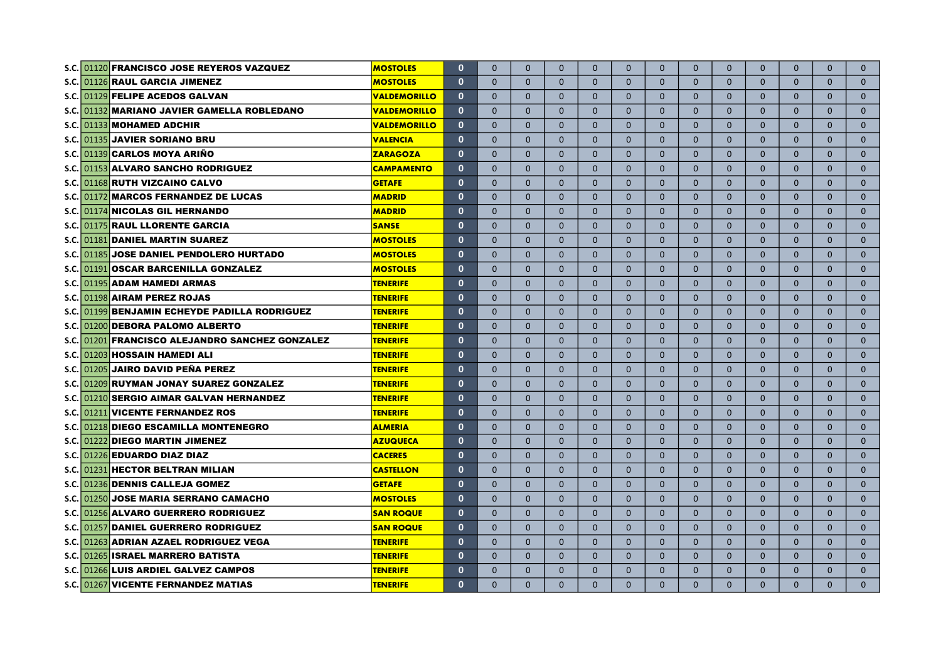|             | S.C. 01120 FRANCISCO JOSE REYEROS VAZQUEZ       | <b>MOSTOLES</b>     | $\mathbf{0}$ | $\Omega$     | $\Omega$     | $\Omega$     | $\Omega$     | $\Omega$       | $\Omega$       | $\Omega$       | $\Omega$     | $\mathbf{0}$ | $\Omega$     | $\Omega$     | $\Omega$     |
|-------------|-------------------------------------------------|---------------------|--------------|--------------|--------------|--------------|--------------|----------------|----------------|----------------|--------------|--------------|--------------|--------------|--------------|
|             | S.C. 01126 RAUL GARCIA JIMENEZ                  | <b>MOSTOLES</b>     | $\mathbf{0}$ | $\mathbf{0}$ | $\mathbf{0}$ | $\mathbf{0}$ | $\mathbf{0}$ | $\mathbf{0}$   | $\mathbf{0}$   | $\mathbf{0}$   | $\mathbf{0}$ | $\mathbf{0}$ | $\mathbf{0}$ | $\Omega$     | $\mathbf{0}$ |
| S.C.        | 01129 FELIPE ACEDOS GALVAN                      | <u>VALDEMORILLO</u> | $\bf{0}$     | $\mathbf{0}$ | $\mathbf{0}$ | $\mathbf{0}$ | $\mathbf{0}$ | $\mathbf{0}$   | $\mathbf{0}$   | $\mathbf{0}$   | $\mathbf{0}$ | $\mathbf{0}$ | $\mathbf{0}$ | $\mathbf{0}$ | $\mathbf{0}$ |
| S.C.        | 01132 MARIANO JAVIER GAMELLA ROBLEDANO          | <b>VALDEMORILLO</b> | $\bf{0}$     | $\mathbf{0}$ | $\mathbf{0}$ | $\Omega$     | $\mathbf{0}$ | $\mathbf{0}$   | $\mathbf{0}$   | $\mathbf{0}$   | $\mathbf{0}$ | $\mathbf{0}$ | $\mathbf{0}$ | $\mathbf{0}$ | $\mathbf{0}$ |
| <b>S.C.</b> | 01133 MOHAMED ADCHIR                            | <b>VALDEMORILLO</b> | $\mathbf 0$  | $\mathbf{0}$ | $\mathbf{0}$ | $\mathbf{0}$ | $\mathbf{0}$ | $\mathbf{0}$   | $\mathbf{0}$   | $\mathbf{0}$   | $\mathbf{0}$ | $\mathbf{0}$ | $\mathbf{0}$ | $\mathbf{0}$ | $\mathbf{0}$ |
| S.C.I       | 01135 JAVIER SORIANO BRU                        | <b>VALENCIA</b>     | $\mathbf 0$  | $\mathbf{0}$ | $\mathbf{0}$ | $\mathbf{0}$ | $\mathbf{0}$ | 0              | $\mathbf{0}$   | $\mathbf{0}$   | $\mathbf{0}$ | $\mathbf{0}$ | $\mathbf{0}$ | $\mathbf{0}$ | $\mathbf{0}$ |
| S.C.I       | 01139 CARLOS MOYA ARIÑO                         | <b>ZARAGOZA</b>     | $\bf{0}$     | $\Omega$     | $\Omega$     | $\Omega$     | $\Omega$     | $\overline{0}$ | $\Omega$       | $\Omega$       | $\Omega$     | $\Omega$     | $\Omega$     | $\Omega$     | $\Omega$     |
| S.C.I       | 01153 ALVARO SANCHO RODRIGUEZ                   | <b>CAMPAMENTO</b>   | $\mathbf{0}$ | $\Omega$     | $\Omega$     | $\Omega$     | $\Omega$     | $\overline{0}$ | $\Omega$       | $\Omega$       | $\Omega$     | $\Omega$     | $\Omega$     | $\Omega$     | $\Omega$     |
| s.c.l       | 01168 RUTH VIZCAINO CALVO                       | <b>GETAFE</b>       | $\mathbf 0$  | $\Omega$     | $\Omega$     | $\Omega$     | $\Omega$     | $\overline{0}$ | $\Omega$       | $\Omega$       | $\Omega$     | $\Omega$     | $\mathbf{0}$ | $\Omega$     | $\mathbf{0}$ |
| S.C.I       | 01172 MARCOS FERNANDEZ DE LUCAS                 | <b>MADRID</b>       | $\mathbf 0$  | $\Omega$     | $\Omega$     | $\Omega$     | $\mathbf{0}$ | $\overline{0}$ | $\mathbf{0}$   | $\mathbf{0}$   | $\Omega$     | $\mathbf{0}$ | $\mathbf{0}$ | $\Omega$     | $\mathbf{0}$ |
| S.C.I       | 01174 NICOLAS GIL HERNANDO                      | <b>MADRID</b>       | $\mathbf 0$  | $\Omega$     | $\Omega$     | $\Omega$     | $\mathbf{0}$ | 0              | $\mathbf{0}$   | $\mathbf{0}$   | $\mathbf{0}$ | $\mathbf{0}$ | $\mathbf{0}$ | $\mathbf{0}$ | $\mathbf{0}$ |
| s.c.l       | 01175 RAUL LLORENTE GARCIA                      | <b>SANSE</b>        | $\mathbf 0$  | $\Omega$     | $\Omega$     | $\Omega$     | $\mathbf{0}$ | 0              | $\mathbf{0}$   | $\mathbf{0}$   | $\mathbf{0}$ | $\mathbf{0}$ | $\mathbf{0}$ | $\mathbf{0}$ | $\mathbf{0}$ |
| S.C.        | 01181 DANIEL MARTIN SUAREZ                      | <b>MOSTOLES</b>     | $\mathbf 0$  | $\Omega$     | $\Omega$     | $\Omega$     | $\Omega$     | 0              | $\mathbf{0}$   | $\mathbf{0}$   | $\mathbf{0}$ | $\mathbf{0}$ | $\mathbf{0}$ | $\mathbf{0}$ | $\mathbf{0}$ |
|             | S.C. 01185 JOSE DANIEL PENDOLERO HURTADO        | <b>MOSTOLES</b>     | $\mathbf 0$  | $\mathbf{0}$ | $\mathbf{0}$ | $\Omega$     | $\mathbf{0}$ | 0              | $\mathbf{0}$   | $\mathbf{0}$   | $\mathbf{0}$ | $\mathbf{0}$ | $\mathbf{0}$ | $\mathbf{0}$ | $\mathbf{0}$ |
|             | S.C. 01191 OSCAR BARCENILLA GONZALEZ            | <b>MOSTOLES</b>     | $\mathbf 0$  | $\mathbf{0}$ | $\mathbf{0}$ | $\mathbf{0}$ | $\mathbf{0}$ | 0              | $\mathbf{0}$   | $\mathbf{0}$   | $\mathbf{0}$ | $\mathbf{0}$ | $\mathbf{0}$ | $\mathbf{0}$ | $\mathbf{0}$ |
|             | S.C. 01195 ADAM HAMEDI ARMAS                    | <b>TENERIFE</b>     | $\mathbf{0}$ | $\Omega$     | $\Omega$     | $\Omega$     | $\Omega$     | $\overline{0}$ | $\Omega$       | $\Omega$       | $\Omega$     | $\Omega$     | $\mathbf{0}$ | $\mathbf{0}$ | $\mathbf{0}$ |
|             | S.C. 01198 AIRAM PEREZ ROJAS                    | <b>TENERIFE</b>     | $\mathbf{0}$ | $\Omega$     | $\Omega$     | $\Omega$     | $\Omega$     | $\Omega$       | $\Omega$       | $\Omega$       | $\Omega$     | $\Omega$     | $\mathbf{0}$ | $\mathbf{0}$ | $\mathbf{0}$ |
|             | S.C. 01199 BENJAMIN ECHEYDE PADILLA RODRIGUEZ   | <b>TENERIFE</b>     | $\mathbf{0}$ | $\Omega$     | $\Omega$     | $\Omega$     | $\Omega$     | $\Omega$       | $\Omega$       | $\Omega$       | $\Omega$     | $\Omega$     | $\Omega$     | $\Omega$     | $\mathbf{0}$ |
|             | S.C. 01200 DEBORA PALOMO ALBERTO                | <b>TENERIFE</b>     | $\mathbf{0}$ | $\Omega$     | $\Omega$     | $\Omega$     | $\Omega$     | $\mathbf{0}$   | $\Omega$       | $\Omega$       | $\Omega$     | $\mathbf{0}$ | $\Omega$     | $\Omega$     | $\mathbf{0}$ |
|             | S.C. 01201 FRANCISCO ALEJANDRO SANCHEZ GONZALEZ | <b>TENERIFE</b>     | $\mathbf 0$  | $\Omega$     | $\Omega$     | $\Omega$     | $\Omega$     | $\mathbf{0}$   | $\Omega$       | $\overline{0}$ | $\mathbf{0}$ | $\mathbf{0}$ | $\mathbf{0}$ | $\mathbf{0}$ | $\mathbf{0}$ |
|             | S.C. 01203 HOSSAIN HAMEDI ALI                   | <b>TENERIFE</b>     | $\mathbf 0$  | $\mathbf{0}$ | $\mathbf{0}$ | $\mathbf{0}$ | $\mathbf{0}$ | $\mathbf{0}$   | $\overline{0}$ | $\overline{0}$ | $\mathbf{0}$ | $\mathbf{0}$ | $\mathbf{0}$ | $\mathbf{0}$ | $\mathbf{0}$ |
|             | S.C. 01205 JAIRO DAVID PEÑA PEREZ               | <b>TENERIFE</b>     | $\mathbf 0$  | $\mathbf{0}$ | $\mathbf{0}$ | $\mathbf{0}$ | $\mathbf{0}$ | $\mathbf{0}$   | $\overline{0}$ | $\overline{0}$ | $\mathbf{0}$ | $\mathbf{0}$ | $\mathbf{0}$ | $\mathbf{0}$ | $\mathbf{0}$ |
|             | S.C. 01209 RUYMAN JONAY SUAREZ GONZALEZ         | <b>TENERIFE</b>     | $\mathbf 0$  | $\mathbf{0}$ | $\mathbf{0}$ | $\mathbf{0}$ | $\mathbf{0}$ | $\mathbf{0}$   | $\mathbf{0}$   | $\mathbf{0}$   | $\mathbf{0}$ | $\mathbf{0}$ | $\mathbf{0}$ | $\mathbf{0}$ | $\mathbf{0}$ |
|             | S.C. 01210 SERGIO AIMAR GALVAN HERNANDEZ        | <b>TENERIFE</b>     | $\mathbf{0}$ | $\Omega$     | $\Omega$     | $\Omega$     | $\Omega$     | $\mathbf{0}$   | $\Omega$       | $\Omega$       | $\Omega$     | $\Omega$     | $\Omega$     | $\Omega$     | $\Omega$     |
|             | S.C. 01211 VICENTE FERNANDEZ ROS                | <b>TENERIFE</b>     | $\mathbf{0}$ | $\Omega$     | $\Omega$     | $\mathbf{0}$ | $\Omega$     | $\mathbf{0}$   | $\Omega$       | $\mathbf{0}$   | $\Omega$     | $\mathbf{0}$ | $\mathbf{0}$ | $\mathbf{0}$ | $\mathbf 0$  |
|             | S.C. 01218 DIEGO ESCAMILLA MONTENEGRO           | <b>ALMERIA</b>      | $\mathbf{0}$ | $\mathbf{0}$ | $\mathbf{0}$ | $\mathbf{0}$ | $\mathbf{0}$ | $\overline{0}$ | $\overline{0}$ | $\mathbf{0}$   | $\mathbf{0}$ | $\mathbf{0}$ | $\mathbf{0}$ | $\mathbf{0}$ | $\mathbf{0}$ |
|             | S.C. 01222 DIEGO MARTIN JIMENEZ                 | <b>AZUQUECA</b>     | $\mathbf{0}$ | $\mathbf{0}$ | $\mathbf{0}$ | $\mathbf{0}$ | $\mathbf{0}$ | $\overline{0}$ | $\overline{0}$ | $\mathbf{0}$   | $\mathbf{0}$ | $\mathbf{0}$ | $\mathbf{0}$ | $\mathbf{0}$ | $\mathbf{0}$ |
|             | S.C. 01226 EDUARDO DIAZ DIAZ                    | <b>CACERES</b>      | $\mathbf{0}$ | $\mathbf{0}$ | $\mathbf{0}$ | $\mathbf{0}$ | $\mathbf{0}$ | $\overline{0}$ | $\overline{0}$ | $\mathbf{0}$   | $\mathbf{0}$ | $\mathbf{0}$ | $\mathbf{0}$ | $\mathbf{0}$ | $\mathbf{0}$ |
|             | S.C. 01231 HECTOR BELTRAN MILIAN                | <b>CASTELLON</b>    | $\mathbf{0}$ | $\mathbf{0}$ | $\mathbf{0}$ | $\mathbf{0}$ | $\mathbf{0}$ | $\overline{0}$ | $\overline{0}$ | $\mathbf{0}$   | $\mathbf{0}$ | $\mathbf{0}$ | $\mathbf{0}$ | $\mathbf{0}$ | $\mathbf{0}$ |
|             | S.C. 01236 DENNIS CALLEJA GOMEZ                 | <b>GETAFE</b>       | $\mathbf{0}$ | $\mathbf{0}$ | $\mathbf{0}$ | $\Omega$     | $\Omega$     | $\overline{0}$ | $\mathbf{0}$   | $\mathbf{0}$   | $\Omega$     | $\mathbf{0}$ | $\mathbf{0}$ | $\mathbf{0}$ | $\mathbf{0}$ |
|             | S.C. 01250 JOSE MARIA SERRANO CAMACHO           | <b>MOSTOLES</b>     | $\mathbf{0}$ | $\mathbf{0}$ | $\mathbf{0}$ | $\mathbf{0}$ | $\mathbf{0}$ | $\overline{0}$ | $\mathbf{0}$   | $\mathbf{0}$   | $\mathbf{0}$ | $\mathbf{0}$ | $\mathbf{0}$ | $\mathbf{0}$ | $\mathbf{0}$ |
|             | S.C. 01256 ALVARO GUERRERO RODRIGUEZ            | <b>SAN ROQUE</b>    | $\mathbf 0$  | $\mathbf{0}$ | $\mathbf{0}$ | $\mathbf{0}$ | $\mathbf{0}$ | $\mathbf{0}$   | $\mathbf{0}$   | $\mathbf{0}$   | $\mathbf{0}$ | $\mathbf{0}$ | $\mathbf{0}$ | $\mathbf{0}$ | $\mathbf{0}$ |
|             | S.C. 01257 DANIEL GUERRERO RODRIGUEZ            | <b>SAN ROQUE</b>    | $\mathbf{0}$ | $\Omega$     | $\Omega$     | $\Omega$     | $\Omega$     | $\Omega$       | $\Omega$       | $\Omega$       | $\Omega$     | $\Omega$     | $\Omega$     | $\Omega$     | $\Omega$     |
|             | S.C. 01263 ADRIAN AZAEL RODRIGUEZ VEGA          | <b>TENERIFE</b>     | $\mathbf 0$  | $\Omega$     | $\Omega$     | $\Omega$     | $\Omega$     | $\Omega$       | $\Omega$       | $\Omega$       | $\Omega$     | $\Omega$     | $\Omega$     | $\Omega$     | $\Omega$     |
|             | S.C. 01265 ISRAEL MARRERO BATISTA               | <b>TENERIFE</b>     | $\mathbf{0}$ | $\Omega$     | $\Omega$     | $\Omega$     | $\Omega$     | $\mathbf{0}$   | $\Omega$       | $\Omega$       | $\Omega$     | $\mathbf{0}$ | $\Omega$     | $\Omega$     | $\mathbf{0}$ |
|             | S.C. 01266 LUIS ARDIEL GALVEZ CAMPOS            | <b>TENERIFE</b>     | $\mathbf 0$  | $\Omega$     | $\Omega$     | $\Omega$     | $\Omega$     | $\mathbf{0}$   | $\Omega$       | $\Omega$       | $\Omega$     | $\mathbf{0}$ | $\mathbf{0}$ | $\Omega$     | $\mathbf 0$  |
|             | S.C. 01267 VICENTE FERNANDEZ MATIAS             | <b>TENERIFE</b>     | $\mathbf 0$  | $\Omega$     | $\Omega$     | $\Omega$     | $\Omega$     | $\Omega$       | $\Omega$       | $\Omega$       | $\Omega$     | $\Omega$     | $\Omega$     | $\Omega$     | $\Omega$     |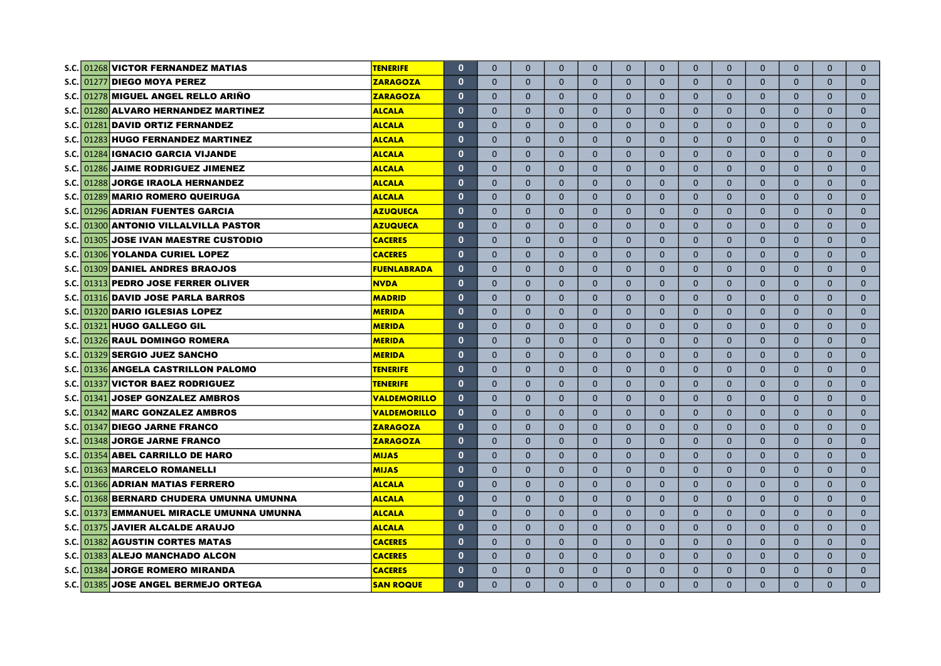|       | S.C. 01268 VICTOR FERNANDEZ MATIAS        | <b>TENERIFE</b>     | $\mathbf 0$  | $\mathbf{0}$ | $\mathbf{0}$ | $\mathbf{0}$ | $\Omega$     | $\mathbf{0}$   | $\mathbf{0}$   | $\mathbf{0}$   | $\mathbf{0}$ | $\mathbf{0}$ | $\mathbf{0}$ | $\mathbf{0}$ | $\mathbf{0}$ |
|-------|-------------------------------------------|---------------------|--------------|--------------|--------------|--------------|--------------|----------------|----------------|----------------|--------------|--------------|--------------|--------------|--------------|
| S.C.  | 01277 DIEGO MOYA PEREZ                    | <b>ZARAGOZA</b>     | $\mathbf 0$  | $\mathbf{0}$ | $\mathbf{0}$ | $\mathbf{0}$ | $\mathbf{0}$ | 0              | $\mathbf{0}$   | $\mathbf{0}$   | $\mathbf{0}$ | $\mathbf{0}$ | $\mathbf{0}$ | $\mathbf{0}$ | $\mathbf{0}$ |
| S.C.  | 01278 MIGUEL ANGEL RELLO ARIÑO            | <b>ZARAGOZA</b>     | $\mathbf 0$  | $\mathbf{0}$ | $\mathbf{0}$ | $\mathbf{0}$ | $\mathbf{0}$ | 0              | $\mathbf{0}$   | $\mathbf{0}$   | $\mathbf{0}$ | $\mathbf{0}$ | $\mathbf{0}$ | $\mathbf{0}$ | $\mathbf{0}$ |
| S.C.  | 01280 ALVARO HERNANDEZ MARTINEZ           | <b>ALCALA</b>       | $\mathbf 0$  | $\mathbf{0}$ | $\mathbf{0}$ | $\mathbf{0}$ | $\mathbf{0}$ | 0              | $\mathbf{0}$   | $\mathbf{0}$   | $\mathbf{0}$ | $\mathbf{0}$ | $\mathbf{0}$ | $\mathbf{0}$ | $\mathbf{0}$ |
| S.C.  | 01281 DAVID ORTIZ FERNANDEZ               | <b>ALCALA</b>       | $\mathbf 0$  | $\mathbf{0}$ | $\mathbf{0}$ | $\mathbf{0}$ | $\mathbf{0}$ | 0              | $\mathbf{0}$   | $\mathbf{0}$   | $\mathbf{0}$ | $\mathbf{0}$ | $\mathbf{0}$ | $\mathbf{0}$ | $\mathbf{0}$ |
| S.C.I | 01283 HUGO FERNANDEZ MARTINEZ             | <b>ALCALA</b>       | $\mathbf 0$  | $\mathbf{0}$ | $\mathbf{0}$ | $\Omega$     | $\mathbf{0}$ | 0              | $\mathbf{0}$   | $\mathbf{0}$   | $\mathbf{0}$ | $\mathbf{0}$ | $\mathbf{0}$ | $\mathbf{0}$ | $\mathbf{0}$ |
| S.C.  | 01284 IGNACIO GARCIA VIJANDE              | <b>ALCALA</b>       | $\mathbf 0$  | $\Omega$     | $\Omega$     | $\Omega$     | $\Omega$     | $\overline{0}$ | $\Omega$       | $\Omega$       | $\Omega$     | $\Omega$     | $\Omega$     | $\Omega$     | $\mathbf 0$  |
| S.C.  | 01286 JAIME RODRIGUEZ JIMENEZ             | <b>ALCALA</b>       | $\mathbf 0$  | $\Omega$     | $\Omega$     | $\Omega$     | $\Omega$     | $\mathbf{0}$   | $\Omega$       | $\Omega$       | $\Omega$     | $\Omega$     | $\Omega$     | $\Omega$     | $\mathbf{0}$ |
| S.C.I | 01288 JORGE IRAOLA HERNANDEZ              | <b>ALCALA</b>       | $\mathbf 0$  | $\Omega$     | $\Omega$     | $\Omega$     | $\Omega$     | $\overline{0}$ | $\Omega$       | $\Omega$       | $\Omega$     | $\Omega$     | $\Omega$     | $\Omega$     | $\mathbf{0}$ |
| S.C.  | 01289 MARIO ROMERO QUEIRUGA               | <b>ALCALA</b>       | $\mathbf{0}$ | $\Omega$     | $\Omega$     | $\Omega$     | $\Omega$     | $\overline{0}$ | $\Omega$       | $\mathbf{0}$   | $\Omega$     | $\Omega$     | $\mathbf{0}$ | $\mathbf{0}$ | $\mathbf{0}$ |
|       | S.C. 01296 ADRIAN FUENTES GARCIA          | <b>AZUQUECA</b>     | $\mathbf 0$  | $\Omega$     | $\mathbf{0}$ | $\Omega$     | $\Omega$     | 0              | $\mathbf{0}$   | $\mathbf{0}$   | $\mathbf{0}$ | $\mathbf{0}$ | $\mathbf{0}$ | $\mathbf{0}$ | $\mathbf{0}$ |
|       | S.C. 01300 ANTONIO VILLALVILLA PASTOR     | <b>AZUQUECA</b>     | $\mathbf 0$  | $\mathbf 0$  | $\mathbf{0}$ | $\Omega$     | $\mathbf{0}$ | $\mathbf{0}$   | $\mathbf{0}$   | $\mathbf{0}$   | $\mathbf{0}$ | $\mathbf{0}$ | $\mathbf{0}$ | $\mathbf{0}$ | $\mathbf{0}$ |
|       | S.C. 01305 JOSE IVAN MAESTRE CUSTODIO     | <b>CACERES</b>      | $\mathbf 0$  | $\mathbf{0}$ | $\mathbf{0}$ | $\mathbf{0}$ | $\mathbf{0}$ | $\mathbf{0}$   | $\mathbf{0}$   | $\mathbf{0}$   | $\mathbf{0}$ | $\mathbf{0}$ | $\mathbf{0}$ | $\mathbf{0}$ | $\mathbf{0}$ |
|       | S.C. 01306 YOLANDA CURIEL LOPEZ           | <b>CACERES</b>      | $\mathbf 0$  | $\mathbf{0}$ | $\mathbf{0}$ | $\mathbf{0}$ | $\mathbf{0}$ | $\mathbf{0}$   | $\mathbf{0}$   | $\mathbf{0}$   | $\mathbf{0}$ | $\mathbf{0}$ | $\mathbf{0}$ | $\mathbf{0}$ | $\mathbf{0}$ |
|       | S.C. 01309 DANIEL ANDRES BRAOJOS          | <b>FUENLABRADA</b>  | $\mathbf 0$  | $\mathbf{0}$ | $\mathbf{0}$ | $\mathbf{0}$ | $\mathbf{0}$ | $\mathbf{0}$   | $\mathbf{0}$   | $\mathbf{0}$   | $\mathbf{0}$ | $\mathbf{0}$ | $\mathbf{0}$ | $\mathbf{0}$ | $\mathbf{0}$ |
|       | S.C. 01313 PEDRO JOSE FERRER OLIVER       | <b>NVDA</b>         | $\mathbf{0}$ | $\Omega$     | $\Omega$     | $\Omega$     | $\Omega$     | $\Omega$       | $\Omega$       | $\Omega$       | $\Omega$     | $\Omega$     | $\Omega$     | $\Omega$     | $\mathbf{0}$ |
|       | S.C. 01316 DAVID JOSE PARLA BARROS        | <b>MADRID</b>       | $\mathbf{0}$ | $\Omega$     | $\Omega$     | $\Omega$     | $\Omega$     | $\Omega$       | $\Omega$       | $\Omega$       | $\Omega$     | $\Omega$     | $\Omega$     | $\Omega$     | $\mathbf{0}$ |
|       | S.C. 01320 DARIO IGLESIAS LOPEZ           | <b>MERIDA</b>       | $\mathbf{0}$ | $\mathbf{0}$ | $\Omega$     | $\mathbf{0}$ | $\Omega$     | $\overline{0}$ | $\Omega$       | $\overline{0}$ | $\Omega$     | $\mathbf{0}$ | $\Omega$     | $\mathbf{0}$ | $\mathbf{0}$ |
|       | S.C. 01321 HUGO GALLEGO GIL               | <b>MERIDA</b>       | $\mathbf{0}$ | $\mathbf{0}$ | $\mathbf{0}$ | $\mathbf{0}$ | $\mathbf{0}$ | $\overline{0}$ | $\Omega$       | $\overline{0}$ | $\mathbf{0}$ | $\mathbf{0}$ | $\mathbf{0}$ | $\mathbf{0}$ | $\mathbf{0}$ |
|       | S.C. 01326 RAUL DOMINGO ROMERA            | <b>MERIDA</b>       | $\mathbf{0}$ | $\mathbf{0}$ | $\mathbf{0}$ | $\mathbf{0}$ | $\mathbf{0}$ | $\overline{0}$ | $\Omega$       | $\overline{0}$ | $\mathbf{0}$ | $\mathbf{0}$ | $\mathbf{0}$ | $\mathbf{0}$ | $\mathbf 0$  |
|       | S.C. 01329 SERGIO JUEZ SANCHO             | <b>MERIDA</b>       | $\mathbf{0}$ | $\mathbf{0}$ | $\mathbf{0}$ | $\mathbf{0}$ | $\mathbf{0}$ | $\overline{0}$ | $\overline{0}$ | $\overline{0}$ | $\mathbf{0}$ | $\mathbf{0}$ | $\mathbf{0}$ | $\mathbf{0}$ | $\mathbf{0}$ |
|       | S.C. 01336 ANGELA CASTRILLON PALOMO       | <b>TENERIFE</b>     | $\mathbf 0$  | $\mathbf{0}$ | $\mathbf{0}$ | $\mathbf{0}$ | $\mathbf{0}$ | $\mathbf{0}$   | $\overline{0}$ | $\mathbf{0}$   | $\mathbf{0}$ | $\mathbf{0}$ | $\mathbf{0}$ | $\mathbf{0}$ | $\mathbf{0}$ |
|       | S.C. 01337 VICTOR BAEZ RODRIGUEZ          | <b>TENERIFE</b>     | $\mathbf 0$  | $\mathbf{0}$ | $\mathbf{0}$ | $\mathbf{0}$ | $\mathbf{0}$ | $\mathbf{0}$   | $\overline{0}$ | $\mathbf{0}$   | $\mathbf{0}$ | $\mathbf{0}$ | $\mathbf{0}$ | $\mathbf{0}$ | $\mathbf{0}$ |
|       | S.C. 01341 JOSEP GONZALEZ AMBROS          | <b>VALDEMORILLO</b> | $\mathbf 0$  | $\mathbf{0}$ | $\mathbf{0}$ | $\mathbf 0$  | $\mathbf{0}$ | $\mathbf{0}$   | $\mathbf{0}$   | $\mathbf{0}$   | $\mathbf{0}$ | $\mathbf{0}$ | $\mathbf{0}$ | $\mathbf{0}$ | $\mathbf 0$  |
|       | S.C. 01342 MARC GONZALEZ AMBROS           | <b>VALDEMORILLO</b> | $\bf{0}$     | $\mathbf{0}$ | $\Omega$     | $\mathbf{0}$ | $\mathbf{0}$ | $\mathbf{0}$   | $\mathbf{0}$   | $\mathbf{0}$   | $\Omega$     | $\mathbf{0}$ | $\mathbf{0}$ | $\mathbf{0}$ | $\mathbf{0}$ |
|       | S.C. 01347 DIEGO JARNE FRANCO             | <b>ZARAGOZA</b>     | $\mathbf{0}$ | $\Omega$     | $\Omega$     | $\Omega$     | $\Omega$     | $\Omega$       | $\Omega$       | $\Omega$       | $\Omega$     | $\Omega$     | $\Omega$     | $\Omega$     | $\Omega$     |
|       | S.C. 01348 JORGE JARNE FRANCO             | <b>ZARAGOZA</b>     | $\mathbf{0}$ | $\Omega$     | $\Omega$     | $\Omega$     | $\Omega$     | $\Omega$       | $\Omega$       | $\Omega$       | $\Omega$     | $\Omega$     | $\Omega$     | $\Omega$     | $\Omega$     |
|       | S.C. 01354 ABEL CARRILLO DE HARO          | <b>MIJAS</b>        | $\mathbf{0}$ | $\mathbf{0}$ | $\Omega$     | $\Omega$     | $\Omega$     | $\overline{0}$ | $\Omega$       | $\mathbf{0}$   | $\Omega$     | $\mathbf{0}$ | $\Omega$     | $\Omega$     | $\mathbf{0}$ |
|       | S.C. 01363 MARCELO ROMANELLI              | <b>MIJAS</b>        | $\mathbf 0$  | $\mathbf{0}$ | $\mathbf{0}$ | $\mathbf{0}$ | $\mathbf{0}$ | $\overline{0}$ | $\mathbf{0}$   | $\mathbf{0}$   | $\mathbf{0}$ | $\mathbf{0}$ | $\mathbf{0}$ | $\mathbf{0}$ | $\mathbf{0}$ |
|       | S.C. 01366 ADRIAN MATIAS FERRERO          | <b>ALCALA</b>       | $\mathbf{0}$ | $\mathbf{0}$ | $\mathbf{0}$ | $\Omega$     | $\mathbf{0}$ | $\overline{0}$ | $\mathbf{0}$   | $\mathbf{0}$   | $\mathbf{0}$ | $\mathbf{0}$ | $\mathbf{0}$ | $\mathbf{0}$ | $\mathbf{0}$ |
|       | S.C. 01368 BERNARD CHUDERA UMUNNA UMUNNA  | <b>ALCALA</b>       | $\mathbf{0}$ | $\mathbf{0}$ | $\mathbf{0}$ | $\Omega$     | $\mathbf{0}$ | 0              | $\mathbf{0}$   | $\mathbf{0}$   | $\mathbf{0}$ | $\mathbf{0}$ | $\mathbf{0}$ | $\mathbf{0}$ | $\mathbf{0}$ |
|       | S.C. 01373 EMMANUEL MIRACLE UMUNNA UMUNNA | <b>ALCALA</b>       | $\mathbf{0}$ | $\mathbf{0}$ | $\mathbf{0}$ | $\Omega$     | $\mathbf{0}$ | 0              | $\mathbf{0}$   | $\mathbf{0}$   | $\mathbf{0}$ | $\mathbf{0}$ | $\mathbf{0}$ | $\mathbf{0}$ | $\mathbf{0}$ |
|       | S.C. 01375 JAVIER ALCALDE ARAUJO          | <b>ALCALA</b>       | $\mathbf{0}$ | $\mathbf{0}$ | $\mathbf{0}$ | $\Omega$     | $\mathbf{0}$ | $\mathbf{0}$   | $\mathbf{0}$   | $\mathbf{0}$   | $\mathbf{0}$ | $\mathbf{0}$ | $\mathbf{0}$ | $\mathbf{0}$ | $\mathbf{0}$ |
|       | S.C. 01382 AGUSTIN CORTES MATAS           | <b>CACERES</b>      | $\mathbf 0$  | $\Omega$     | $\Omega$     | $\Omega$     | $\Omega$     | $\Omega$       | $\Omega$       | $\Omega$       | $\Omega$     | $\Omega$     | $\Omega$     | $\Omega$     | $\mathbf{0}$ |
|       | S.C. 01383 ALEJO MANCHADO ALCON           | <b>CACERES</b>      | $\mathbf 0$  | $\mathbf{0}$ | $\mathbf{0}$ | $\mathbf{0}$ | $\mathbf{0}$ | $\mathbf{0}$   | $\overline{0}$ | $\mathbf{0}$   | $\mathbf{0}$ | $\mathbf{0}$ | $\mathbf{0}$ | $\mathbf{0}$ | $\mathbf{0}$ |
|       | S.C. 01384 JORGE ROMERO MIRANDA           | <b>CACERES</b>      | $\mathbf 0$  | $\Omega$     | $\Omega$     | $\Omega$     | $\Omega$     | 0              | $\mathbf{0}$   | $\mathbf{0}$   | $\mathbf{0}$ | $\mathbf{0}$ | $\mathbf{0}$ | $\mathbf{0}$ | $\mathbf{0}$ |
|       | S.C. 01385 JOSE ANGEL BERMEJO ORTEGA      | <b>SAN ROQUE</b>    | $\mathbf{0}$ | $\Omega$     | $\Omega$     | $\Omega$     | $\Omega$     | $\overline{0}$ | $\Omega$       | $\mathbf{0}$   | $\Omega$     | $\Omega$     | $\Omega$     | $\Omega$     | $\Omega$     |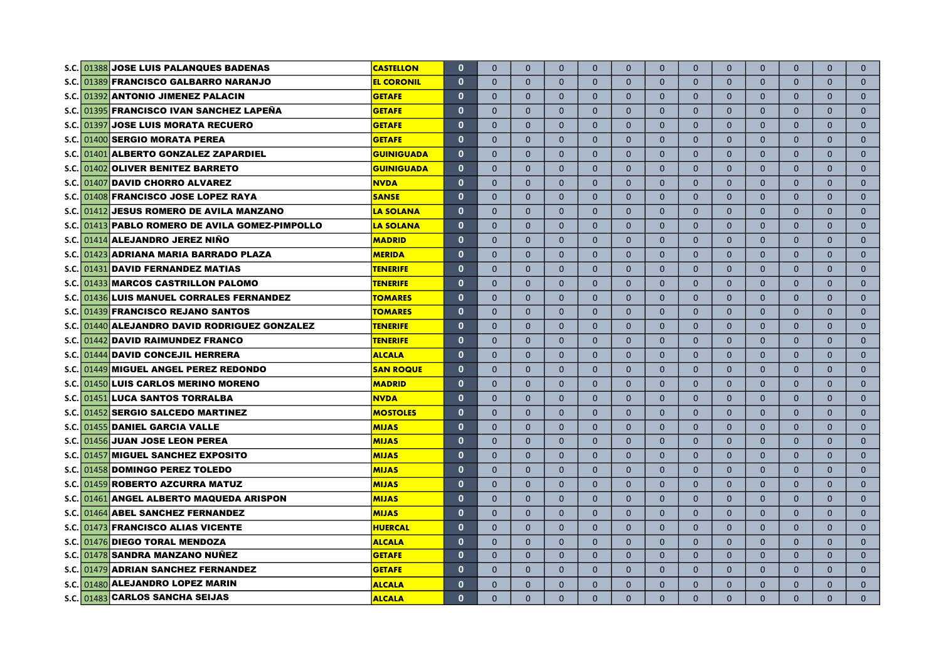|             | <b>JOSE LUIS PALANQUES BADENAS</b><br>S.C. 01388 | <b>CASTELLON</b>  | $\mathbf{0}$ | $\mathbf{0}$ | $\mathbf{0}$ | $\mathbf{0}$ | $\mathbf{0}$ | $\mathbf{0}$   | $\mathbf{0}$   | $\mathbf{0}$ | $\mathbf{0}$ | $\mathbf{0}$ | $\mathbf{0}$ | $\Omega$     | $\mathbf{0}$ |
|-------------|--------------------------------------------------|-------------------|--------------|--------------|--------------|--------------|--------------|----------------|----------------|--------------|--------------|--------------|--------------|--------------|--------------|
|             | S.C. 01389 FRANCISCO GALBARRO NARANJO            | <b>EL CORONIL</b> | $\mathbf{0}$ | $\Omega$     | $\Omega$     | $\Omega$     | $\Omega$     | $\Omega$       | $\Omega$       | $\Omega$     | $\Omega$     | $\Omega$     | $\Omega$     | $\Omega$     | $\mathbf{0}$ |
|             | S.C. 01392 ANTONIO JIMENEZ PALACIN               | <b>GETAFE</b>     | $\mathbf{0}$ | $\Omega$     | $\Omega$     | $\Omega$     | $\mathbf{0}$ | $\Omega$       | $\mathbf{0}$   | $\mathbf{0}$ | $\mathbf{0}$ | $\Omega$     | $\Omega$     | $\Omega$     | $\mathbf{0}$ |
|             | S.C. 01395 FRANCISCO IVAN SANCHEZ LAPEÑA         | <b>GETAFE</b>     | $\mathbf{0}$ | $\mathbf{0}$ | $\mathbf{0}$ | $\mathbf{0}$ | $\mathbf{0}$ | $\mathbf{0}$   | $\mathbf{0}$   | $\mathbf{0}$ | $\mathbf{0}$ | $\mathbf{0}$ | $\mathbf{0}$ | $\mathbf{0}$ | $\mathbf{0}$ |
|             | S.C. 01397 JOSE LUIS MORATA RECUERO              | <b>GETAFE</b>     | $\mathbf 0$  | $\Omega$     | $\Omega$     | $\Omega$     | $\mathbf{0}$ | $\mathbf{0}$   | $\mathbf{0}$   | $\mathbf{0}$ | $\mathbf{0}$ | $\mathbf{0}$ | $\Omega$     | $\Omega$     | $\mathbf{0}$ |
|             | S.C. 01400 SERGIO MORATA PEREA                   | <b>GETAFE</b>     | $\mathbf 0$  | $\mathbf{0}$ | $\mathbf{0}$ | $\mathbf{0}$ | $\mathbf{0}$ | $\mathbf{0}$   | $\mathbf{0}$   | $\mathbf{0}$ | $\mathbf{0}$ | $\mathbf{0}$ | $\mathbf{0}$ | $\mathbf{0}$ | $\mathbf{0}$ |
|             | S.C. 01401 ALBERTO GONZALEZ ZAPARDIEL            | <b>GUINIGUADA</b> | $\mathbf 0$  | $\Omega$     | $\Omega$     | $\Omega$     | $\Omega$     | $\mathbf{0}$   | $\Omega$       | $\Omega$     | $\Omega$     | $\Omega$     | $\Omega$     | $\Omega$     | $\mathbf{0}$ |
|             | S.C. 01402 OLIVER BENITEZ BARRETO                | <b>GUINIGUADA</b> | $\mathbf 0$  | $\mathbf{0}$ | $\Omega$     | $\Omega$     | $\Omega$     | $\mathbf{0}$   | $\mathbf{0}$   | $\mathbf{0}$ | $\mathbf{0}$ | $\mathbf{0}$ | $\Omega$     | $\Omega$     | $\mathbf{0}$ |
|             | S.C. 01407 DAVID CHORRO ALVAREZ                  | <b>NVDA</b>       | $\mathbf 0$  | $\mathbf{0}$ | $\mathbf 0$  | $\mathbf{0}$ | $\mathbf{0}$ | $\mathbf{0}$   | $\Omega$       | $\mathbf{0}$ | $\mathbf{0}$ | $\mathbf{0}$ | $\mathbf{0}$ | $\mathbf{0}$ | $\mathbf{0}$ |
|             | S.C. 01408 FRANCISCO JOSE LOPEZ RAYA             | <b>SANSE</b>      | $\mathbf{0}$ | $\Omega$     | $\Omega$     | $\Omega$     | $\Omega$     | $\mathbf{0}$   | $\mathbf{0}$   | $\mathbf{0}$ | $\mathbf{0}$ | $\mathbf{0}$ | $\Omega$     | $\Omega$     | $\mathbf{0}$ |
|             | S.C. 01412 JESUS ROMERO DE AVILA MANZANO         | <b>LA SOLANA</b>  | $\mathbf 0$  | $\mathbf{0}$ | $\mathbf{0}$ | $\mathbf{0}$ | $\mathbf{0}$ | $\mathbf{0}$   | $\mathbf{0}$   | $\mathbf{0}$ | $\mathbf{0}$ | $\mathbf{0}$ | $\mathbf{0}$ | $\mathbf{0}$ | $\mathbf{0}$ |
|             | S.C. 01413 PABLO ROMERO DE AVILA GOMEZ-PIMPOLLO  | <b>LA SOLANA</b>  | $\mathbf{0}$ | $\mathbf{0}$ | $\mathbf{0}$ | $\mathbf{0}$ | $\mathbf{0}$ | $\mathbf{0}$   | $\mathbf{0}$   | $\mathbf{0}$ | $\mathbf{0}$ | $\mathbf{0}$ | $\mathbf{0}$ | $\mathbf{0}$ | $\mathbf{0}$ |
|             | S.C. 01414 ALEJANDRO JEREZ NIÑO                  | <b>MADRID</b>     | $\mathbf{0}$ | $\Omega$     | $\Omega$     | $\Omega$     | $\Omega$     | $\Omega$       | $\Omega$       | $\Omega$     | $\Omega$     | $\Omega$     | $\Omega$     | $\Omega$     | $\mathbf{0}$ |
|             | S.C. 01423 ADRIANA MARIA BARRADO PLAZA           | <b>MERIDA</b>     | $\mathbf{0}$ | $\mathbf{0}$ | $\Omega$     | $\Omega$     | $\mathbf{0}$ | $\mathbf{0}$   | $\Omega$       | $\mathbf{0}$ | $\mathbf{0}$ | $\mathbf{0}$ | $\Omega$     | $\Omega$     | $\mathbf{0}$ |
|             | S.C. 01431 DAVID FERNANDEZ MATIAS                | <b>TENERIFE</b>   | $\mathbf 0$  | $\mathbf{0}$ | $\mathbf{0}$ | $\mathbf{0}$ | $\mathbf{0}$ | $\mathbf{0}$   | $\mathbf{0}$   | $\mathbf{0}$ | $\mathbf{0}$ | $\mathbf{0}$ | $\mathbf{0}$ | $\mathbf{0}$ | $\mathbf{0}$ |
|             | S.C. 01433 MARCOS CASTRILLON PALOMO              | <b>TENERIFE</b>   | $\mathbf{0}$ | $\mathbf{0}$ | $\mathbf{0}$ | $\mathbf{0}$ | $\mathbf{0}$ | $\overline{0}$ | $\mathbf{0}$   | $\mathbf{0}$ | $\mathbf{0}$ | $\mathbf{0}$ | $\mathbf{0}$ | $\mathbf{0}$ | $\mathbf{0}$ |
|             | S.C. 01436 LUIS MANUEL CORRALES FERNANDEZ        | <b>TOMARES</b>    | $\mathbf 0$  | $\mathbf{0}$ | $\mathbf{0}$ | $\mathbf{0}$ | $\mathbf{0}$ | $\mathbf{0}$   | $\mathbf{0}$   | $\mathbf{0}$ | $\mathbf{0}$ | $\mathbf{0}$ | $\mathbf{0}$ | $\mathbf{0}$ | $\mathbf{0}$ |
| S.C.        | 01439 FRANCISCO REJANO SANTOS                    | <b>TOMARES</b>    | $\mathbf 0$  | $\mathbf{0}$ | $\mathbf{0}$ | $\mathbf{0}$ | $\mathbf{0}$ | $\mathbf{0}$   | $\mathbf{0}$   | $\mathbf{0}$ | $\mathbf{0}$ | $\mathbf{0}$ | $\mathbf{0}$ | $\mathbf{0}$ | $\mathbf{0}$ |
| S.C.        | 01440 ALEJANDRO DAVID RODRIGUEZ GONZALEZ         | <b>TENERIFE</b>   | $\mathbf{0}$ | $\mathbf{0}$ | $\mathbf{0}$ | $\mathbf{0}$ | $\mathbf{0}$ | $\mathbf{0}$   | $\mathbf{0}$   | $\mathbf{0}$ | $\mathbf{0}$ | $\mathbf{0}$ | $\mathbf{0}$ | $\mathbf{0}$ | $\mathbf{0}$ |
| S.C.        | 01442 DAVID RAIMUNDEZ FRANCO                     | <b>TENERIFE</b>   | $\mathbf 0$  | $\mathbf{0}$ | $\mathbf{0}$ | $\mathbf{0}$ | $\mathbf{0}$ | $\mathbf{0}$   | $\mathbf{0}$   | $\mathbf{0}$ | $\mathbf{0}$ | $\mathbf{0}$ | $\mathbf{0}$ | $\mathbf{0}$ | $\mathbf{0}$ |
| <b>S.C.</b> | 01444 DAVID CONCEJIL HERRERA                     | <b>ALCALA</b>     | $\mathbf{0}$ | $\Omega$     | $\Omega$     | $\Omega$     | $\Omega$     | $\Omega$       | $\Omega$       | $\mathbf{0}$ | $\mathbf{0}$ | $\Omega$     | $\Omega$     | $\Omega$     | $\mathbf{0}$ |
| <b>S.C.</b> | 01449 MIGUEL ANGEL PEREZ REDONDO                 | <b>SAN ROQUE</b>  | $\mathbf{0}$ | $\mathbf{0}$ | $\mathbf{0}$ | $\mathbf{0}$ | $\mathbf{0}$ | $\mathbf{0}$   | $\overline{0}$ | $\mathbf{0}$ | $\mathbf{0}$ | $\mathbf{0}$ | $\mathbf{0}$ | $\mathbf{0}$ | $\mathbf{0}$ |
|             | S.C. 01450 LUIS CARLOS MERINO MORENO             | <b>MADRID</b>     | $\mathbf{0}$ | $\mathbf{0}$ | $\mathbf{0}$ | $\mathbf{0}$ | $\mathbf{0}$ | $\mathbf{0}$   | $\mathbf{0}$   | $\mathbf{0}$ | $\mathbf{0}$ | $\mathbf{0}$ | $\mathbf{0}$ | $\mathbf{0}$ | $\mathbf{0}$ |
| S.C.        | 01451 LUCA SANTOS TORRALBA                       | <b>NVDA</b>       | $\mathbf{0}$ | $\Omega$     | $\Omega$     | $\Omega$     | $\Omega$     | $\Omega$       | $\Omega$       | $\Omega$     | $\Omega$     | $\Omega$     | $\Omega$     | $\Omega$     | $\Omega$     |
| S.C.I       | 01452 SERGIO SALCEDO MARTINEZ                    | <b>MOSTOLES</b>   | $\mathbf{0}$ | $\mathbf{0}$ | $\mathbf{0}$ | $\mathbf{0}$ | $\mathbf{0}$ | $\mathbf{0}$   | $\mathbf{0}$   | $\mathbf{0}$ | $\mathbf{0}$ | $\mathbf{0}$ | $\mathbf{0}$ | $\mathbf{0}$ | $\mathbf{0}$ |
| S.C.        | 01455 DANIEL GARCIA VALLE                        | <b>MIJAS</b>      | $\mathbf{0}$ | $\mathbf{0}$ | $\mathbf{0}$ | $\mathbf{0}$ | $\mathbf{0}$ | $\overline{0}$ | $\mathbf{0}$   | $\mathbf{0}$ | $\mathbf{0}$ | $\mathbf{0}$ | $\mathbf{0}$ | $\mathbf{0}$ | $\mathbf{0}$ |
| s.c.l       | 01456 JUAN JOSE LEON PEREA                       | <b>MIJAS</b>      | $\mathbf{0}$ | $\mathbf{0}$ | $\mathbf{0}$ | $\mathbf{0}$ | $\mathbf{0}$ | $\mathbf{0}$   | $\mathbf{0}$   | $\mathbf{0}$ | $\mathbf{0}$ | $\mathbf{0}$ | $\mathbf{0}$ | $\mathbf{0}$ | $\mathbf{0}$ |
| S.C.        | 01457 MIGUEL SANCHEZ EXPOSITO                    | <b>MIJAS</b>      | $\mathbf 0$  | $\mathbf{0}$ | $\Omega$     | $\mathbf{0}$ | $\mathbf{0}$ | $\mathbf{0}$   | $\mathbf{0}$   | $\mathbf{0}$ | $\mathbf{0}$ | $\mathbf{0}$ | $\mathbf{0}$ | $\mathbf{0}$ | $\mathbf{0}$ |
| S.C.        | 01458 DOMINGO PEREZ TOLEDO                       | <b>MIJAS</b>      | $\mathbf{0}$ | $\Omega$     | $\Omega$     | $\Omega$     | $\Omega$     | $\Omega$       | $\Omega$       | $\Omega$     | $\Omega$     | $\Omega$     | $\Omega$     | $\Omega$     | $\Omega$     |
| S.C.        | 01459 ROBERTO AZCURRA MATUZ                      | <b>MIJAS</b>      | $\mathbf 0$  | $\mathbf{0}$ | $\Omega$     | $\mathbf{0}$ | $\Omega$     | $\mathbf{0}$   | $\mathbf{0}$   | $\mathbf{0}$ | $\mathbf{0}$ | $\mathbf{0}$ | $\mathbf{0}$ | $\Omega$     | $\mathbf{0}$ |
| S.C.        | <b>ANGEL ALBERTO MAQUEDA ARISPON</b><br>01461    | <b>MIJAS</b>      | $\mathbf 0$  | $\mathbf{0}$ | $\mathbf 0$  | $\mathbf{0}$ | $\mathbf{0}$ | $\mathbf{0}$   | $\mathbf{0}$   | $\mathbf{0}$ | $\mathbf{0}$ | $\mathbf{0}$ | $\mathbf{0}$ | $\mathbf{0}$ | $\mathbf{0}$ |
| S.C.        | 01464 ABEL SANCHEZ FERNANDEZ                     | <b>MIJAS</b>      | $\mathbf{0}$ | $\Omega$     | $\Omega$     | $\Omega$     | $\Omega$     | $\Omega$       | $\Omega$       | $\mathbf{0}$ | $\Omega$     | $\Omega$     | $\Omega$     | $\Omega$     | $\mathbf{0}$ |
| <b>S.C.</b> | 01473 FRANCISCO ALIAS VICENTE                    | <b>HUERCAL</b>    | $\mathbf 0$  | $\Omega$     | $\Omega$     | $\Omega$     | $\mathbf{0}$ | $\mathbf{0}$   | $\Omega$       | $\mathbf{0}$ | $\mathbf{0}$ | $\mathbf{0}$ | $\Omega$     | $\Omega$     | $\mathbf{0}$ |
| S.C.        | 01476 DIEGO TORAL MENDOZA                        | <b>ALCALA</b>     | $\mathbf 0$  | $\mathbf{0}$ | $\Omega$     | $\mathbf{0}$ | $\mathbf{0}$ | $\mathbf{0}$   | $\mathbf{0}$   | $\mathbf{0}$ | $\mathbf{0}$ | $\mathbf{0}$ | $\mathbf{0}$ | $\mathbf{0}$ | $\mathbf{0}$ |
| s.c.        | 01478 SANDRA MANZANO NUÑEZ                       | <b>GETAFE</b>     | $\mathbf{0}$ | $\mathbf{0}$ | $\mathbf{0}$ | $\Omega$     | $\mathbf{0}$ | $\mathbf{0}$   | $\mathbf{0}$   | $\Omega$     | $\Omega$     | $\mathbf{0}$ | $\Omega$     | $\Omega$     | $\mathbf{0}$ |
|             | S.C. 01479 ADRIAN SANCHEZ FERNANDEZ              | <b>GETAFE</b>     | $\mathbf 0$  | $\Omega$     | $\mathbf{0}$ | $\Omega$     | $\mathbf{0}$ | $\Omega$       | $\mathbf{0}$   | $\mathbf{0}$ | $\mathbf{0}$ | $\Omega$     | $\Omega$     | $\Omega$     | $\mathbf{0}$ |
| S.C.        | 01480 ALEJANDRO LOPEZ MARIN                      | <b>ALCALA</b>     | $\mathbf 0$  | $\mathbf{0}$ | $\Omega$     | $\mathbf{0}$ | $\mathbf{0}$ | $\mathbf{0}$   | $\mathbf{0}$   | $\mathbf{0}$ | $\mathbf{0}$ | $\mathbf{0}$ | $\Omega$     | $\mathbf{0}$ | $\mathbf{0}$ |
|             | S.C. 01483 CARLOS SANCHA SEIJAS                  | <b>ALCALA</b>     | $\mathbf{0}$ | $\Omega$     | $\Omega$     | $\Omega$     | $\Omega$     | $\Omega$       | $\Omega$       | $\Omega$     | $\Omega$     | $\Omega$     | $\Omega$     | $\Omega$     | $\Omega$     |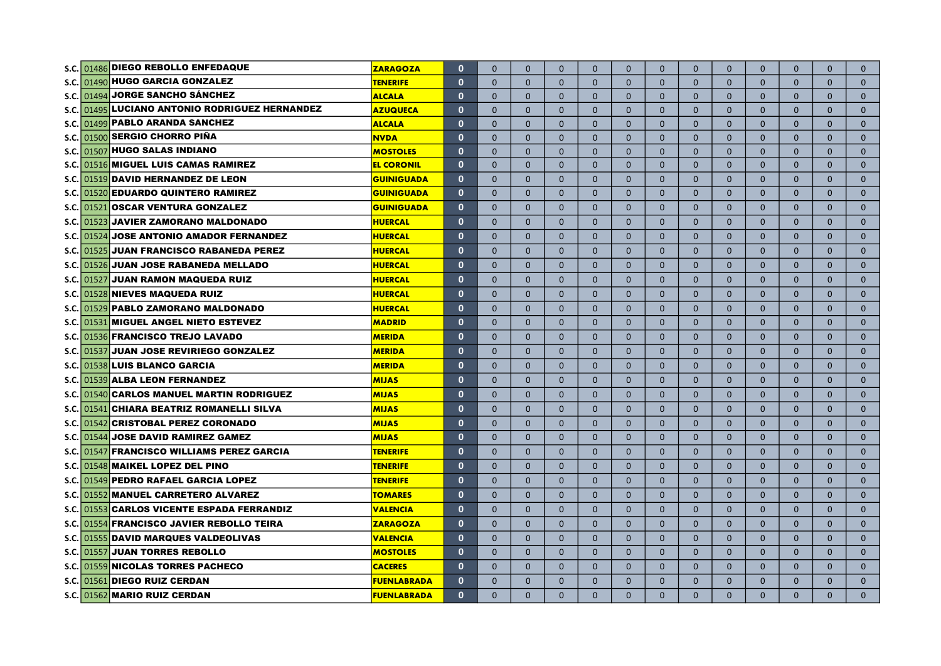| S.C.  |                              | 01486 DIEGO REBOLLO ENFEDAQUE              | ZARAGOZA           | $\mathbf{0}$ | $\Omega$     | $\Omega$     | $\Omega$     | $\mathbf{0}$   | $\mathbf{0}$ | $\mathbf{0}$ | $\mathbf{0}$ | $\mathbf{0}$   | $\mathbf{0}$ | $\mathbf{0}$ | $\mathbf{0}$ | $\mathbf{0}$ |
|-------|------------------------------|--------------------------------------------|--------------------|--------------|--------------|--------------|--------------|----------------|--------------|--------------|--------------|----------------|--------------|--------------|--------------|--------------|
| S.C.  |                              | 01490 HUGO GARCIA GONZALEZ                 | <b>TENERIFE</b>    | $\mathbf{0}$ | $\Omega$     | $\Omega$     | $\Omega$     | $\Omega$       | $\Omega$     | $\Omega$     | $\Omega$     | $\Omega$       | $\mathbf{0}$ | $\Omega$     | $\Omega$     | $\mathbf{0}$ |
| S.C.  |                              | 01494 JORGE SANCHO SÁNCHEZ                 | <b>ALCALA</b>      | $\mathbf{0}$ | $\mathbf{0}$ | $\mathbf{0}$ | $\Omega$     | $\mathbf{0}$   | $\mathbf{0}$ | $\mathbf{0}$ | $\mathbf{0}$ | $\mathbf{0}$   | $\mathbf{0}$ | $\mathbf{0}$ | $\Omega$     | $\mathbf{0}$ |
| S.C.  |                              | 01495 LUCIANO ANTONIO RODRIGUEZ HERNANDEZ  | <b>AZUQUECA</b>    | $\mathbf{0}$ | $\mathbf{0}$ | $\Omega$     | $\Omega$     | $\mathbf{0}$   | $\mathbf{0}$ | $\mathbf{0}$ | $\mathbf{0}$ | $\mathbf{0}$   | $\mathbf{0}$ | $\mathbf{0}$ | $\Omega$     | $\mathbf{0}$ |
| S.C.  |                              | 01499 PABLO ARANDA SANCHEZ                 | <b>ALCALA</b>      | $\mathbf{0}$ | $\mathbf{0}$ | $\Omega$     | $\mathbf{0}$ | $\mathbf{0}$   | $\mathbf{0}$ | $\mathbf{0}$ | $\mathbf{0}$ | $\overline{0}$ | $\mathbf{0}$ | $\mathbf{0}$ | $\Omega$     | $\mathbf 0$  |
| S.C.  | 01500 SERGIO CHORRO PIÑA     |                                            | <b>NVDA</b>        | $\mathbf{0}$ | $\Omega$     | $\Omega$     | $\mathbf{0}$ | $\mathbf{0}$   | $\mathbf{0}$ | $\Omega$     | $\mathbf{0}$ | $\mathbf{0}$   | $\mathbf{0}$ | $\Omega$     | $\Omega$     | $\mathbf{0}$ |
| S.C.  | 01507 HUGO SALAS INDIANO     |                                            | <b>MOSTOLES</b>    | $\mathbf{0}$ | $\mathbf{0}$ | $\mathbf{0}$ | $\mathbf{0}$ | $\mathbf{0}$   | $\mathbf 0$  | $\mathbf{0}$ | $\mathbf{0}$ | $\mathbf{0}$   | $\mathbf{0}$ | $\mathbf{0}$ | $\mathbf{0}$ | $\mathbf{0}$ |
| S.C.  |                              | 01516 MIGUEL LUIS CAMAS RAMIREZ            | <b>EL CORONIL</b>  | $\mathbf{0}$ | $\mathbf{0}$ | $\mathbf{0}$ | $\mathbf{0}$ | $\mathbf{0}$   | $\mathbf{0}$ | $\mathbf{0}$ | $\mathbf{0}$ | $\mathbf{0}$   | $\mathbf{0}$ | $\mathbf{0}$ | $\mathbf{0}$ | $\mathbf{0}$ |
| s.c.  |                              | 01519 DAVID HERNANDEZ DE LEON              | <b>GUINIGUADA</b>  | $\mathbf{0}$ | $\Omega$     | $\Omega$     | $\Omega$     | $\Omega$       | $\mathbf{0}$ | $\Omega$     | $\Omega$     | $\Omega$       | $\Omega$     | $\Omega$     | $\mathbf{0}$ | $\mathbf{0}$ |
| S.C.  |                              | 01520 EDUARDO QUINTERO RAMIREZ             | <b>GUINIGUADA</b>  | $\mathbf{0}$ | $\Omega$     | $\Omega$     | $\mathbf{0}$ | $\mathbf{0}$   | $\mathbf{0}$ | $\mathbf{0}$ | $\mathbf{0}$ | $\mathbf{0}$   | $\mathbf{0}$ | $\mathbf{0}$ | $\mathbf{0}$ | $\mathbf{0}$ |
| S.C.  |                              | 01521 OSCAR VENTURA GONZALEZ               | <b>GUINIGUADA</b>  | $\mathbf{0}$ | $\mathbf{0}$ | $\mathbf{0}$ | $\mathbf{0}$ | $\mathbf{0}$   | $\mathbf{0}$ | $\mathbf{0}$ | $\mathbf{0}$ | $\mathbf{0}$   | $\mathbf{0}$ | $\mathbf{0}$ | $\mathbf{0}$ | $\mathbf{0}$ |
| S.C.  |                              | 01523 JAVIER ZAMORANO MALDONADO            | <b>HUERCAL</b>     | $\mathbf{0}$ | $\Omega$     | $\Omega$     | $\Omega$     | $\Omega$       | $\mathbf{0}$ | $\Omega$     | $\mathbf{0}$ | $\Omega$       | $\mathbf{0}$ | $\mathbf{0}$ | $\Omega$     | $\mathbf{0}$ |
| S.C.  |                              | 01524 JOSE ANTONIO AMADOR FERNANDEZ        | <b>HUERCAL</b>     | $\mathbf{0}$ | $\Omega$     | $\Omega$     | $\mathbf{0}$ | $\mathbf{0}$   | $\mathbf{0}$ | $\mathbf{0}$ | $\mathbf{0}$ | $\mathbf{0}$   | $\mathbf{0}$ | $\mathbf{0}$ | $\mathbf{0}$ | $\mathbf{0}$ |
| S.C.  |                              | 01525 JUAN FRANCISCO RABANEDA PEREZ        | <b>HUERCAL</b>     | $\mathbf{0}$ | $\Omega$     | $\Omega$     | $\Omega$     | $\Omega$       | $\mathbf{0}$ | $\Omega$     | $\Omega$     | $\Omega$       | $\mathbf{0}$ | $\Omega$     | $\Omega$     | $\mathbf{0}$ |
| S.C.  |                              | 01526 JUAN JOSE RABANEDA MELLADO           | <b>HUERCAL</b>     | $\mathbf{0}$ | $\Omega$     | $\Omega$     | $\mathbf{0}$ | $\mathbf{0}$   | $\mathbf{0}$ | $\mathbf{0}$ | $\mathbf{0}$ | $\mathbf{0}$   | $\mathbf{0}$ | $\mathbf{0}$ | $\mathbf{0}$ | $\mathbf{0}$ |
| S.C.  | 01527                        | <b>JUAN RAMON MAQUEDA RUIZ</b>             | <b>HUERCAL</b>     | $\mathbf{0}$ | $\Omega$     | $\Omega$     | $\Omega$     | $\Omega$       | $\Omega$     | $\Omega$     | $\Omega$     | $\Omega$       | $\Omega$     | $\Omega$     | $\Omega$     | $\mathbf{0}$ |
| S.C.  |                              | 01528 NIEVES MAQUEDA RUIZ                  | <b>HUERCAL</b>     | $\mathbf{0}$ | $\Omega$     | $\Omega$     | $\Omega$     | $\mathbf{0}$   | $\mathbf{0}$ | $\Omega$     | $\mathbf{0}$ | $\mathbf{0}$   | $\mathbf{0}$ | $\mathbf{0}$ | $\Omega$     | $\mathbf{0}$ |
| S.C.  |                              | 01529 PABLO ZAMORANO MALDONADO             | HUERCAL            | $\mathbf{0}$ | $\mathbf{0}$ | $\Omega$     | $\mathbf{0}$ | $\overline{0}$ | $\mathbf{0}$ | $\mathbf{0}$ | $\mathbf{0}$ | $\mathbf{0}$   | $\mathbf{0}$ | $\mathbf{0}$ | $\mathbf{0}$ | $\mathbf{0}$ |
| S.C.  | 01531                        | MIGUEL ANGEL NIETO ESTEVEZ                 | <b>MADRID</b>      | $\mathbf{0}$ | $\Omega$     | $\Omega$     | $\Omega$     | $\Omega$       | $\Omega$     | $\Omega$     | $\Omega$     | $\mathbf{0}$   | $\Omega$     | $\Omega$     | $\Omega$     | $\mathbf{0}$ |
| S.C.  |                              | 01536 FRANCISCO TREJO LAVADO               | <b>MERIDA</b>      | $\mathbf{0}$ | $\mathbf{0}$ | $\mathbf{0}$ | $\mathbf{0}$ | $\mathbf{0}$   | $\mathbf{0}$ | $\mathbf{0}$ | $\mathbf{0}$ | $\mathbf{0}$   | $\mathbf{0}$ | $\mathbf{0}$ | $\mathbf{0}$ | $\mathbf{0}$ |
| S.C.  | 01537                        | <b>JUAN JOSE REVIRIEGO GONZALEZ</b>        | <b>MERIDA</b>      | $\mathbf{0}$ | $\Omega$     | $\Omega$     | $\Omega$     | $\Omega$       | $\mathbf{0}$ | $\Omega$     | $\Omega$     | $\mathbf{0}$   | $\mathbf{0}$ | $\Omega$     | $\Omega$     | $\mathbf{0}$ |
| S.C.  | 01538 LUIS BLANCO GARCIA     |                                            | <b>MERIDA</b>      | $\mathbf{0}$ | $\mathbf{0}$ | $\mathbf{0}$ | $\mathbf{0}$ | $\bullet$      | $\mathbf{0}$ | $\mathbf{0}$ | $\mathbf{0}$ | $\mathbf{0}$   | $\mathbf{0}$ | $\mathbf{0}$ | $\mathbf{0}$ | $\mathbf{0}$ |
| S.C.  |                              | 01539 ALBA LEON FERNANDEZ                  | <b>MIJAS</b>       | $\mathbf{0}$ | $\Omega$     | $\Omega$     | $\Omega$     | $\Omega$       | $\mathbf{0}$ | $\Omega$     | $\Omega$     | $\Omega$       | $\Omega$     | $\Omega$     | $\Omega$     | $\mathbf{0}$ |
| S.C.  |                              | 01540 CARLOS MANUEL MARTIN RODRIGUEZ       | <b>MIJAS</b>       | $\mathbf{0}$ | $\mathbf{0}$ | $\Omega$     | $\Omega$     | $\Omega$       | $\mathbf{0}$ | $\mathbf{0}$ | $\mathbf{0}$ | $\mathbf{0}$   | $\mathbf{0}$ | $\Omega$     | $\mathbf{0}$ | $\mathbf{0}$ |
| S.C.  | 01541                        | CHIARA BEATRIZ ROMANELLI SILVA             | <b>MIJAS</b>       | $\mathbf{0}$ | $\Omega$     | $\Omega$     | $\Omega$     | $\Omega$       | $\Omega$     | $\Omega$     | $\Omega$     | $\Omega$       | $\Omega$     | $\Omega$     | $\Omega$     | $\Omega$     |
| S.C.  | 01542                        | <b>CRISTOBAL PEREZ CORONADO</b>            | <b>MIJAS</b>       | $\mathbf{0}$ | $\Omega$     | $\Omega$     | $\Omega$     | $\Omega$       | $\mathbf{0}$ | $\Omega$     | $\mathbf{0}$ | $\Omega$       | $\mathbf{0}$ | $\Omega$     | $\Omega$     | $\mathbf{0}$ |
| S.C.  | 01544                        | <b>JOSE DAVID RAMIREZ GAMEZ</b>            | <b>MIJAS</b>       | $\mathbf{0}$ | $\mathbf{0}$ | $\mathbf{0}$ | $\Omega$     | $\mathbf{0}$   | $\mathbf{0}$ | $\mathbf{0}$ | $\mathbf{0}$ | $\mathbf{0}$   | $\mathbf{0}$ | $\mathbf{0}$ | $\mathbf{0}$ | $\mathbf{0}$ |
| S.C.  |                              | 01547 FRANCISCO WILLIAMS PEREZ GARCIA      | <b>TENERIFE</b>    | $\mathbf{0}$ | $\Omega$     | $\Omega$     | $\Omega$     | $\Omega$       | $\Omega$     | $\Omega$     | $\Omega$     | $\Omega$       | $\Omega$     | $\Omega$     | $\Omega$     | $\Omega$     |
| s.c.i |                              | 01548 MAIKEL LOPEZ DEL PINO                | <b>TENERIFE</b>    | $\mathbf{0}$ | $\mathbf{0}$ | $\Omega$     | $\Omega$     | $\mathbf{0}$   | $\mathbf{0}$ | $\mathbf{0}$ | $\mathbf{0}$ | $\mathbf{0}$   | $\mathbf{0}$ | $\mathbf{0}$ | $\Omega$     | $\mathbf{0}$ |
| S.C.  |                              | 01549 PEDRO RAFAEL GARCIA LOPEZ            | <b>TENERIFE</b>    | $\mathbf{0}$ | $\Omega$     | $\Omega$     | $\Omega$     | $\Omega$       | $\Omega$     | $\Omega$     | $\Omega$     | $\Omega$       | $\Omega$     | $\Omega$     | $\Omega$     | $\Omega$     |
|       |                              | S.C. 01552 MANUEL CARRETERO ALVAREZ        | <b>TOMARES</b>     | $\mathbf{0}$ | $\Omega$     | $\Omega$     | $\Omega$     | $\Omega$       | $\Omega$     | $\Omega$     | $\mathbf{0}$ | $\mathbf{0}$   | $\mathbf{0}$ | $\Omega$     | $\Omega$     | $\mathbf{0}$ |
|       |                              | S.C. 01553 CARLOS VICENTE ESPADA FERRANDIZ | VALENCIA           | $\mathbf{0}$ | $\Omega$     | $\Omega$     | $\Omega$     | $\Omega$       | $\Omega$     | $\Omega$     | $\Omega$     | $\Omega$       | $\Omega$     | $\Omega$     | $\Omega$     | $\Omega$     |
|       |                              | S.C. 01554 FRANCISCO JAVIER REBOLLO TEIRA  | <b>ZARAGOZA</b>    | $\mathbf{0}$ | $\mathbf{0}$ | $\mathbf{0}$ | $\Omega$     | $\mathbf{0}$   | $\mathbf{0}$ | $\mathbf{0}$ | $\mathbf{0}$ | $\mathbf{0}$   | $\mathbf{0}$ | $\mathbf{0}$ | $\mathbf{0}$ | $\mathbf{0}$ |
|       |                              | S.C. 01555 DAVID MARQUES VALDEOLIVAS       | VALENCIA           | $\mathbf{0}$ | $\mathbf{0}$ | $\mathbf{0}$ | $\mathbf{0}$ | $\mathbf{0}$   | $\mathbf{0}$ | $\mathbf{0}$ | $\mathbf{0}$ | $\mathbf{0}$   | $\mathbf{0}$ | $\mathbf{0}$ | $\mathbf{0}$ | $\mathbf{0}$ |
|       | S.C. 01557                   | <b>JUAN TORRES REBOLLO</b>                 | <b>MOSTOLES</b>    | $\mathbf{0}$ | $\mathbf{0}$ | $\Omega$     | $\Omega$     | $\mathbf{0}$   | $\mathbf{0}$ | $\mathbf{0}$ | $\mathbf{0}$ | $\mathbf{0}$   | $\mathbf{0}$ | $\mathbf{0}$ | $\mathbf{0}$ | $\mathbf{0}$ |
|       |                              | S.C. 01559 NICOLAS TORRES PACHECO          | <b>CACERES</b>     | $\mathbf{0}$ | $\mathbf{0}$ | $\mathbf{0}$ | $\mathbf{0}$ | $\mathbf{0}$   | $\mathbf{0}$ | $\mathbf{0}$ | $\mathbf{0}$ | $\mathbf{0}$   | $\mathbf 0$  | $\mathbf{0}$ | $\mathbf{0}$ | $\mathbf 0$  |
|       | S.C. 01561 DIEGO RUIZ CERDAN |                                            | FUENLABRADA        | $\mathbf{0}$ | $\Omega$     | $\Omega$     | $\Omega$     | $\Omega$       | $\mathbf{0}$ | $\Omega$     | $\mathbf{0}$ | $\Omega$       | $\mathbf{0}$ | $\Omega$     | $\Omega$     | $\mathbf{0}$ |
|       | S.C. 01562 MARIO RUIZ CERDAN |                                            | <b>FUENLABRADA</b> | $\mathbf{0}$ | $\Omega$     | $\Omega$     | $\Omega$     | $\Omega$       | $\mathbf{0}$ | $\Omega$     | $\Omega$     | $\Omega$       | $\mathbf{0}$ | $\Omega$     | $\Omega$     | $\Omega$     |
|       |                              |                                            |                    |              |              |              |              |                |              |              |              |                |              |              |              |              |